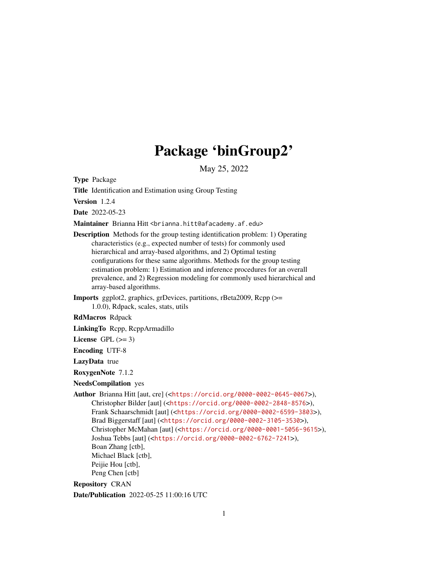# Package 'binGroup2'

May 25, 2022

Type Package

Title Identification and Estimation using Group Testing

Version 1.2.4

Date 2022-05-23

Maintainer Brianna Hitt <brianna.hitt@afacademy.af.edu>

- Description Methods for the group testing identification problem: 1) Operating characteristics (e.g., expected number of tests) for commonly used hierarchical and array-based algorithms, and 2) Optimal testing configurations for these same algorithms. Methods for the group testing estimation problem: 1) Estimation and inference procedures for an overall prevalence, and 2) Regression modeling for commonly used hierarchical and array-based algorithms.
- Imports ggplot2, graphics, grDevices, partitions, rBeta2009, Rcpp (>= 1.0.0), Rdpack, scales, stats, utils

RdMacros Rdpack

LinkingTo Rcpp, RcppArmadillo

License GPL  $(>= 3)$ 

Encoding UTF-8

LazyData true

RoxygenNote 7.1.2

NeedsCompilation yes

Author Brianna Hitt [aut, cre] (<<https://orcid.org/0000-0002-0645-0067>>), Christopher Bilder [aut] (<<https://orcid.org/0000-0002-2848-8576>>), Frank Schaarschmidt [aut] (<<https://orcid.org/0000-0002-6599-3803>>), Brad Biggerstaff [aut] (<<https://orcid.org/0000-0002-3105-3530>>), Christopher McMahan [aut] (<<https://orcid.org/0000-0001-5056-9615>>), Joshua Tebbs [aut] (<<https://orcid.org/0000-0002-6762-7241>>), Boan Zhang [ctb], Michael Black [ctb], Peijie Hou [ctb], Peng Chen [ctb]

Repository CRAN

Date/Publication 2022-05-25 11:00:16 UTC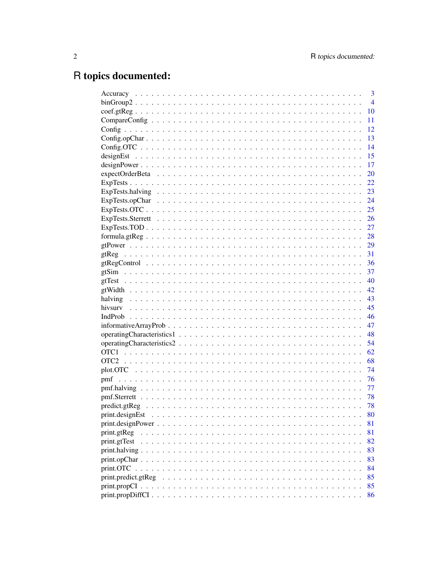# R topics documented:

|                     | $\overline{3}$ |
|---------------------|----------------|
|                     | $\overline{4}$ |
|                     | 10             |
|                     | 11             |
|                     | 12             |
|                     | 13             |
|                     | 14             |
|                     | 15             |
|                     | 17             |
|                     | 20             |
|                     | - 22           |
|                     |                |
|                     |                |
|                     |                |
|                     |                |
|                     |                |
|                     |                |
|                     |                |
|                     |                |
|                     |                |
|                     |                |
|                     |                |
|                     |                |
|                     |                |
|                     |                |
|                     |                |
|                     |                |
|                     |                |
|                     |                |
|                     |                |
|                     |                |
|                     | 74             |
|                     | - 76           |
|                     | 77             |
|                     | - 78           |
|                     | 78             |
|                     | 80             |
|                     | 81             |
| print.gtReg         | 81             |
| print.gtTest        | 82             |
|                     | 83             |
| print.halving       | 83             |
| print.OTC.          | 84             |
|                     | 85             |
| print.predict.gtReg |                |
|                     | 85             |
|                     | 86             |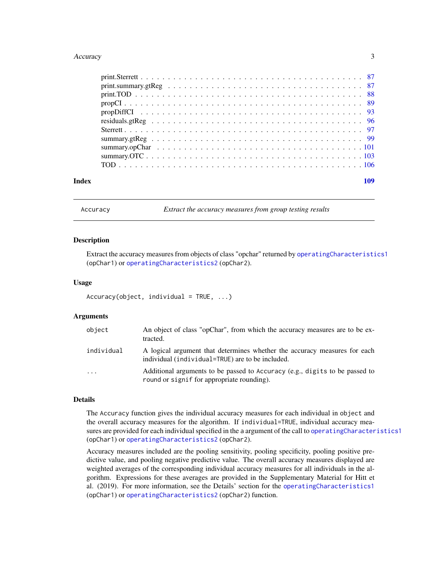#### <span id="page-2-0"></span>Accuracy 3

| Index |  |
|-------|--|

Accuracy *Extract the accuracy measures from group testing results*

# Description

Extract the accuracy measures from objects of class "opchar" returned by [operatingCharacteristics1](#page-47-1) (opChar1) or [operatingCharacteristics2](#page-53-1) (opChar2).

#### Usage

```
Accuracy(object, individual = TRUE, ...)
```
### Arguments

| object                  | An object of class "opChar", from which the accuracy measures are to be ex-<br>tracted.                                       |
|-------------------------|-------------------------------------------------------------------------------------------------------------------------------|
| individual              | A logical argument that determines whether the accuracy measures for each<br>individual (individual=TRUE) are to be included. |
| $\cdot$ $\cdot$ $\cdot$ | Additional arguments to be passed to Accuracy (e.g., digits to be passed to<br>round or signif for appropriate rounding).     |

#### Details

The Accuracy function gives the individual accuracy measures for each individual in object and the overall accuracy measures for the algorithm. If individual=TRUE, individual accuracy measures are provided for each individual specified in the a argument of the call to [operatingCharacteristics1](#page-47-1) (opChar1) or [operatingCharacteristics2](#page-53-1) (opChar2).

Accuracy measures included are the pooling sensitivity, pooling specificity, pooling positive predictive value, and pooling negative predictive value. The overall accuracy measures displayed are weighted averages of the corresponding individual accuracy measures for all individuals in the algorithm. Expressions for these averages are provided in the Supplementary Material for Hitt et al. (2019). For more information, see the Details' section for the [operatingCharacteristics1](#page-47-1) (opChar1) or [operatingCharacteristics2](#page-53-1) (opChar2) function.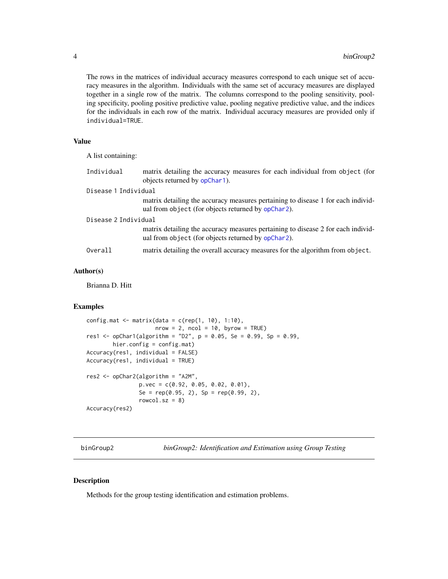The rows in the matrices of individual accuracy measures correspond to each unique set of accuracy measures in the algorithm. Individuals with the same set of accuracy measures are displayed together in a single row of the matrix. The columns correspond to the pooling sensitivity, pooling specificity, pooling positive predictive value, pooling negative predictive value, and the indices for the individuals in each row of the matrix. Individual accuracy measures are provided only if individual=TRUE.

# Value

A list containing:

| Individual           | matrix detailing the accuracy measures for each individual from object (for<br>objects returned by opChar1).                           |  |
|----------------------|----------------------------------------------------------------------------------------------------------------------------------------|--|
| Disease 1 Individual |                                                                                                                                        |  |
|                      | matrix detailing the accuracy measures pertaining to disease 1 for each individ-<br>ual from object (for objects returned by opChar2). |  |
| Disease 2 Individual |                                                                                                                                        |  |
|                      | matrix detailing the accuracy measures pertaining to disease 2 for each individ-<br>ual from object (for objects returned by opChar2). |  |
| Overall              | matrix detailing the overall accuracy measures for the algorithm from object.                                                          |  |

#### Author(s)

Brianna D. Hitt

#### Examples

```
config.mat \leq matrix(data = c(rep(1, 10), 1:10),
                     nrow = 2, ncol = 10, byrow = TRUE)
res1 <- opChar1(algorithm = "D2", p = 0.05, Se = 0.99, Sp = 0.99,
        hier.config = config.mat)
Accuracy(res1, individual = FALSE)
Accuracy(res1, individual = TRUE)
res2 <- opChar2(algorithm = "A2M",
                p.vec = c(0.92, 0.05, 0.02, 0.01),
                Se = rep(0.95, 2), Sp = rep(0.99, 2),
                rowcol.sz = 8)
Accuracy(res2)
```
binGroup2 *binGroup2: Identification and Estimation using Group Testing*

#### Description

Methods for the group testing identification and estimation problems.

<span id="page-3-0"></span>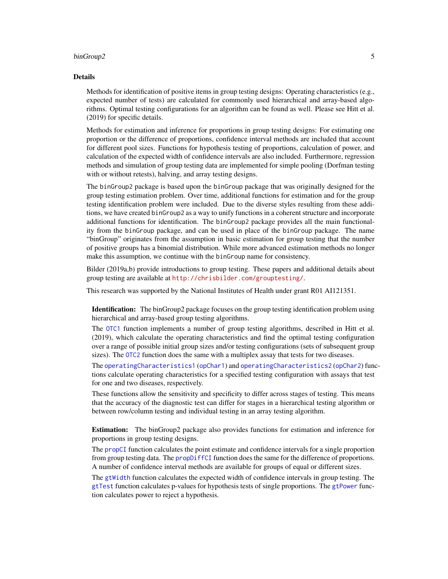#### binGroup2 5

#### Details

Methods for identification of positive items in group testing designs: Operating characteristics (e.g., expected number of tests) are calculated for commonly used hierarchical and array-based algorithms. Optimal testing configurations for an algorithm can be found as well. Please see Hitt et al. (2019) for specific details.

Methods for estimation and inference for proportions in group testing designs: For estimating one proportion or the difference of proportions, confidence interval methods are included that account for different pool sizes. Functions for hypothesis testing of proportions, calculation of power, and calculation of the expected width of confidence intervals are also included. Furthermore, regression methods and simulation of group testing data are implemented for simple pooling (Dorfman testing with or without retests), halving, and array testing designs.

The binGroup2 package is based upon the binGroup package that was originally designed for the group testing estimation problem. Over time, additional functions for estimation and for the group testing identification problem were included. Due to the diverse styles resulting from these additions, we have created binGroup2 as a way to unify functions in a coherent structure and incorporate additional functions for identification. The binGroup2 package provides all the main functionality from the binGroup package, and can be used in place of the binGroup package. The name "binGroup" originates from the assumption in basic estimation for group testing that the number of positive groups has a binomial distribution. While more advanced estimation methods no longer make this assumption, we continue with the binGroup name for consistency.

Bilder (2019a,b) provide introductions to group testing. These papers and additional details about group testing are available at <http://chrisbilder.com/grouptesting/>.

This research was supported by the National Institutes of Health under grant R01 AI121351.

Identification: The binGroup2 package focuses on the group testing identification problem using hierarchical and array-based group testing algorithms.

The [OTC1](#page-61-1) function implements a number of group testing algorithms, described in Hitt et al. (2019), which calculate the operating characteristics and find the optimal testing configuration over a range of possible initial group sizes and/or testing configurations (sets of subsequent group sizes). The [OTC2](#page-67-1) function does the same with a multiplex assay that tests for two diseases.

The [operatingCharacteristics1](#page-47-1) ([opChar1](#page-47-2)) and [operatingCharacteristics2](#page-53-1) ([opChar2](#page-53-2)) functions calculate operating characteristics for a specified testing configuration with assays that test for one and two diseases, respectively.

These functions allow the sensitivity and specificity to differ across stages of testing. This means that the accuracy of the diagnostic test can differ for stages in a hierarchical testing algorithm or between row/column testing and individual testing in an array testing algorithm.

Estimation: The binGroup2 package also provides functions for estimation and inference for proportions in group testing designs.

The [propCI](#page-88-1) function calculates the point estimate and confidence intervals for a single proportion from group testing data. The [propDiffCI](#page-92-1) function does the same for the difference of proportions. A number of confidence interval methods are available for groups of equal or different sizes.

The [gtWidth](#page-41-1) function calculates the expected width of confidence intervals in group testing. The [gtTest](#page-39-1) function calculates p-values for hypothesis tests of single proportions. The [gtPower](#page-28-1) function calculates power to reject a hypothesis.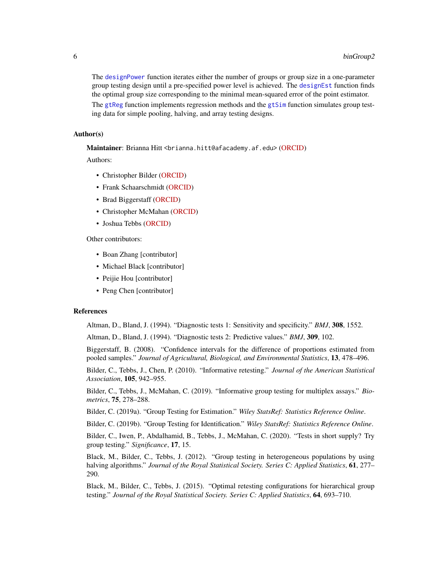The [designPower](#page-16-1) function iterates either the number of groups or group size in a one-parameter group testing design until a pre-specified power level is achieved. The [designEst](#page-14-1) function finds the optimal group size corresponding to the minimal mean-squared error of the point estimator. The [gtReg](#page-30-1) function implements regression methods and the [gtSim](#page-36-1) function simulates group testing data for simple pooling, halving, and array testing designs.

#### Author(s)

Maintainer: Brianna Hitt <br ianna.hitt@afacademy.af.edu> [\(ORCID\)](https://orcid.org/0000-0002-0645-0067)

Authors:

- Christopher Bilder [\(ORCID\)](https://orcid.org/0000-0002-2848-8576)
- Frank Schaarschmidt [\(ORCID\)](https://orcid.org/0000-0002-6599-3803)
- Brad Biggerstaff [\(ORCID\)](https://orcid.org/0000-0002-3105-3530)
- Christopher McMahan [\(ORCID\)](https://orcid.org/0000-0001-5056-9615)
- Joshua Tebbs [\(ORCID\)](https://orcid.org/0000-0002-6762-7241)

Other contributors:

- Boan Zhang [contributor]
- Michael Black [contributor]
- Peijie Hou [contributor]
- Peng Chen [contributor]

#### References

Altman, D., Bland, J. (1994). "Diagnostic tests 1: Sensitivity and specificity." *BMJ*, 308, 1552.

Altman, D., Bland, J. (1994). "Diagnostic tests 2: Predictive values." *BMJ*, 309, 102.

Biggerstaff, B. (2008). "Confidence intervals for the difference of proportions estimated from pooled samples." *Journal of Agricultural, Biological, and Environmental Statistics*, 13, 478–496.

Bilder, C., Tebbs, J., Chen, P. (2010). "Informative retesting." *Journal of the American Statistical Association*, 105, 942–955.

Bilder, C., Tebbs, J., McMahan, C. (2019). "Informative group testing for multiplex assays." *Biometrics*, 75, 278–288.

Bilder, C. (2019a). "Group Testing for Estimation." *Wiley StatsRef: Statistics Reference Online*.

Bilder, C. (2019b). "Group Testing for Identification." *Wiley StatsRef: Statistics Reference Online*.

Bilder, C., Iwen, P., Abdalhamid, B., Tebbs, J., McMahan, C. (2020). "Tests in short supply? Try group testing." *Significance*, 17, 15.

Black, M., Bilder, C., Tebbs, J. (2012). "Group testing in heterogeneous populations by using halving algorithms." *Journal of the Royal Statistical Society. Series C: Applied Statistics*, 61, 277– 290.

Black, M., Bilder, C., Tebbs, J. (2015). "Optimal retesting configurations for hierarchical group testing." *Journal of the Royal Statistical Society. Series C: Applied Statistics*, 64, 693–710.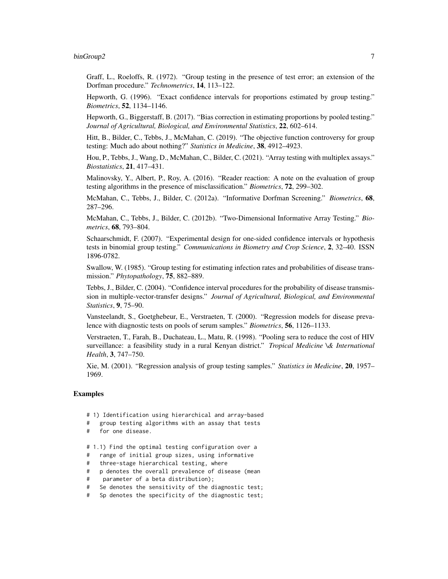#### binGroup2 7

Graff, L., Roeloffs, R. (1972). "Group testing in the presence of test error; an extension of the Dorfman procedure." *Technometrics*, 14, 113–122.

Hepworth, G. (1996). "Exact confidence intervals for proportions estimated by group testing." *Biometrics*, 52, 1134–1146.

Hepworth, G., Biggerstaff, B. (2017). "Bias correction in estimating proportions by pooled testing." *Journal of Agricultural, Biological, and Environmental Statistics*, 22, 602–614.

Hitt, B., Bilder, C., Tebbs, J., McMahan, C. (2019). "The objective function controversy for group testing: Much ado about nothing?" *Statistics in Medicine*, 38, 4912–4923.

Hou, P., Tebbs, J., Wang, D., McMahan, C., Bilder, C. (2021). "Array testing with multiplex assays." *Biostatistics*, 21, 417–431.

Malinovsky, Y., Albert, P., Roy, A. (2016). "Reader reaction: A note on the evaluation of group testing algorithms in the presence of misclassification." *Biometrics*, 72, 299–302.

McMahan, C., Tebbs, J., Bilder, C. (2012a). "Informative Dorfman Screening." *Biometrics*, 68, 287–296.

McMahan, C., Tebbs, J., Bilder, C. (2012b). "Two-Dimensional Informative Array Testing." *Biometrics*, 68, 793–804.

Schaarschmidt, F. (2007). "Experimental design for one-sided confidence intervals or hypothesis tests in binomial group testing." *Communications in Biometry and Crop Science*, 2, 32–40. ISSN 1896-0782.

Swallow, W. (1985). "Group testing for estimating infection rates and probabilities of disease transmission." *Phytopathology*, 75, 882–889.

Tebbs, J., Bilder, C. (2004). "Confidence interval procedures for the probability of disease transmission in multiple-vector-transfer designs." *Journal of Agricultural, Biological, and Environmental Statistics*, 9, 75–90.

Vansteelandt, S., Goetghebeur, E., Verstraeten, T. (2000). "Regression models for disease prevalence with diagnostic tests on pools of serum samples." *Biometrics*, 56, 1126–1133.

Verstraeten, T., Farah, B., Duchateau, L., Matu, R. (1998). "Pooling sera to reduce the cost of HIV surveillance: a feasibility study in a rural Kenyan district." *Tropical Medicine \& International Health*, 3, 747–750.

Xie, M. (2001). "Regression analysis of group testing samples." *Statistics in Medicine*, 20, 1957– 1969.

- # 1) Identification using hierarchical and array-based
- # group testing algorithms with an assay that tests
- # for one disease.
- # 1.1) Find the optimal testing configuration over a
- # range of initial group sizes, using informative
- # three-stage hierarchical testing, where
- # p denotes the overall prevalence of disease (mean
- # parameter of a beta distribution);
- # Se denotes the sensitivity of the diagnostic test;
- # Sp denotes the specificity of the diagnostic test;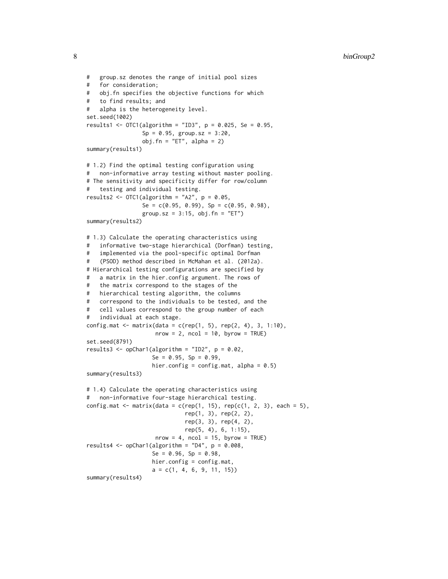```
# group.sz denotes the range of initial pool sizes
# for consideration;
# obj.fn specifies the objective functions for which
# to find results; and
# alpha is the heterogeneity level.
set.seed(1002)
results1 <- OTC1(algorithm = "ID3", p = 0.025, Se = 0.95,
                Sp = 0.95, group.sz = 3:20,
                obj.fn = "ET", alpha = 2)summary(results1)
# 1.2) Find the optimal testing configuration using
# non-informative array testing without master pooling.
# The sensitivity and specificity differ for row/column
# testing and individual testing.
results2 <- OTC1(algorithms = "A2", p = 0.05,Se = c(0.95, 0.99), Sp = c(0.95, 0.98),
                group.sz = 3:15, obj.fn = "ET")
summary(results2)
# 1.3) Calculate the operating characteristics using
# informative two-stage hierarchical (Dorfman) testing,
# implemented via the pool-specific optimal Dorfman
# (PSOD) method described in McMahan et al. (2012a).
# Hierarchical testing configurations are specified by
# a matrix in the hier.config argument. The rows of
# the matrix correspond to the stages of the
# hierarchical testing algorithm, the columns
# correspond to the individuals to be tested, and the
# cell values correspond to the group number of each
# individual at each stage.
config.mat <- matrix(data = c(rep(1, 5), rep(2, 4), 3, 1:10),
                    nrow = 2, ncol = 10, byrow = TRUE)
set.seed(8791)
results3 <- opChar1(algorithm = "ID2", p = 0.02,
                   Se = 0.95, Sp = 0.99,
                    hier.config = config.mat, alpha = 0.5)
summary(results3)
# 1.4) Calculate the operating characteristics using
# non-informative four-stage hierarchical testing.
config.mat \leq matrix(data = c(rep(1, 15), rep(c(1, 2, 3), each = 5),
                             rep(1, 3), rep(2, 2),
                             rep(3, 3), rep(4, 2),
                             rep(5, 4), 6, 1:15),
                    nrow = 4, ncol = 15, byrow = TRUE)
results4 <- opChar1(algorithm = "D4", p = 0.008,
                    Se = 0.96, Sp = 0.98,
                   hier.config = config.mat,
                    a = c(1, 4, 6, 9, 11, 15)summary(results4)
```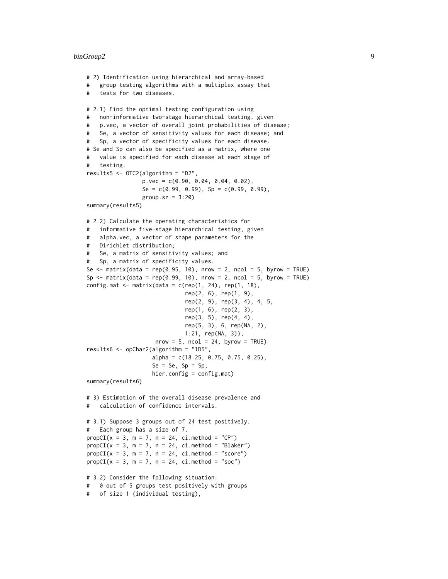#### binGroup2 9

```
# 2) Identification using hierarchical and array-based
# group testing algorithms with a multiplex assay that
# tests for two diseases.
# 2.1) Find the optimal testing configuration using
# non-informative two-stage hierarchical testing, given
# p.vec, a vector of overall joint probabilities of disease;
# Se, a vector of sensitivity values for each disease; and
# Sp, a vector of specificity values for each disease.
# Se and Sp can also be specified as a matrix, where one
# value is specified for each disease at each stage of
# testing.
results5 <- OTC2(algorithm = "D2",
                 p.vec = c(0.90, 0.04, 0.04, 0.02),
                 Se = c(0.99, 0.99), Sp = c(0.99, 0.99),
                 group.sz = 3:20)
summary(results5)
# 2.2) Calculate the operating characteristics for
# informative five-stage hierarchical testing, given
# alpha.vec, a vector of shape parameters for the
# Dirichlet distribution;
# Se, a matrix of sensitivity values; and
# Sp, a matrix of specificity values.
Se \le matrix(data = rep(0.95, 10), nrow = 2, ncol = 5, byrow = TRUE)
Sp \le matrix(data = rep(0.99, 10), nrow = 2, ncol = 5, byrow = TRUE)
config.mat \leq matrix(data = c(rep(1, 24), rep(1, 18),
                              rep(2, 6), rep(1, 9),
                              rep(2, 9), rep(3, 4), 4, 5,
                              rep(1, 6), rep(2, 3),
                              rep(3, 5), rep(4, 4),
                              rep(5, 3), 6, rep(NA, 2),
                             1:21, rep(NA, 3)),
                    nrow = 5, ncol = 24, byrow = TRUE)
results6 <- opChar2(algorithm = "ID5",
                    alpha = c(18.25, 0.75, 0.75, 0.25),
                    Se = Se, Sp = Sp,
                    hier.config = config.mat)
summary(results6)
# 3) Estimation of the overall disease prevalence and
# calculation of confidence intervals.
# 3.1) Suppose 3 groups out of 24 test positively.
# Each group has a size of 7.
propCI(x = 3, m = 7, n = 24, ci.method = "CP")propCI(x = 3, m = 7, n = 24, ci.method = "Blacker")propCI(x = 3, m = 7, n = 24, ci.method = "score")propCI(x = 3, m = 7, n = 24, ci.method = "soc")# 3.2) Consider the following situation:
# 0 out of 5 groups test positively with groups
# of size 1 (individual testing),
```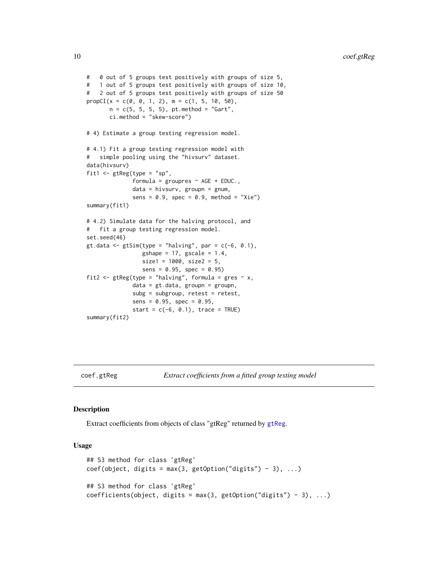```
# 0 out of 5 groups test positively with groups of size 5,
# 1 out of 5 groups test positively with groups of size 10,
# 2 out of 5 groups test positively with groups of size 50
propCI(x = c(0, 0, 1, 2), m = c(1, 5, 10, 50),n = c(5, 5, 5, 5), pt.method = "Gart",
       ci.method = "skew-score")
# 4) Estimate a group testing regression model.
# 4.1) Fit a group testing regression model with
# simple pooling using the "hivsurv" dataset.
data(hivsurv)
fit1 <- gtReg(type = "sp",
              formula = groupres \sim AGE + EDUC.,
              data = hivsurv, groupn = gnum,
              sens = 0.9, spec = 0.9, method = "Xie")
summary(fit1)
# 4.2) Simulate data for the halving protocol, and
# fit a group testing regression model.
set.seed(46)
gt.data <- gtSim(type = "halving", par = c(-6, 0.1),
                 gshape = 17, gscale = 1.4,
                 size1 = 1000, size2 = 5,
                 sens = 0.95, spec = 0.95)
fit2 <- gtReg(type = "halving", formula = gres \sim x,
              data = gt.data, groupn = groupn,
              subg = subgroup, retest = retest,
              sens = 0.95, spec = 0.95,
              start = c(-6, 0.1), trace = TRUE)
summary(fit2)
```
coef.gtReg *Extract coefficients from a fitted group testing model*

# Description

Extract coefficients from objects of class "gtReg" returned by [gtReg](#page-30-1).

#### Usage

```
## S3 method for class 'gtReg'
coef(object, digits = max(3, getOption("digits") - 3), ...)## S3 method for class 'gtReg'
coefficients(object, digits = max(3, getOption("digits") - 3), ...)
```
<span id="page-9-0"></span>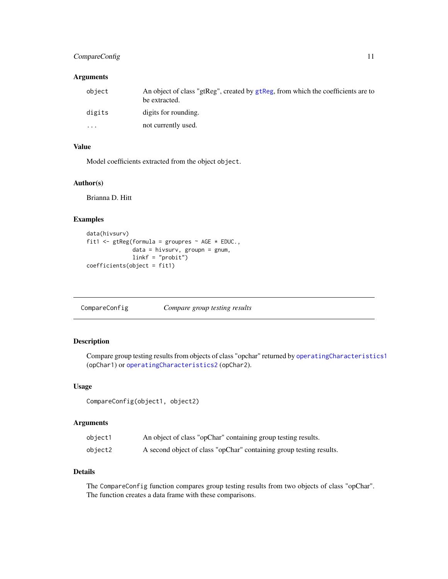# <span id="page-10-0"></span>CompareConfig 11

# Arguments

| object   | An object of class "gtReg", created by gtReg, from which the coefficients are to<br>be extracted. |
|----------|---------------------------------------------------------------------------------------------------|
| digits   | digits for rounding.                                                                              |
| $\cdots$ | not currently used.                                                                               |

# Value

Model coefficients extracted from the object object.

#### Author(s)

Brianna D. Hitt

#### Examples

```
data(hivsurv)
fit1 <- gtReg(formula = groupres \sim AGE \star EDUC.,
              data = hivsurv, groupn = gnum,
              linkf = "probit")
coefficients(object = fit1)
```
CompareConfig *Compare group testing results*

# Description

Compare group testing results from objects of class "opchar" returned by [operatingCharacteristics1](#page-47-1) (opChar1) or [operatingCharacteristics2](#page-53-1) (opChar2).

# Usage

CompareConfig(object1, object2)

# Arguments

| object1 | An object of class "opChar" containing group testing results.       |
|---------|---------------------------------------------------------------------|
| object2 | A second object of class "opChar" containing group testing results. |

# Details

The CompareConfig function compares group testing results from two objects of class "opChar". The function creates a data frame with these comparisons.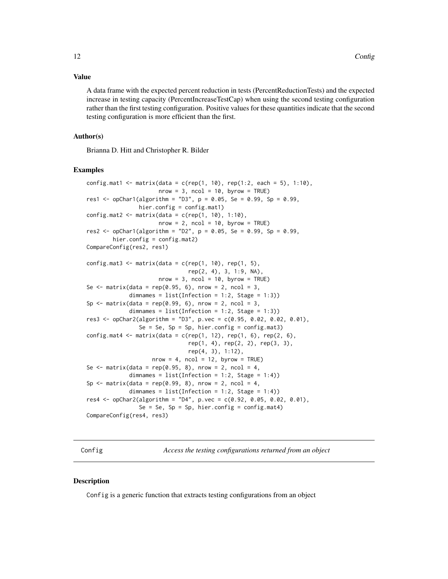#### <span id="page-11-0"></span>Value

A data frame with the expected percent reduction in tests (PercentReductionTests) and the expected increase in testing capacity (PercentIncreaseTestCap) when using the second testing configuration rather than the first testing configuration. Positive values for these quantities indicate that the second testing configuration is more efficient than the first.

# Author(s)

Brianna D. Hitt and Christopher R. Bilder

#### Examples

```
config.mat1 <- matrix(data = c(rep(1, 10), rep(1:2, each = 5), 1:10),
                      nrow = 3, ncol = 10, byrow = TRUE)
res1 <- opChar1(algorithm = "D3", p = 0.05, Se = 0.99, Sp = 0.99,
                hier.config = config.mat1)
config.mat2 \leq -\text{matrix(data = c(rep(1, 10), 1:10)},nrow = 2, ncol = 10, byrow = TRUE)
res2 <- opChar1(algorithm = "D2", p = 0.05, Se = 0.99, Sp = 0.99,
        hier.config = config.mat2)
CompareConfig(res2, res1)
config.mat3 <- matrix(data = c(rep(1, 10), rep(1, 5),
                               rep(2, 4), 3, 1:9, NA),
                      nrow = 3, ncol = 10, byrow = TRUE)
Se \le matrix(data = rep(0.95, 6), nrow = 2, ncol = 3,
             dimnames = list(Inflection = 1:2, Stage = 1:3)Sp \leq matrix(data = rep(0.99, 6), nrow = 2, ncol = 3,
             dimnames = list(Infection = 1:2, Stage = 1:3))res3 <- opChar2(algorithm = "D3", p.vec = c(0.95, 0.02, 0.02, 0.01),
                Se = Se, Sp = Sp, hier.config = config.mat3)
config.mat4 <- matrix(data = c(rep(1, 12), rep(1, 6), rep(2, 6),rep(1, 4), rep(2, 2), rep(3, 3),
                               rep(4, 3), 1:12),
                    nrow = 4, ncol = 12, byrow = TRUE)
Se \leq matrix(data = rep(0.95, 8), nrow = 2, ncol = 4,
             dimnames = list(Inflection = 1:2, Stage = 1:4))Sp \leq matrix(data = rep(0.99, 8), nrow = 2, ncol = 4,
             dimnames = list(Inflection = 1:2, Stage = 1:4))res4 \leq opChar2(algorithm = "D4", p.vec = c(0.92, 0.05, 0.02, 0.01),
                Se = Se, Sp = Sp, hier.config = config.mat4)
CompareConfig(res4, res3)
```
Config *Access the testing configurations returned from an object*

#### **Description**

Config is a generic function that extracts testing configurations from an object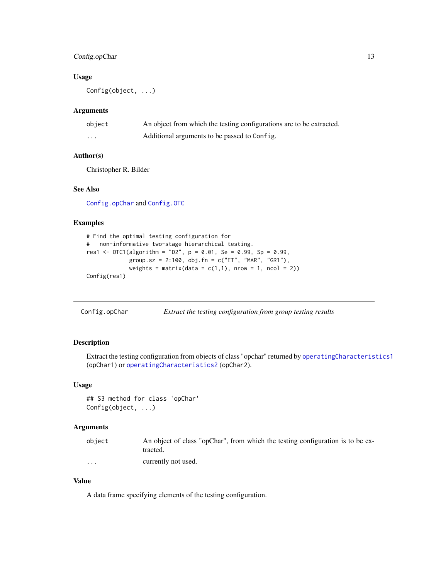# <span id="page-12-0"></span>Config.opChar 13

#### Usage

Config(object, ...)

### Arguments

| object | An object from which the testing configurations are to be extracted. |
|--------|----------------------------------------------------------------------|
| .      | Additional arguments to be passed to Config.                         |

#### Author(s)

Christopher R. Bilder

# See Also

[Config.opChar](#page-12-1) and [Config.OTC](#page-13-1)

# Examples

```
# Find the optimal testing configuration for
# non-informative two-stage hierarchical testing.
res1 <- OTC1(algorithm = "D2", p = 0.01, Se = 0.99, Sp = 0.99,
             group.sz = 2:100, obj.fn = c("ET", "MAR", "GR1"),
             weights = matrix(data = c(1,1), nrow = 1, ncol = 2))
Config(res1)
```
<span id="page-12-1"></span>Config.opChar *Extract the testing configuration from group testing results*

# Description

Extract the testing configuration from objects of class "opchar" returned by [operatingCharacteristics1](#page-47-1) (opChar1) or [operatingCharacteristics2](#page-53-1) (opChar2).

#### Usage

```
## S3 method for class 'opChar'
Config(object, ...)
```
# Arguments

| object   | An object of class "opChar", from which the testing configuration is to be ex-<br>tracted. |
|----------|--------------------------------------------------------------------------------------------|
| $\cdots$ | currently not used.                                                                        |

# Value

A data frame specifying elements of the testing configuration.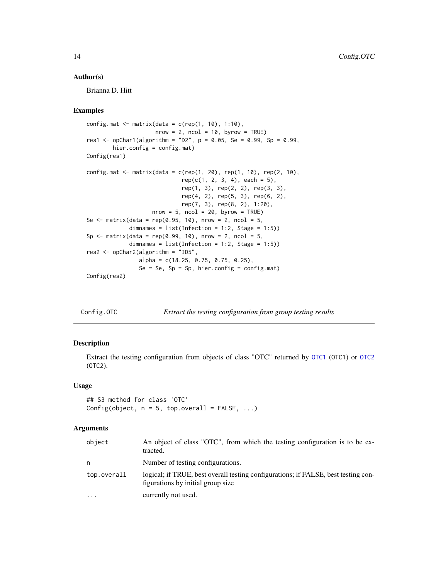#### <span id="page-13-0"></span>Author(s)

Brianna D. Hitt

# Examples

```
config.mat \leq matrix(data = c(rep(1, 10), 1:10),
                     nrow = 2, ncol = 10, byrow = TRUE)
res1 <- opChar1(algorithm = "D2", p = 0.05, Se = 0.99, Sp = 0.99,
        hier.config = config.mat)
Config(res1)
config.mat \leq matrix(data = c(rep(1, 20), rep(1, 10), rep(2, 10),
                             rep(c(1, 2, 3, 4), each = 5),rep(1, 3), rep(2, 2), rep(3, 3),
                             rep(4, 2), rep(5, 3), rep(6, 2),
                             rep(7, 3), rep(8, 2), 1:20),
                    nrow = 5, ncol = 20, byrow = TRUE)
Se \le matrix(data = rep(0.95, 10), nrow = 2, ncol = 5,
             dimnames = list(Infection = 1:2, Stage = 1:5))
Sp \le matrix(data = rep(0.99, 10), nrow = 2, ncol = 5,
             dimnames = list(Inflection = 1:2, Stage = 1:5))res2 <- opChar2(algorithm = "ID5",
                alpha = c(18.25, 0.75, 0.75, 0.25),
                Se = Se, Sp = Sp, hier.config = config.mat)
Config(res2)
```
<span id="page-13-1"></span>

Config.OTC *Extract the testing configuration from group testing results*

#### Description

Extract the testing configuration from objects of class "OTC" returned by [OTC1](#page-61-1) (OTC1) or [OTC2](#page-67-1) (OTC2).

#### Usage

## S3 method for class 'OTC' Config(object,  $n = 5$ , top.overall = FALSE, ...)

# Arguments

| object      | An object of class "OTC", from which the testing configuration is to be ex-<br>tracted.                                 |
|-------------|-------------------------------------------------------------------------------------------------------------------------|
| n           | Number of testing configurations.                                                                                       |
| top.overall | logical; if TRUE, best overall testing configurations; if FALSE, best testing con-<br>figurations by initial group size |
| $\cdots$    | currently not used.                                                                                                     |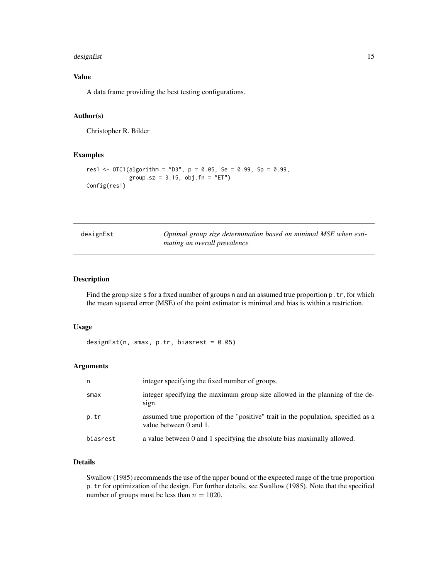#### <span id="page-14-0"></span>designEst 15

# Value

A data frame providing the best testing configurations.

# Author(s)

Christopher R. Bilder

#### Examples

```
res1 <- OTC1(algorithms = "D3", p = 0.05, Se = 0.99, Sp = 0.99,group.sz = 3:15, obj.fn = "ET")
Config(res1)
```
<span id="page-14-1"></span>

| designEst | Optimal group size determination based on minimal MSE when esti- |
|-----------|------------------------------------------------------------------|
|           | mating an overall prevalence                                     |

#### Description

Find the group size s for a fixed number of groups n and an assumed true proportion p.tr, for which the mean squared error (MSE) of the point estimator is minimal and bias is within a restriction.

# Usage

designEst(n, smax, p.tr, biasrest =  $0.05$ )

# Arguments

| n        | integer specifying the fixed number of groups.                                                              |
|----------|-------------------------------------------------------------------------------------------------------------|
| smax     | integer specifying the maximum group size allowed in the planning of the de-<br>sign.                       |
| p.tr     | assumed true proportion of the "positive" trait in the population, specified as a<br>value between 0 and 1. |
| biasrest | a value between 0 and 1 specifying the absolute bias maximally allowed.                                     |

# Details

Swallow (1985) recommends the use of the upper bound of the expected range of the true proportion p.tr for optimization of the design. For further details, see Swallow (1985). Note that the specified number of groups must be less than  $n = 1020$ .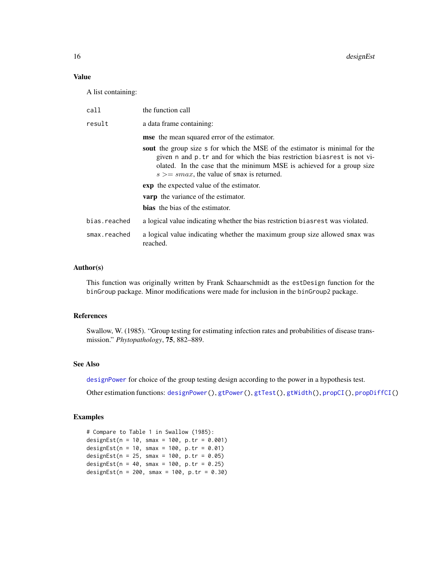# Value

A list containing:

| call         | the function call                                                                                                                                                                                                                                                                  |
|--------------|------------------------------------------------------------------------------------------------------------------------------------------------------------------------------------------------------------------------------------------------------------------------------------|
| result       | a data frame containing:                                                                                                                                                                                                                                                           |
|              | mse the mean squared error of the estimator.                                                                                                                                                                                                                                       |
|              | sout the group size s for which the MSE of the estimator is minimal for the<br>given n and p.tr and for which the bias restriction bias rest is not vi-<br>olated. In the case that the minimum MSE is achieved for a group size<br>$s \geq s$ max, the value of smax is returned. |
|              | <b>exp</b> the expected value of the estimator.                                                                                                                                                                                                                                    |
|              | <b>varp</b> the variance of the estimator.                                                                                                                                                                                                                                         |
|              | <b>bias</b> the bias of the estimator.                                                                                                                                                                                                                                             |
| bias.reached | a logical value indicating whether the bias restriction bias rest was violated.                                                                                                                                                                                                    |
| smax.reached | a logical value indicating whether the maximum group size allowed smax was<br>reached.                                                                                                                                                                                             |

# Author(s)

This function was originally written by Frank Schaarschmidt as the estDesign function for the binGroup package. Minor modifications were made for inclusion in the binGroup2 package.

#### References

Swallow, W. (1985). "Group testing for estimating infection rates and probabilities of disease transmission." *Phytopathology*, 75, 882–889.

#### See Also

[designPower](#page-16-1) for choice of the group testing design according to the power in a hypothesis test.

Other estimation functions: [designPower\(](#page-16-1)), [gtPower\(](#page-28-1)), [gtTest\(](#page-39-1)), [gtWidth\(](#page-41-1)), [propCI\(](#page-88-1)), [propDiffCI\(](#page-92-1))

```
# Compare to Table 1 in Swallow (1985):
designEst(n = 10, smax = 100, p.tr = 0.001)
designEst(n = 10, smax = 100, p.tr = 0.01)
designEst(n = 25, smax = 100, p.tr = 0.05)
designEst(n = 40, smax = 100, p.tr = 0.25)
designEst(n = 200, smax = 100, p.tr = 0.30)
```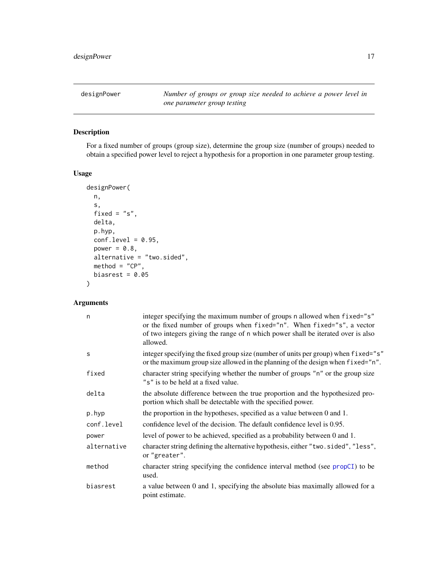<span id="page-16-1"></span><span id="page-16-0"></span>designPower *Number of groups or group size needed to achieve a power level in one parameter group testing*

# Description

For a fixed number of groups (group size), determine the group size (number of groups) needed to obtain a specified power level to reject a hypothesis for a proportion in one parameter group testing.

# Usage

```
designPower(
 n,
 s,
 fixed = "s",delta,
 p.hyp,
 conf.level = 0.95,
 power = 0.8,
 alternative = "two.sided",
 \text{method} = "CP",biasrest = 0.05)
```
# Arguments

| n           | integer specifying the maximum number of groups n allowed when fixed="s"<br>or the fixed number of groups when fixed="n". When fixed="s", a vector<br>of two integers giving the range of n which power shall be iterated over is also<br>allowed. |
|-------------|----------------------------------------------------------------------------------------------------------------------------------------------------------------------------------------------------------------------------------------------------|
| S           | integer specifying the fixed group size (number of units per group) when fixed="s"<br>or the maximum group size allowed in the planning of the design when fixed="n".                                                                              |
| fixed       | character string specifying whether the number of groups "n" or the group size<br>"s" is to be held at a fixed value.                                                                                                                              |
| delta       | the absolute difference between the true proportion and the hypothesized pro-<br>portion which shall be detectable with the specified power.                                                                                                       |
| p.hyp       | the proportion in the hypotheses, specified as a value between 0 and 1.                                                                                                                                                                            |
| conf.level  | confidence level of the decision. The default confidence level is 0.95.                                                                                                                                                                            |
| power       | level of power to be achieved, specified as a probability between 0 and 1.                                                                                                                                                                         |
| alternative | character string defining the alternative hypothesis, either "two.sided", "less",<br>or "greater".                                                                                                                                                 |
| method      | character string specifying the confidence interval method (see propCI) to be<br>used.                                                                                                                                                             |
| biasrest    | a value between 0 and 1, specifying the absolute bias maximally allowed for a<br>point estimate.                                                                                                                                                   |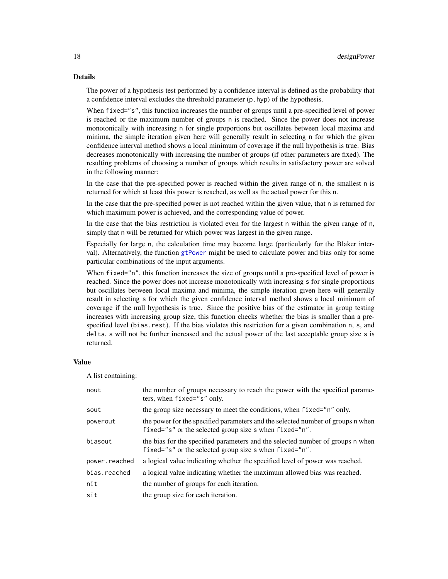#### Details

The power of a hypothesis test performed by a confidence interval is defined as the probability that a confidence interval excludes the threshold parameter (p.hyp) of the hypothesis.

When fixed="s", this function increases the number of groups until a pre-specified level of power is reached or the maximum number of groups n is reached. Since the power does not increase monotonically with increasing n for single proportions but oscillates between local maxima and minima, the simple iteration given here will generally result in selecting n for which the given confidence interval method shows a local minimum of coverage if the null hypothesis is true. Bias decreases monotonically with increasing the number of groups (if other parameters are fixed). The resulting problems of choosing a number of groups which results in satisfactory power are solved in the following manner:

In the case that the pre-specified power is reached within the given range of n, the smallest n is returned for which at least this power is reached, as well as the actual power for this n.

In the case that the pre-specified power is not reached within the given value, that n is returned for which maximum power is achieved, and the corresponding value of power.

In the case that the bias restriction is violated even for the largest n within the given range of n, simply that n will be returned for which power was largest in the given range.

Especially for large n, the calculation time may become large (particularly for the Blaker interval). Alternatively, the function [gtPower](#page-28-1) might be used to calculate power and bias only for some particular combinations of the input arguments.

When fixed="n", this function increases the size of groups until a pre-specified level of power is reached. Since the power does not increase monotonically with increasing s for single proportions but oscillates between local maxima and minima, the simple iteration given here will generally result in selecting s for which the given confidence interval method shows a local minimum of coverage if the null hypothesis is true. Since the positive bias of the estimator in group testing increases with increasing group size, this function checks whether the bias is smaller than a prespecified level (bias.rest). If the bias violates this restriction for a given combination n, s, and delta, s will not be further increased and the actual power of the last acceptable group size s is returned.

#### Value

A list containing:

| nout          | the number of groups necessary to reach the power with the specified parame-<br>ters, when fixed="s" only.                                |
|---------------|-------------------------------------------------------------------------------------------------------------------------------------------|
| sout          | the group size necessary to meet the conditions, when fixed="n" only.                                                                     |
| powerout      | the power for the specified parameters and the selected number of groups n when<br>fixed="s" or the selected group size s when fixed="n". |
| biasout       | the bias for the specified parameters and the selected number of groups n when<br>fixed="s" or the selected group size s when fixed="n".  |
| power.reached | a logical value indicating whether the specified level of power was reached.                                                              |
| bias.reached  | a logical value indicating whether the maximum allowed bias was reached.                                                                  |
| nit           | the number of groups for each iteration.                                                                                                  |
| sit           | the group size for each iteration.                                                                                                        |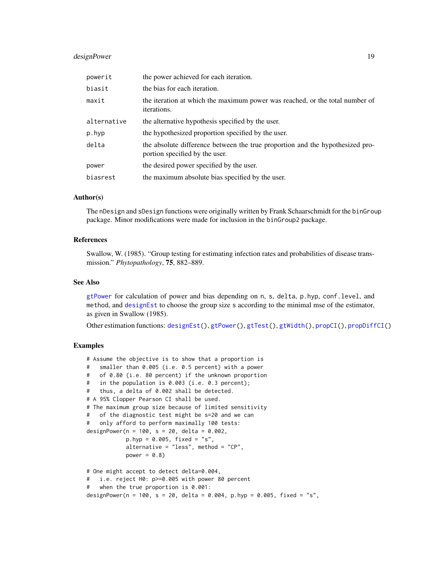# designPower 19

| powerit     | the power achieved for each iteration.                                                                          |
|-------------|-----------------------------------------------------------------------------------------------------------------|
| biasit      | the bias for each iteration.                                                                                    |
| maxit       | the iteration at which the maximum power was reached, or the total number of<br><i>iterations.</i>              |
| alternative | the alternative hypothesis specified by the user.                                                               |
| p.hyp       | the hypothesized proportion specified by the user.                                                              |
| delta       | the absolute difference between the true proportion and the hypothesized pro-<br>portion specified by the user. |
| power       | the desired power specified by the user.                                                                        |
| biasrest    | the maximum absolute bias specified by the user.                                                                |

# Author(s)

The nDesign and sDesign functions were originally written by Frank Schaarschmidt for the binGroup package. Minor modifications were made for inclusion in the binGroup2 package.

### References

Swallow, W. (1985). "Group testing for estimating infection rates and probabilities of disease transmission." *Phytopathology*, 75, 882–889.

# See Also

[gtPower](#page-28-1) for calculation of power and bias depending on n, s, delta, p.hyp, conf.level, and method, and [designEst](#page-14-1) to choose the group size s according to the minimal mse of the estimator, as given in Swallow (1985).

Other estimation functions: [designEst\(](#page-14-1)), [gtPower\(](#page-28-1)), [gtTest\(](#page-39-1)), [gtWidth\(](#page-41-1)), [propCI\(](#page-88-1)), [propDiffCI\(](#page-92-1))

```
# Assume the objective is to show that a proportion is
# smaller than 0.005 (i.e. 0.5 percent) with a power
# of 0.80 (i.e. 80 percent) if the unknown proportion
# in the population is 0.003 (i.e. 0.3 percent);
# thus, a delta of 0.002 shall be detected.
# A 95% Clopper Pearson CI shall be used.
# The maximum group size because of limited sensitivity
# of the diagnostic test might be s=20 and we can
# only afford to perform maximally 100 tests:
designPower(n = 100, s = 20, delta = 0.002,
           p.hyp = 0.005, fixed = "s",
           alternative = "less", method = "CP",
           power = 0.8)
# One might accept to detect delta=0.004,
# i.e. reject H0: p>=0.005 with power 80 percent
# when the true proportion is 0.001:
designPower(n = 100, s = 20, delta = 0.004, p.hyp = 0.005, fixed = "s",
```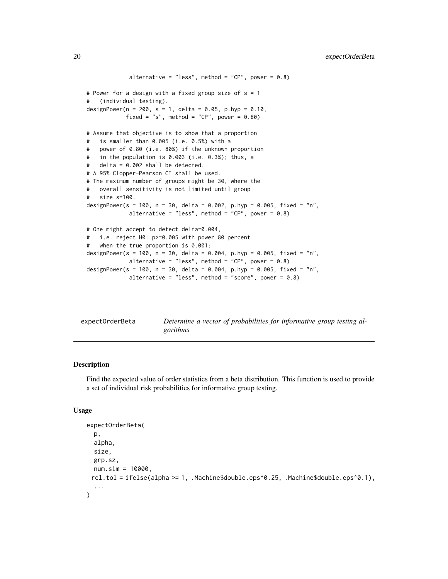```
alternative = "less", method = "CP", power = 0.8)
# Power for a design with a fixed group size of s = 1
# (individual testing).
designPower(n = 200, s = 1, delta = 0.05, p.hyp = 0.10,
           fixed = "s", method = "CP", power = 0.80)
# Assume that objective is to show that a proportion
# is smaller than 0.005 (i.e. 0.5%) with a
# power of 0.80 (i.e. 80%) if the unknown proportion
# in the population is 0.003 (i.e. 0.3%); thus, a
# delta = 0.002 shall be detected.
# A 95% Clopper-Pearson CI shall be used.
# The maximum number of groups might be 30, where the
# overall sensitivity is not limited until group
# size s=100.
designPower(s = 100, n = 30, delta = 0.002, p.hyp = 0.005, fixed = "n",
            alternative = "less", method = "CP", power = 0.8)
# One might accept to detect delta=0.004,
# i.e. reject H0: p>=0.005 with power 80 percent
# when the true proportion is 0.001:
designPower(s = 100, n = 30, delta = 0.004, p.hyp = 0.005, fixed = "n",
            alternative = "less", method = "CP", power = 0.8)
designPower(s = 100, n = 30, delta = 0.004, p.hyp = 0.005, fixed = "n",
            alternative = "less", method = "score", power = 0.8)
```

| expectOrderBeta | Determine a vector of probabilities for informative group testing al- |
|-----------------|-----------------------------------------------------------------------|
|                 | gorithms                                                              |

#### Description

Find the expected value of order statistics from a beta distribution. This function is used to provide a set of individual risk probabilities for informative group testing.

#### Usage

```
expectOrderBeta(
  p,
  alpha,
  size,
 grp.sz,
 num.sim = 10000,
 rel.tol = ifelse(alpha >= 1, .Machine$double.eps^0.25, .Machine$double.eps^0.1),
  ...
)
```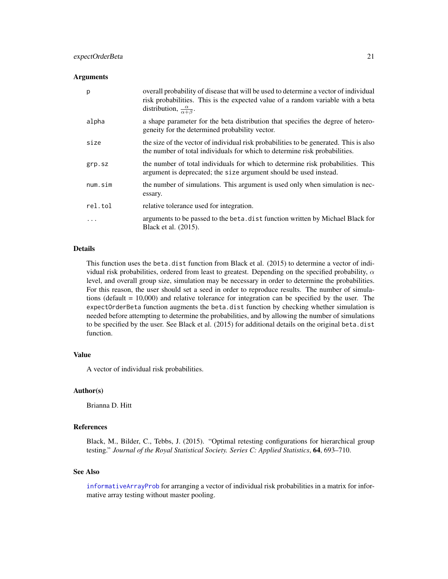#### **Arguments**

| p       | overall probability of disease that will be used to determine a vector of individual<br>risk probabilities. This is the expected value of a random variable with a beta<br>distribution, $\frac{\alpha}{\alpha+\beta}$ . |
|---------|--------------------------------------------------------------------------------------------------------------------------------------------------------------------------------------------------------------------------|
| alpha   | a shape parameter for the beta distribution that specifies the degree of hetero-<br>geneity for the determined probability vector.                                                                                       |
| size    | the size of the vector of individual risk probabilities to be generated. This is also<br>the number of total individuals for which to determine risk probabilities.                                                      |
| grp.sz  | the number of total individuals for which to determine risk probabilities. This<br>argument is deprecated; the size argument should be used instead.                                                                     |
| num,sim | the number of simulations. This argument is used only when simulation is nec-<br>essary.                                                                                                                                 |
| rel.tol | relative tolerance used for integration.                                                                                                                                                                                 |
| .       | arguments to be passed to the beta. dist function written by Michael Black for<br>Black et al. (2015).                                                                                                                   |

#### Details

This function uses the beta.dist function from Black et al. (2015) to determine a vector of individual risk probabilities, ordered from least to greatest. Depending on the specified probability,  $\alpha$ level, and overall group size, simulation may be necessary in order to determine the probabilities. For this reason, the user should set a seed in order to reproduce results. The number of simulations (default = 10,000) and relative tolerance for integration can be specified by the user. The expectOrderBeta function augments the beta.dist function by checking whether simulation is needed before attempting to determine the probabilities, and by allowing the number of simulations to be specified by the user. See Black et al. (2015) for additional details on the original beta.dist function.

#### Value

A vector of individual risk probabilities.

# Author(s)

Brianna D. Hitt

# References

Black, M., Bilder, C., Tebbs, J. (2015). "Optimal retesting configurations for hierarchical group testing." *Journal of the Royal Statistical Society. Series C: Applied Statistics*, 64, 693–710.

#### See Also

[informativeArrayProb](#page-46-1) for arranging a vector of individual risk probabilities in a matrix for informative array testing without master pooling.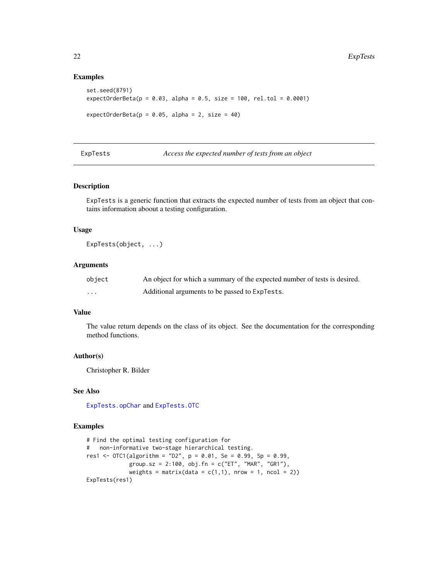#### Examples

```
set.seed(8791)
expectOrderBeta(p = 0.03, alpha = 0.5, size = 100, rel.tol = 0.0001)expectOrderBeta(p = 0.05, alpha = 2, size = 40)
```
ExpTests *Access the expected number of tests from an object*

### Description

ExpTests is a generic function that extracts the expected number of tests from an object that contains information aboout a testing configuration.

# Usage

ExpTests(object, ...)

# Arguments

| object | An object for which a summary of the expected number of tests is desired. |
|--------|---------------------------------------------------------------------------|
| .      | Additional arguments to be passed to ExpTests.                            |

#### Value

The value return depends on the class of its object. See the documentation for the corresponding method functions.

#### Author(s)

Christopher R. Bilder

# See Also

[ExpTests.opChar](#page-23-1) and [ExpTests.OTC](#page-24-1)

```
# Find the optimal testing configuration for
# non-informative two-stage hierarchical testing.
res1 <- OTC1(algorithm = "D2", p = 0.01, Se = 0.99, Sp = 0.99,
            group.sz = 2:100, obj.fn = c("ET", "MAR", "GR1"),
            weights = matrix(data = c(1,1), nrow = 1, ncol = 2))
ExpTests(res1)
```
<span id="page-21-0"></span>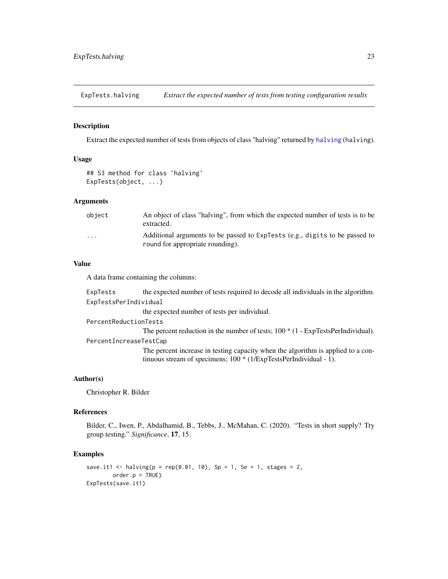<span id="page-22-0"></span>ExpTests.halving *Extract the expected number of tests from testing configuration results*

#### Description

Extract the expected number of tests from objects of class "halving" returned by [halving](#page-42-1) (halving).

#### Usage

## S3 method for class 'halving' ExpTests(object, ...)

# Arguments

| obiect            | An object of class "halving", from which the expected number of tests is to be<br>extracted.                    |
|-------------------|-----------------------------------------------------------------------------------------------------------------|
| $\cdot\cdot\cdot$ | Additional arguments to be passed to ExpTests (e.g., digits to be passed to<br>round for appropriate rounding). |

#### Value

A data frame containing the columns:

ExpTests the expected number of tests required to decode all individuals in the algorithm. ExpTestsPerIndividual

the expected number of tests per individual.

PercentReductionTests

The percent reduction in the number of tests; 100  $*(1 - ExpTestsPerIndividual)$ . PercentIncreaseTestCap

> The percent increase in testing capacity when the algorithm is applied to a continuous stream of specimens; 100 \* (1/ExpTestsPerIndividual - 1).

# Author(s)

Christopher R. Bilder

#### References

Bilder, C., Iwen, P., Abdalhamid, B., Tebbs, J., McMahan, C. (2020). "Tests in short supply? Try group testing." *Significance*, 17, 15.

```
save.it1 <- halving(p = rep(0.01, 10), Sp = 1, Se = 1, stages = 2,
       order.p = TRUE)
ExpTests(save.it1)
```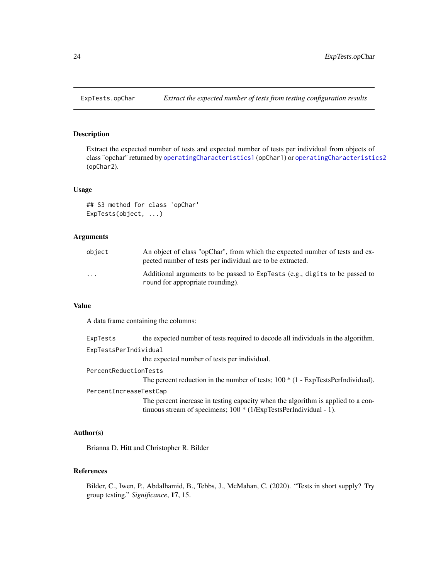<span id="page-23-1"></span><span id="page-23-0"></span>

# Description

Extract the expected number of tests and expected number of tests per individual from objects of class "opchar" returned by [operatingCharacteristics1](#page-47-1) (opChar1) or [operatingCharacteristics2](#page-53-1) (opChar2).

#### Usage

```
## S3 method for class 'opChar'
ExpTests(object, ...)
```
# Arguments

| object                  | An object of class "opChar", from which the expected number of tests and ex-<br>pected number of tests per individual are to be extracted. |
|-------------------------|--------------------------------------------------------------------------------------------------------------------------------------------|
| $\cdot$ $\cdot$ $\cdot$ | Additional arguments to be passed to ExpTests (e.g., digits to be passed to<br>round for appropriate rounding).                            |

# Value

A data frame containing the columns:

ExpTests the expected number of tests required to decode all individuals in the algorithm.

ExpTestsPerIndividual

the expected number of tests per individual.

PercentReductionTests

The percent reduction in the number of tests;  $100 * (1 - ExpTestsPerIndividual)$ .

PercentIncreaseTestCap

The percent increase in testing capacity when the algorithm is applied to a continuous stream of specimens; 100 \* (1/ExpTestsPerIndividual - 1).

#### Author(s)

Brianna D. Hitt and Christopher R. Bilder

## References

Bilder, C., Iwen, P., Abdalhamid, B., Tebbs, J., McMahan, C. (2020). "Tests in short supply? Try group testing." *Significance*, 17, 15.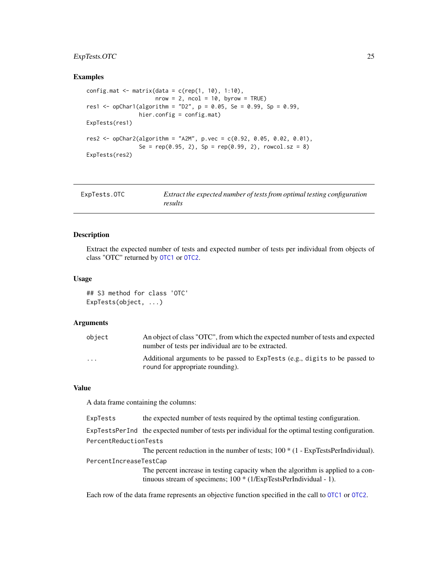# <span id="page-24-0"></span>ExpTests.OTC 25

#### Examples

```
config.mat \leq matrix(data = c(rep(1, 10), 1:10),
                     nrow = 2, ncol = 10, byrow = TRUE)
res1 <- opChar1(algorithm = "D2", p = 0.05, Se = 0.99, Sp = 0.99,
                hier.config = config.mat)
ExpTests(res1)
res2 \leq opChar2(algorithm = "A2M", p.vec = c(0.92, 0.05, 0.02, 0.01),
                Se = rep(0.95, 2), Sp = rep(0.99, 2), rowcol.sz = 8)
ExpTests(res2)
```
<span id="page-24-1"></span>

| ExpTests.OTC | Extract the expected number of tests from optimal testing configuration |
|--------------|-------------------------------------------------------------------------|
|              | results                                                                 |

#### Description

Extract the expected number of tests and expected number of tests per individual from objects of class "OTC" returned by [OTC1](#page-61-1) or [OTC2](#page-67-1).

#### Usage

## S3 method for class 'OTC' ExpTests(object, ...)

#### **Arguments**

| object                  | An object of class "OTC", from which the expected number of tests and expected<br>number of tests per individual are to be extracted. |
|-------------------------|---------------------------------------------------------------------------------------------------------------------------------------|
| $\cdot$ $\cdot$ $\cdot$ | Additional arguments to be passed to ExpTests (e.g., digits to be passed to<br>round for appropriate rounding).                       |

#### Value

A data frame containing the columns:

ExpTests the expected number of tests required by the optimal testing configuration.

ExpTestsPerInd the expected number of tests per individual for the optimal testing configuration.

# PercentReductionTests

The percent reduction in the number of tests; 100  $*(1 - ExpTestsPerIndividual)$ .

PercentIncreaseTestCap

The percent increase in testing capacity when the algorithm is applied to a continuous stream of specimens; 100 \* (1/ExpTestsPerIndividual - 1).

Each row of the data frame represents an objective function specified in the call to [OTC1](#page-61-1) or [OTC2](#page-67-1).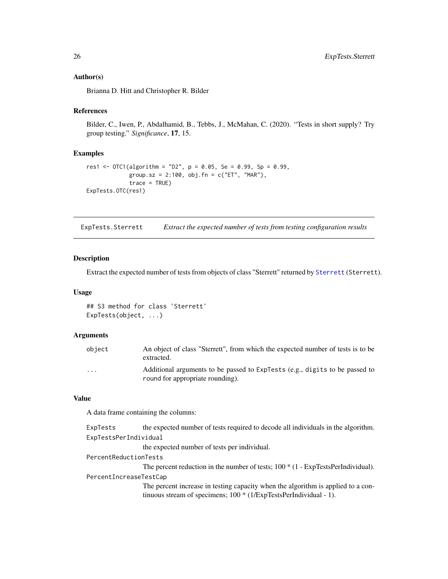# <span id="page-25-0"></span>Author(s)

Brianna D. Hitt and Christopher R. Bilder

# References

Bilder, C., Iwen, P., Abdalhamid, B., Tebbs, J., McMahan, C. (2020). "Tests in short supply? Try group testing." *Significance*, 17, 15.

# Examples

```
res1 <- OTC1(algorithm = "D2", p = 0.05, Se = 0.99, Sp = 0.99,
             group.sz = 2:100, obj.fn = c("ET", "MAR"),
             trace = TRUE)
ExpTests.OTC(res1)
```
ExpTests.Sterrett *Extract the expected number of tests from testing configuration results*

#### Description

Extract the expected number of tests from objects of class "Sterrett" returned by [Sterrett](#page-96-1) (Sterrett).

#### Usage

```
## S3 method for class 'Sterrett'
ExpTests(object, ...)
```
# Arguments

| object   | An object of class "Sterrett", from which the expected number of tests is to be<br>extracted.                   |
|----------|-----------------------------------------------------------------------------------------------------------------|
| $\cdots$ | Additional arguments to be passed to ExpTests (e.g., digits to be passed to<br>round for appropriate rounding). |

# Value

A data frame containing the columns:

| the expected number of tests required to decode all individuals in the algorithm.                                                                        |  |  |
|----------------------------------------------------------------------------------------------------------------------------------------------------------|--|--|
| ExpTestsPerIndividual                                                                                                                                    |  |  |
| the expected number of tests per individual.                                                                                                             |  |  |
| PercentReductionTests                                                                                                                                    |  |  |
| The percent reduction in the number of tests; $100 * (1 - ExpTestsPerIndividual)$ .                                                                      |  |  |
| PercentIncreaseTestCap                                                                                                                                   |  |  |
| The percent increase in testing capacity when the algorithm is applied to a con-<br>tinuous stream of specimens; $100 * (1/ExpTestsPerIndividual - 1)$ . |  |  |
|                                                                                                                                                          |  |  |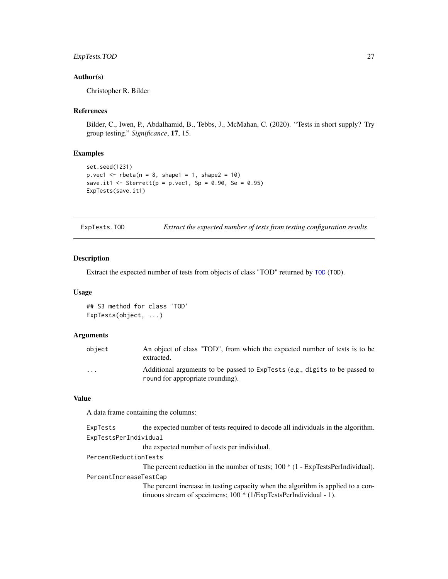# <span id="page-26-0"></span>ExpTests.TOD 27

# Author(s)

Christopher R. Bilder

# References

Bilder, C., Iwen, P., Abdalhamid, B., Tebbs, J., McMahan, C. (2020). "Tests in short supply? Try group testing." *Significance*, 17, 15.

# Examples

```
set.seed(1231)
p.vec1 \le rbeta(n = 8, shape1 = 1, shape2 = 10)
save.it1 <- Sterrett(p = p.vec1, Sp = 0.90, Se = 0.95)
ExpTests(save.it1)
```
ExpTests.TOD *Extract the expected number of tests from testing configuration results*

# Description

Extract the expected number of tests from objects of class "TOD" returned by [TOD](#page-105-1) (TOD).

#### Usage

```
## S3 method for class 'TOD'
ExpTests(object, ...)
```
# Arguments

| object   | An object of class "TOD", from which the expected number of tests is to be<br>extracted.                        |
|----------|-----------------------------------------------------------------------------------------------------------------|
| $\cdots$ | Additional arguments to be passed to ExpTests (e.g., digits to be passed to<br>round for appropriate rounding). |

# Value

A data frame containing the columns:

| the expected number of tests required to decode all individuals in the algorithm.                                                                        |  |
|----------------------------------------------------------------------------------------------------------------------------------------------------------|--|
| ExpTestsPerIndividual                                                                                                                                    |  |
| the expected number of tests per individual.                                                                                                             |  |
| PercentReductionTests                                                                                                                                    |  |
| The percent reduction in the number of tests; $100 * (1 - ExpTestsPerIndividual)$ .                                                                      |  |
| PercentIncreaseTestCap                                                                                                                                   |  |
| The percent increase in testing capacity when the algorithm is applied to a con-<br>tinuous stream of specimens; $100 * (1/ExpTestsPerIndividual - 1)$ . |  |
|                                                                                                                                                          |  |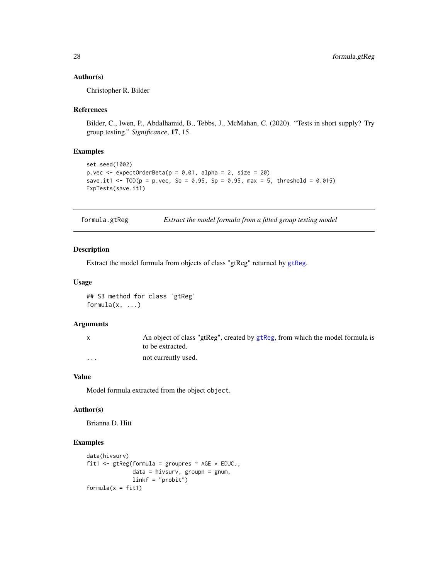#### <span id="page-27-0"></span>Author(s)

Christopher R. Bilder

#### References

Bilder, C., Iwen, P., Abdalhamid, B., Tebbs, J., McMahan, C. (2020). "Tests in short supply? Try group testing." *Significance*, 17, 15.

# Examples

```
set.seed(1002)
p.vec \leq expectOrderBeta(p = 0.01, alpha = 2, size = 20)
save.it1 <- TOP = p.vec, Se = 0.95, Sp = 0.95, max = 5, threshold = 0.015)
ExpTests(save.it1)
```
formula.gtReg *Extract the model formula from a fitted group testing model*

# Description

Extract the model formula from objects of class "gtReg" returned by [gtReg](#page-30-1).

# Usage

## S3 method for class 'gtReg' formula $(x, \ldots)$ 

#### Arguments

| $\mathsf{X}$ | An object of class "gtReg", created by gtReg, from which the model formula is<br>to be extracted. |
|--------------|---------------------------------------------------------------------------------------------------|
|              |                                                                                                   |
| $\cdots$     | not currently used.                                                                               |

# Value

Model formula extracted from the object object.

#### Author(s)

Brianna D. Hitt

```
data(hivsurv)
fit1 <- gtReg(formula = groupres \sim AGE * EDUC.,
              data = hivsurv, groupn = gnum,
              linkf = "probit")
formula(x = fit1)
```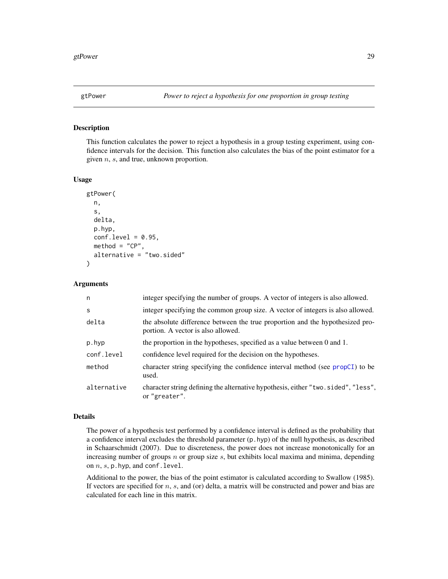#### <span id="page-28-1"></span><span id="page-28-0"></span>Description

This function calculates the power to reject a hypothesis in a group testing experiment, using confidence intervals for the decision. This function also calculates the bias of the point estimator for a given  $n$ ,  $s$ , and true, unknown proportion.

#### Usage

```
gtPower(
  n,
  s,
  delta,
  p.hyp,
  conf. level = 0.95,
  \text{method} = "CP",alternative = "two.sided"
)
```
#### Arguments

| n           | integer specifying the number of groups. A vector of integers is also allowed.                                      |
|-------------|---------------------------------------------------------------------------------------------------------------------|
| S           | integer specifying the common group size. A vector of integers is also allowed.                                     |
| delta       | the absolute difference between the true proportion and the hypothesized pro-<br>portion. A vector is also allowed. |
| p.hyp       | the proportion in the hypotheses, specified as a value between 0 and 1.                                             |
| conf.level  | confidence level required for the decision on the hypotheses.                                                       |
| method      | character string specifying the confidence interval method (see propCI) to be<br>used.                              |
| alternative | character string defining the alternative hypothesis, either "two.sided", "less",<br>or "greater".                  |

#### Details

The power of a hypothesis test performed by a confidence interval is defined as the probability that a confidence interval excludes the threshold parameter (p.hyp) of the null hypothesis, as described in Schaarschmidt (2007). Due to discreteness, the power does not increase monotonically for an increasing number of groups  $n$  or group size  $s$ , but exhibits local maxima and minima, depending on  $n$ ,  $s$ ,  $p$ . hyp, and conf. level.

Additional to the power, the bias of the point estimator is calculated according to Swallow (1985). If vectors are specified for n, s, and (or) delta, a matrix will be constructed and power and bias are calculated for each line in this matrix.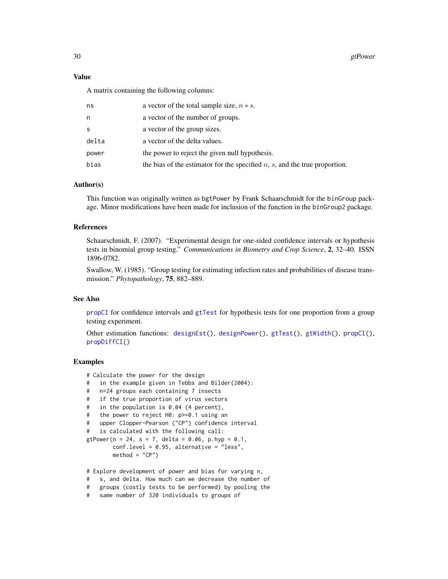30 gtPower and the state of the state of the state of the state of the state of the state of the state of the state of the state of the state of the state of the state of the state of the state of the state of the state of

#### Value

A matrix containing the following columns:

| ns    | a vector of the total sample size, $n * s$ .                                     |
|-------|----------------------------------------------------------------------------------|
| n     | a vector of the number of groups.                                                |
| S     | a vector of the group sizes.                                                     |
| delta | a vector of the delta values.                                                    |
| power | the power to reject the given null hypothesis.                                   |
| bias  | the bias of the estimator for the specified $n$ , $s$ , and the true proportion. |
|       |                                                                                  |

#### Author(s)

This function was originally written as bgtPower by Frank Schaarschmidt for the binGroup package. Minor modifications have been made for inclusion of the function in the binGroup2 package.

#### References

Schaarschmidt, F. (2007). "Experimental design for one-sided confidence intervals or hypothesis tests in binomial group testing." *Communications in Biometry and Crop Science*, 2, 32–40. ISSN 1896-0782.

Swallow, W. (1985). "Group testing for estimating infection rates and probabilities of disease transmission." *Phytopathology*, 75, 882–889.

# See Also

[propCI](#page-88-1) for confidence intervals and [gtTest](#page-39-1) for hypothesis tests for one proportion from a group testing experiment.

Other estimation functions: [designEst\(](#page-14-1)), [designPower\(](#page-16-1)), [gtTest\(](#page-39-1)), [gtWidth\(](#page-41-1)), [propCI\(](#page-88-1)), [propDiffCI\(](#page-92-1))

```
# Calculate the power for the design
```
- # in the example given in Tebbs and Bilder(2004):
- # n=24 groups each containing 7 insects
- # if the true proportion of virus vectors
- # in the population is 0.04 (4 percent),
- # the power to reject H0: p>=0.1 using an
- # upper Clopper-Pearson ("CP") confidence interval

```
# is calculated with the following call:
```

```
gtPower(n = 24, s = 7, delta = 0.06, p.hyp = 0.1,
       conf.level = 0.95, alternative = "less",
       method = "CP")
```
- # Explore development of power and bias for varying n,
- # s, and delta. How much can we decrease the number of
- # groups (costly tests to be performed) by pooling the
- # same number of 320 individuals to groups of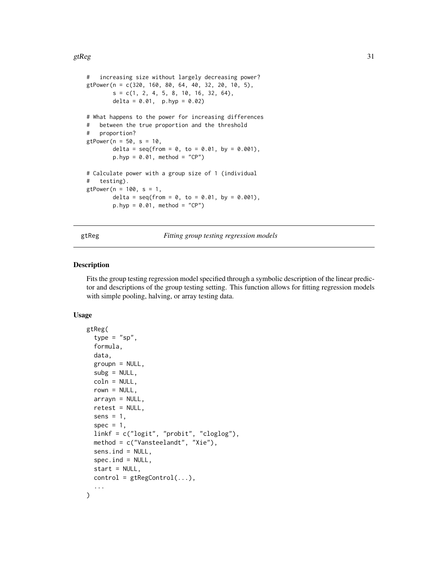<span id="page-30-0"></span>gtReg  $31$ 

```
# increasing size without largely decreasing power?
gtPower(n = c(320, 160, 80, 64, 40, 32, 20, 10, 5),
       s = c(1, 2, 4, 5, 8, 10, 16, 32, 64),delta = 0.01, p.hyp = 0.02)
# What happens to the power for increasing differences
# between the true proportion and the threshold
# proportion?
gtPower(n = 50, s = 10,delta = seq(from = 0, to = 0.01, by = 0.001),
       p.hyp = 0.01, method = "CP")
# Calculate power with a group size of 1 (individual
# testing).
gtPower(n = 100, s = 1,delta = seq(from = 0, to = 0.01, by = 0.001),
       p.hyp = 0.01, method = "CP")
```
<span id="page-30-1"></span>gtReg *Fitting group testing regression models*

# **Description**

Fits the group testing regression model specified through a symbolic description of the linear predictor and descriptions of the group testing setting. This function allows for fitting regression models with simple pooling, halving, or array testing data.

# Usage

```
gtReg(
  type = "sp",formula,
  data,
  group = NULL,subg = NULL,coln = NULL,
  rown = NULL,array = NULL,retest = NULL,
  sens = 1,
  spec = 1,linkf = c("logit", "probit", "cloglog"),
  method = c("Vansteelandt", "Xie"),
  sens.ind = NULL,spec.ind = NULL,start = NULL,
  control = \text{gtRegControl}(...),...
)
```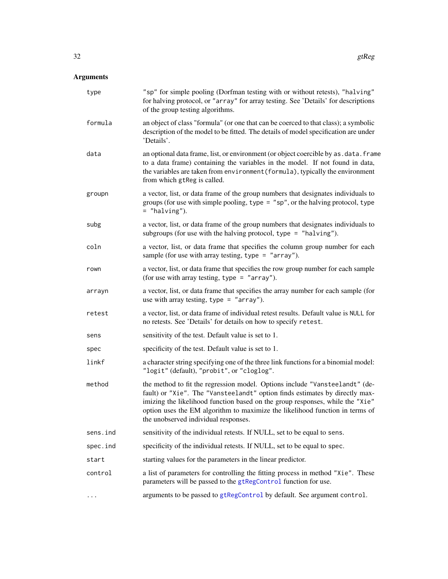# Arguments

| type     | "sp" for simple pooling (Dorfman testing with or without retests), "halving"<br>for halving protocol, or "array" for array testing. See 'Details' for descriptions<br>of the group testing algorithms.                                                                                                                                                              |
|----------|---------------------------------------------------------------------------------------------------------------------------------------------------------------------------------------------------------------------------------------------------------------------------------------------------------------------------------------------------------------------|
| formula  | an object of class "formula" (or one that can be coerced to that class); a symbolic<br>description of the model to be fitted. The details of model specification are under<br>'Details'.                                                                                                                                                                            |
| data     | an optional data frame, list, or environment (or object coercible by as . data. frame<br>to a data frame) containing the variables in the model. If not found in data,<br>the variables are taken from environment (formula), typically the environment<br>from which gtReg is called.                                                                              |
| groupn   | a vector, list, or data frame of the group numbers that designates individuals to<br>groups (for use with simple pooling, type = "sp", or the halving protocol, type<br>$=$ "halving").                                                                                                                                                                             |
| subg     | a vector, list, or data frame of the group numbers that designates individuals to<br>subgroups (for use with the halving protocol, type = "halving").                                                                                                                                                                                                               |
| coln     | a vector, list, or data frame that specifies the column group number for each<br>sample (for use with array testing, type $=$ "array").                                                                                                                                                                                                                             |
| rown     | a vector, list, or data frame that specifies the row group number for each sample<br>(for use with array testing, type = "array").                                                                                                                                                                                                                                  |
| arrayn   | a vector, list, or data frame that specifies the array number for each sample (for<br>use with array testing, type = "array").                                                                                                                                                                                                                                      |
| retest   | a vector, list, or data frame of individual retest results. Default value is NULL for<br>no retests. See 'Details' for details on how to specify retest.                                                                                                                                                                                                            |
| sens     | sensitivity of the test. Default value is set to 1.                                                                                                                                                                                                                                                                                                                 |
| spec     | specificity of the test. Default value is set to 1.                                                                                                                                                                                                                                                                                                                 |
| linkf    | a character string specifying one of the three link functions for a binomial model:<br>"logit" (default), "probit", or "cloglog".                                                                                                                                                                                                                                   |
| method   | the method to fit the regression model. Options include "Vansteelandt" (de-<br>fault) or "Xie". The "Vansteelandt" option finds estimates by directly max-<br>imizing the likelihood function based on the group responses, while the "Xie"<br>option uses the EM algorithm to maximize the likelihood function in terms of<br>the unobserved individual responses. |
| sens.ind | sensitivity of the individual retests. If NULL, set to be equal to sens.                                                                                                                                                                                                                                                                                            |
| spec.ind | specificity of the individual retests. If NULL, set to be equal to spec.                                                                                                                                                                                                                                                                                            |
| start    | starting values for the parameters in the linear predictor.                                                                                                                                                                                                                                                                                                         |
| control  | a list of parameters for controlling the fitting process in method "Xie". These<br>parameters will be passed to the gtRegControl function for use.                                                                                                                                                                                                                  |
| $\cdots$ | arguments to be passed to gtRegControl by default. See argument control.                                                                                                                                                                                                                                                                                            |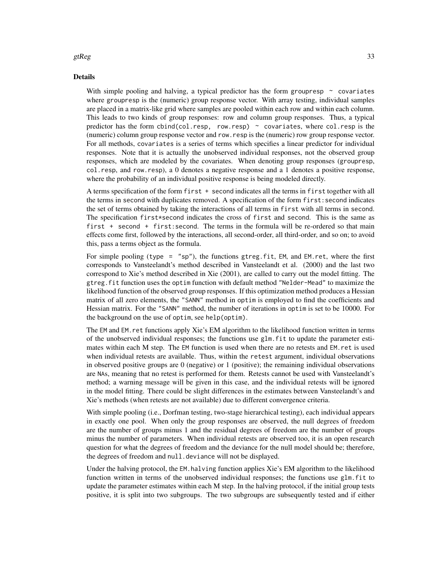#### gtReg  $\sim$  33

#### Details

With simple pooling and halving, a typical predictor has the form groupresp  $\sim$  covariates where groupresp is the (numeric) group response vector. With array testing, individual samples are placed in a matrix-like grid where samples are pooled within each row and within each column. This leads to two kinds of group responses: row and column group responses. Thus, a typical predictor has the form cbind(col.resp, row.resp)  $\sim$  covariates, where col.resp is the (numeric) column group response vector and row.resp is the (numeric) row group response vector. For all methods, covariates is a series of terms which specifies a linear predictor for individual responses. Note that it is actually the unobserved individual responses, not the observed group responses, which are modeled by the covariates. When denoting group responses (groupresp, col.resp, and row.resp), a 0 denotes a negative response and a 1 denotes a positive response, where the probability of an individual positive response is being modeled directly.

A terms specification of the form first + second indicates all the terms in first together with all the terms in second with duplicates removed. A specification of the form first:second indicates the set of terms obtained by taking the interactions of all terms in first with all terms in second. The specification first\*second indicates the cross of first and second. This is the same as first + second + first:second. The terms in the formula will be re-ordered so that main effects come first, followed by the interactions, all second-order, all third-order, and so on; to avoid this, pass a terms object as the formula.

For simple pooling (type = " $sp$ "), the functions gtreg.fit, EM, and EM.ret, where the first corresponds to Vansteelandt's method described in Vansteelandt et al. (2000) and the last two correspond to Xie's method described in Xie (2001), are called to carry out the model fitting. The gtreg.fit function uses the optim function with default method "Nelder-Mead" to maximize the likelihood function of the observed group responses. If this optimization method produces a Hessian matrix of all zero elements, the "SANN" method in optim is employed to find the coefficients and Hessian matrix. For the "SANN" method, the number of iterations in optim is set to be 10000. For the background on the use of optim, see help(optim).

The EM and EM.ret functions apply Xie's EM algorithm to the likelihood function written in terms of the unobserved individual responses; the functions use glm.fit to update the parameter estimates within each M step. The EM function is used when there are no retests and EM.ret is used when individual retests are available. Thus, within the retest argument, individual observations in observed positive groups are 0 (negative) or 1 (positive); the remaining individual observations are NAs, meaning that no retest is performed for them. Retests cannot be used with Vansteelandt's method; a warning message will be given in this case, and the individual retests will be ignored in the model fitting. There could be slight differences in the estimates between Vansteelandt's and Xie's methods (when retests are not available) due to different convergence criteria.

With simple pooling (i.e., Dorfman testing, two-stage hierarchical testing), each individual appears in exactly one pool. When only the group responses are observed, the null degrees of freedom are the number of groups minus 1 and the residual degrees of freedom are the number of groups minus the number of parameters. When individual retests are observed too, it is an open research question for what the degrees of freedom and the deviance for the null model should be; therefore, the degrees of freedom and null.deviance will not be displayed.

Under the halving protocol, the EM.halving function applies Xie's EM algorithm to the likelihood function written in terms of the unobserved individual responses; the functions use glm.fit to update the parameter estimates within each M step. In the halving protocol, if the initial group tests positive, it is split into two subgroups. The two subgroups are subsequently tested and if either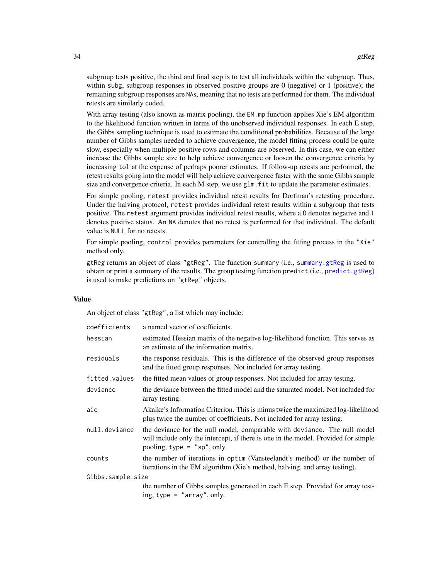subgroup tests positive, the third and final step is to test all individuals within the subgroup. Thus, within subg, subgroup responses in observed positive groups are  $\theta$  (negative) or 1 (positive); the remaining subgroup responses are NAs, meaning that no tests are performed for them. The individual retests are similarly coded.

With array testing (also known as matrix pooling), the EM.mp function applies Xie's EM algorithm to the likelihood function written in terms of the unobserved individual responses. In each E step, the Gibbs sampling technique is used to estimate the conditional probabilities. Because of the large number of Gibbs samples needed to achieve convergence, the model fitting process could be quite slow, especially when multiple positive rows and columns are observed. In this case, we can either increase the Gibbs sample size to help achieve convergence or loosen the convergence criteria by increasing tol at the expense of perhaps poorer estimates. If follow-up retests are performed, the retest results going into the model will help achieve convergence faster with the same Gibbs sample size and convergence criteria. In each M step, we use glm. fit to update the parameter estimates.

For simple pooling, retest provides individual retest results for Dorfman's retesting procedure. Under the halving protocol, retest provides individual retest results within a subgroup that tests positive. The retest argument provides individual retest results, where a 0 denotes negative and 1 denotes positive status. An NA denotes that no retest is performed for that individual. The default value is NULL for no retests.

For simple pooling, control provides parameters for controlling the fitting process in the "Xie" method only.

gtReg returns an object of class "gtReg". The function summary (i.e., [summary.gtReg](#page-98-1) is used to obtain or print a summary of the results. The group testing function predict (i.e., [predict.gtReg](#page-77-1)) is used to make predictions on "gtReg" objects.

#### Value

An object of class "gtReg", a list which may include:

| coefficients      | a named vector of coefficients.                                                                                                                                                                  |
|-------------------|--------------------------------------------------------------------------------------------------------------------------------------------------------------------------------------------------|
|                   |                                                                                                                                                                                                  |
| hessian           | estimated Hessian matrix of the negative log-likelihood function. This serves as<br>an estimate of the information matrix.                                                                       |
| residuals         | the response residuals. This is the difference of the observed group responses<br>and the fitted group responses. Not included for array testing.                                                |
| fitted.values     | the fitted mean values of group responses. Not included for array testing.                                                                                                                       |
| deviance          | the deviance between the fitted model and the saturated model. Not included for<br>array testing.                                                                                                |
| aic               | Akaike's Information Criterion. This is minus twice the maximized log-likelihood<br>plus twice the number of coefficients. Not included for array testing.                                       |
| null.deviance     | the deviance for the null model, comparable with deviance. The null model<br>will include only the intercept, if there is one in the model. Provided for simple<br>pooling, type $=$ "sp", only. |
| counts            | the number of iterations in optim (Vansteelandt's method) or the number of<br>iterations in the EM algorithm (Xie's method, halving, and array testing).                                         |
| Gibbs.sample.size |                                                                                                                                                                                                  |
|                   | the number of Gibbs samples generated in each E step. Provided for array test-<br>ing, type $=$ "array", only.                                                                                   |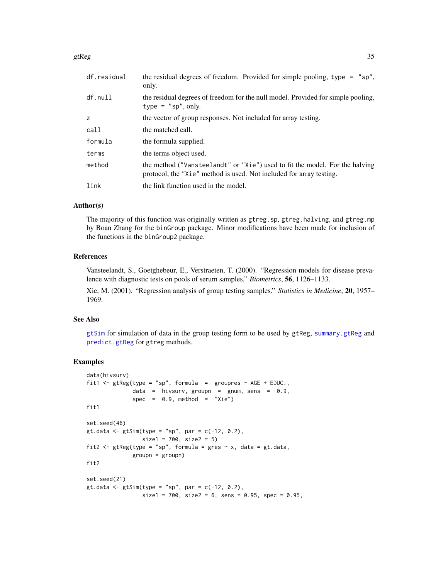#### gtReg  $35$

| df.residual | the residual degrees of freedom. Provided for simple pooling, type = $"sp",$<br>only.                                                              |
|-------------|----------------------------------------------------------------------------------------------------------------------------------------------------|
| df.null     | the residual degrees of freedom for the null model. Provided for simple pooling,<br>type = $"sp", only.$                                           |
| z           | the vector of group responses. Not included for array testing.                                                                                     |
| call        | the matched call.                                                                                                                                  |
| formula     | the formula supplied.                                                                                                                              |
| terms       | the terms object used.                                                                                                                             |
| method      | the method ("Vansteelandt" or "Xie") used to fit the model. For the halving<br>protocol, the "Xie" method is used. Not included for array testing. |
| link        | the link function used in the model.                                                                                                               |
|             |                                                                                                                                                    |

# Author(s)

The majority of this function was originally written as gtreg.sp, gtreg.halving, and gtreg.mp by Boan Zhang for the binGroup package. Minor modifications have been made for inclusion of the functions in the binGroup2 package.

#### References

Vansteelandt, S., Goetghebeur, E., Verstraeten, T. (2000). "Regression models for disease prevalence with diagnostic tests on pools of serum samples." *Biometrics*, 56, 1126–1133.

Xie, M. (2001). "Regression analysis of group testing samples." *Statistics in Medicine*, 20, 1957– 1969.

#### See Also

[gtSim](#page-36-1) for simulation of data in the group testing form to be used by gtReg, [summary.gtReg](#page-98-1) and [predict.gtReg](#page-77-1) for gtreg methods.

```
data(hivsurv)
fit1 <- gtReg(type = "sp", formula = groupres \sim AGE + EDUC.,
             data = hivsurv, groupn = gnum, sens = 0.9,
             spec = 0.9, method = "Xie")
fit1
set.seed(46)
gt.data <- gtlim(type = "sp", par = c(-12, 0.2),size1 = 700, size2 = 5)
fit2 <- gtReg(type = "sp", formula = gres \sim x, data = gt.data,
             groupn = groupn)
fit2
set.seed(21)
gt.data \leq gtSim(type = "sp", par = c(-12, 0.2),
                 size1 = 700, size2 = 6, sense = 0.95, spec = 0.95,
```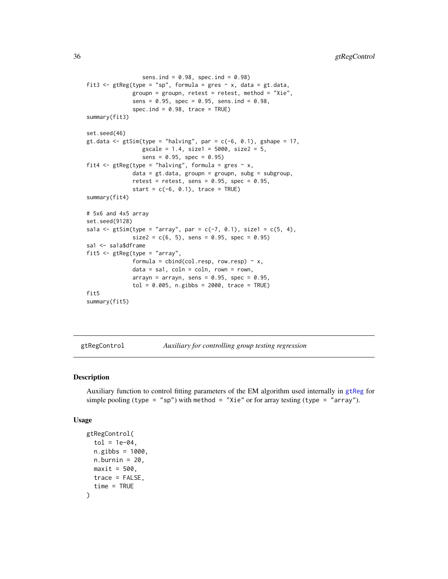```
sens.ind = 0.98, spec.ind = 0.98)
fit3 <- gtReg(type = "sp", formula = gres \sim x, data = gt.data,
              groupn = groupn, retest = retest, method = "Xie",
              sens = 0.95, spec = 0.95, sens.ind = 0.98,
              spec.ind = 0.98, trace = TRUEsummary(fit3)
set.seed(46)
gt.data \leq gtSim(type = "halving", par = c(-6, 0.1), gshape = 17,
                 gscale = 1.4, size1 = 5000, size2 = 5,
                 sens = 0.95, spec = 0.95)fit4 <- gtReg(type = "halving", formula = gres \sim x,
              data = gt.data, groupn = groupn, subg = subgroup,
              retest = retest, sens = 0.95, spec = 0.95,
              start = c(-6, 0.1), trace = TRUE)
summary(fit4)
# 5x6 and 4x5 array
set.seed(9128)
sa1a <- gtSim(type = "array", par = c(-7, 0.1), size1 = c(5, 4),
              size2 = c(6, 5), sens = 0.95, spec = 0.95)
sa1 <- sa1a$dframe
fit5 <- gtReg(type = "array",
              formula = cbind(col.resp, row.resp) ~ x,data = sa1, coln = coln, rown = rown,
              arrayn = arrayn, sens = 0.95, spec = 0.95,
              tol = 0.005, n.gibbs = 2000, trace = TRUE)
fit5
summary(fit5)
```
<span id="page-35-1"></span>gtRegControl *Auxiliary for controlling group testing regression*

#### Description

Auxiliary function to control fitting parameters of the EM algorithm used internally in [gtReg](#page-30-1) for simple pooling (type = "sp") with method = "Xie" or for array testing (type = "array").

#### Usage

```
gtRegControl(
  tol = 1e-04,n.gibbs = 1000.
 n.burnin = 20,
 maxit = 500.
 trace = FALSE,
  time = TRUE
)
```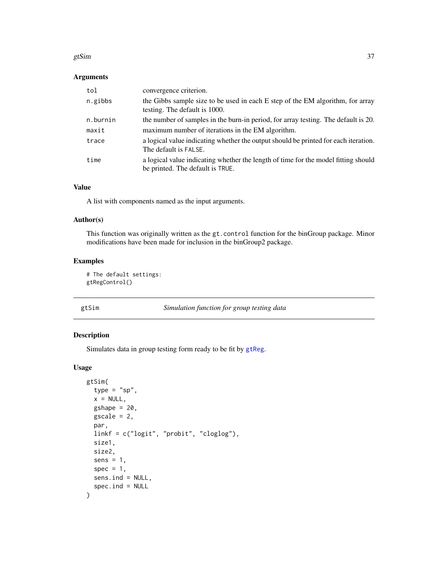#### gtSim 37

## Arguments

| tol      | convergence criterion.                                                                                                 |
|----------|------------------------------------------------------------------------------------------------------------------------|
| n.gibbs  | the Gibbs sample size to be used in each E step of the EM algorithm, for array<br>testing. The default is 1000.        |
| n.burnin | the number of samples in the burn-in period, for array testing. The default is 20.                                     |
| maxit    | maximum number of iterations in the EM algorithm.                                                                      |
| trace    | a logical value indicating whether the output should be printed for each iteration.<br>The default is FALSE.           |
| time     | a logical value indicating whether the length of time for the model fitting should<br>be printed. The default is TRUE. |

#### Value

A list with components named as the input arguments.

### Author(s)

This function was originally written as the gt.control function for the binGroup package. Minor modifications have been made for inclusion in the binGroup2 package.

## Examples

```
# The default settings:
gtRegControl()
```
### gtSim *Simulation function for group testing data*

## Description

Simulates data in group testing form ready to be fit by [gtReg](#page-30-0).

## Usage

```
gtSim(
  type = "sp",
  x = NULL,gshape = 20,
  \text{gscale} = 2,
  par,
  linkf = c("logit", "probit", "cloglog"),
  size1,
  size2,
  sens = 1,
  spec = 1,sens.ind = NULL,
  spec.ind = NULL\mathcal{E}
```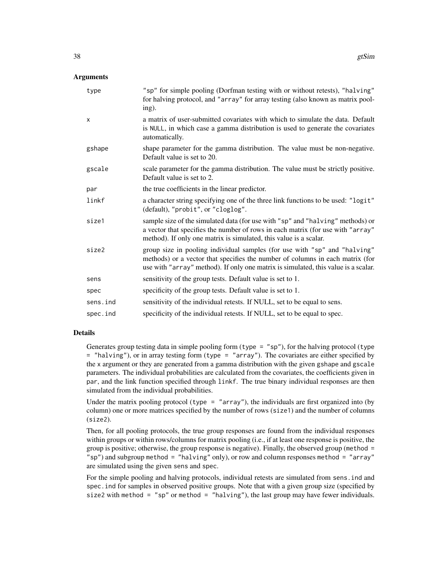## **Arguments**

| type         | "sp" for simple pooling (Dorfman testing with or without retests), "halving"<br>for halving protocol, and "array" for array testing (also known as matrix pool-<br>ing).                                                                         |
|--------------|--------------------------------------------------------------------------------------------------------------------------------------------------------------------------------------------------------------------------------------------------|
| $\mathsf{x}$ | a matrix of user-submitted covariates with which to simulate the data. Default<br>is NULL, in which case a gamma distribution is used to generate the covariates<br>automatically.                                                               |
| gshape       | shape parameter for the gamma distribution. The value must be non-negative.<br>Default value is set to 20.                                                                                                                                       |
| gscale       | scale parameter for the gamma distribution. The value must be strictly positive.<br>Default value is set to 2.                                                                                                                                   |
| par          | the true coefficients in the linear predictor.                                                                                                                                                                                                   |
| linkf        | a character string specifying one of the three link functions to be used: "logit"<br>(default), "probit", or "cloglog".                                                                                                                          |
| size1        | sample size of the simulated data (for use with "sp" and "halving" methods) or<br>a vector that specifies the number of rows in each matrix (for use with "array"<br>method). If only one matrix is simulated, this value is a scalar.           |
| size2        | group size in pooling individual samples (for use with "sp" and "halving"<br>methods) or a vector that specifies the number of columns in each matrix (for<br>use with "array" method). If only one matrix is simulated, this value is a scalar. |
| sens         | sensitivity of the group tests. Default value is set to 1.                                                                                                                                                                                       |
| spec         | specificity of the group tests. Default value is set to 1.                                                                                                                                                                                       |
| sens.ind     | sensitivity of the individual retests. If NULL, set to be equal to sens.                                                                                                                                                                         |
| spec.ind     | specificity of the individual retests. If NULL, set to be equal to spec.                                                                                                                                                                         |

#### Details

Generates group testing data in simple pooling form (type  $=$  "sp"), for the halving protocol (type = "halving"), or in array testing form (type = "array"). The covariates are either specified by the x argument or they are generated from a gamma distribution with the given gshape and gscale parameters. The individual probabilities are calculated from the covariates, the coefficients given in par, and the link function specified through linkf. The true binary individual responses are then simulated from the individual probabilities.

Under the matrix pooling protocol (type = "array"), the individuals are first organized into (by column) one or more matrices specified by the number of rows (size1) and the number of columns (size2).

Then, for all pooling protocols, the true group responses are found from the individual responses within groups or within rows/columns for matrix pooling (i.e., if at least one response is positive, the group is positive; otherwise, the group response is negative). Finally, the observed group (method = "sp") and subgroup method = "halving" only), or row and column responses method = "array" are simulated using the given sens and spec.

For the simple pooling and halving protocols, individual retests are simulated from sens.ind and spec.ind for samples in observed positive groups. Note that with a given group size (specified by size2 with method = "sp" or method = "halving"), the last group may have fewer individuals.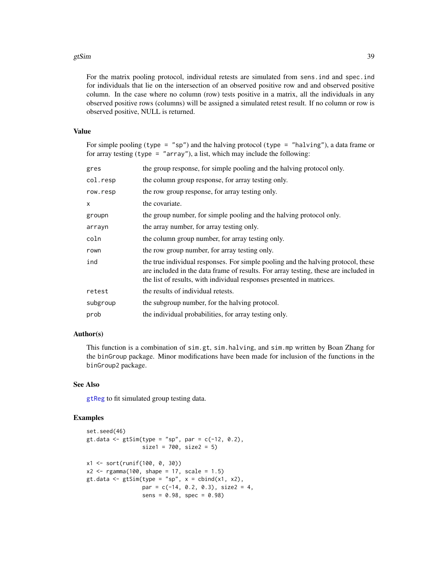#### gtSim 39

For the matrix pooling protocol, individual retests are simulated from sens.ind and spec.ind for individuals that lie on the intersection of an observed positive row and and observed positive column. In the case where no column (row) tests positive in a matrix, all the individuals in any observed positive rows (columns) will be assigned a simulated retest result. If no column or row is observed positive, NULL is returned.

### Value

For simple pooling (type = "sp") and the halving protocol (type = "halving"), a data frame or for array testing (type = "array"), a list, which may include the following:

| gres     | the group response, for simple pooling and the halving protocol only.                                                                                                                                                                             |
|----------|---------------------------------------------------------------------------------------------------------------------------------------------------------------------------------------------------------------------------------------------------|
| col.resp | the column group response, for array testing only.                                                                                                                                                                                                |
| row.resp | the row group response, for array testing only.                                                                                                                                                                                                   |
| X        | the covariate.                                                                                                                                                                                                                                    |
| groupn   | the group number, for simple pooling and the halving protocol only.                                                                                                                                                                               |
| arrayn   | the array number, for array testing only.                                                                                                                                                                                                         |
| coln     | the column group number, for array testing only.                                                                                                                                                                                                  |
| rown     | the row group number, for array testing only.                                                                                                                                                                                                     |
| ind      | the true individual responses. For simple pooling and the halving protocol, these<br>are included in the data frame of results. For array testing, these are included in<br>the list of results, with individual responses presented in matrices. |
| retest   | the results of individual retests.                                                                                                                                                                                                                |
| subgroup | the subgroup number, for the halving protocol.                                                                                                                                                                                                    |
| prob     | the individual probabilities, for array testing only.                                                                                                                                                                                             |

### Author(s)

This function is a combination of sim.gt, sim.halving, and sim.mp written by Boan Zhang for the binGroup package. Minor modifications have been made for inclusion of the functions in the binGroup2 package.

### See Also

[gtReg](#page-30-0) to fit simulated group testing data.

```
set.seed(46)
gt.data <- gtSim(type = "sp", par = c(-12, 0.2),
                   size1 = 700, size2 = 5)x1 <- sort(runif(100, 0, 30))
x2 \leq - \text{rgamma}(100, \text{ shape} = 17, \text{ scale} = 1.5)gt.data <- gtSim(type = "sp", x = \text{cbind}(x1, x2),
                   par = c(-14, 0.2, 0.3), size2 = 4,
                   sens = 0.98, spec = 0.98)
```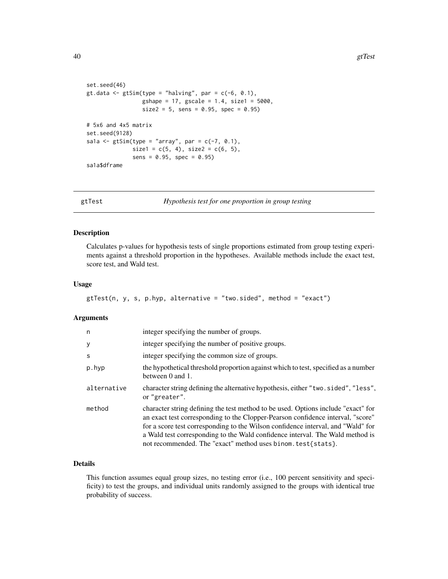```
set.seed(46)
gt.data <- gtSim(type = "halving", par = c(-6, 0.1),
                 gshape = 17, gscale = 1.4, size1 = 5000,
                 size2 = 5, sens = 0.95, spec = 0.95)
# 5x6 and 4x5 matrix
set.seed(9128)
sa1a \leq gtSim(type = "array", par = c(-7, 0.1),
              size1 = c(5, 4), size2 = c(6, 5),sens = 0.95, spec = 0.95)
sa1a$dframe
```
<span id="page-39-0"></span>gtTest *Hypothesis test for one proportion in group testing*

## Description

Calculates p-values for hypothesis tests of single proportions estimated from group testing experiments against a threshold proportion in the hypotheses. Available methods include the exact test, score test, and Wald test.

### Usage

```
gtTest(n, y, s, p.hyp, alternative = "two.sided", method = "exact")
```
#### Arguments

| n           | integer specifying the number of groups.                                                                                                                                                                                                                                                                                                                                                                  |
|-------------|-----------------------------------------------------------------------------------------------------------------------------------------------------------------------------------------------------------------------------------------------------------------------------------------------------------------------------------------------------------------------------------------------------------|
| у           | integer specifying the number of positive groups.                                                                                                                                                                                                                                                                                                                                                         |
| S           | integer specifying the common size of groups.                                                                                                                                                                                                                                                                                                                                                             |
| p.hyp       | the hypothetical threshold proportion against which to test, specified as a number<br>between 0 and 1.                                                                                                                                                                                                                                                                                                    |
| alternative | character string defining the alternative hypothesis, either "two.sided", "less",<br>or "greater".                                                                                                                                                                                                                                                                                                        |
| method      | character string defining the test method to be used. Options include "exact" for<br>an exact test corresponding to the Clopper-Pearson confidence interval, "score"<br>for a score test corresponding to the Wilson confidence interval, and "Wald" for<br>a Wald test corresponding to the Wald confidence interval. The Wald method is<br>not recommended. The "exact" method uses binom. test{stats}. |

### Details

This function assumes equal group sizes, no testing error (i.e., 100 percent sensitivity and specificity) to test the groups, and individual units randomly assigned to the groups with identical true probability of success.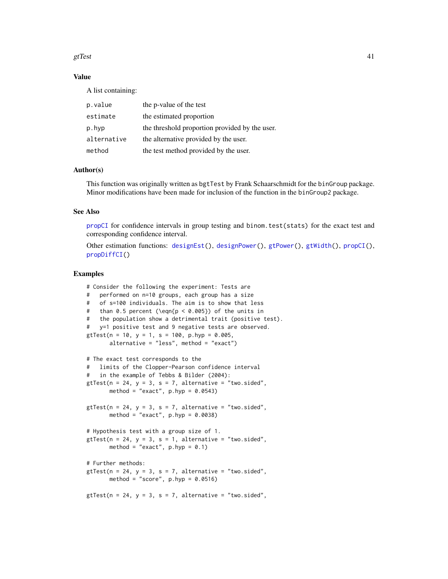#### gtTest  $41$

## Value

A list containing:

| p.value     | the p-value of the test                        |
|-------------|------------------------------------------------|
| estimate    | the estimated proportion                       |
| p.hyp       | the threshold proportion provided by the user. |
| alternative | the alternative provided by the user.          |
| method      | the test method provided by the user.          |

### Author(s)

This function was originally written as bgtTest by Frank Schaarschmidt for the binGroup package. Minor modifications have been made for inclusion of the function in the binGroup2 package.

### See Also

[propCI](#page-88-0) for confidence intervals in group testing and binom.test(stats) for the exact test and corresponding confidence interval.

Other estimation functions: [designEst\(](#page-14-0)), [designPower\(](#page-16-0)), [gtPower\(](#page-28-0)), [gtWidth\(](#page-41-0)), [propCI\(](#page-88-0)), [propDiffCI\(](#page-92-0))

```
# Consider the following the experiment: Tests are
# performed on n=10 groups, each group has a size
# of s=100 individuals. The aim is to show that less
# than 0.5 percent (\eqn{p < 0.005}) of the units in
# the population show a detrimental trait (positive test).
# y=1 positive test and 9 negative tests are observed.
gtTest(n = 10, y = 1, s = 100, p.hyp = 0.005,
      alternative = "less", method = "exact")
# The exact test corresponds to the
# limits of the Clopper-Pearson confidence interval
# in the example of Tebbs & Bilder (2004):
gtTest(n = 24, y = 3, s = 7, alternative = "two.sided",method = "exact", p.hyp = 0.0543)
gtTest(n = 24, y = 3, s = 7, alternative = "two.sided",method = "exact", p.hyp = 0.0038)
# Hypothesis test with a group size of 1.
gtTest(n = 24, y = 3, s = 1, alternative = "two-sided",method = "exact", p.hyp = 0.1)
# Further methods:
gtTest(n = 24, y = 3, s = 7, alternative = "two.sided",method = "score", p.hyp = 0.0516)
gtTest(n = 24, y = 3, s = 7, alternative = "two.sided",
```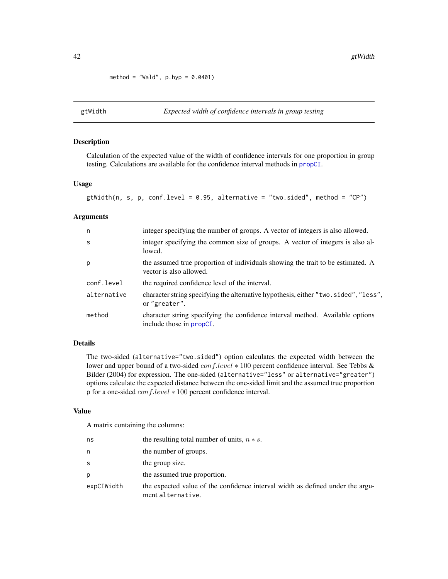method = "Wald",  $p.hyp = 0.0401$ )

<span id="page-41-0"></span>

### Description

Calculation of the expected value of the width of confidence intervals for one proportion in group testing. Calculations are available for the confidence interval methods in [propCI](#page-88-0).

### Usage

```
gtWidth(n, s, p, conf. level = 0.95, alternative = "two. sided", method = "CP")
```
## Arguments

| n            | integer specifying the number of groups. A vector of integers is also allowed.                                    |
|--------------|-------------------------------------------------------------------------------------------------------------------|
| <sub>S</sub> | integer specifying the common size of groups. A vector of integers is also al-<br>lowed.                          |
| p            | the assumed true proportion of individuals showing the trait to be estimated. A<br>vector is also allowed.        |
| conf.level   | the required confidence level of the interval.                                                                    |
| alternative  | character string specifying the alternative hypothesis, either "two.sided", "less",<br>or "greater".              |
| method       | character string specifying the confidence interval method. Available options<br>include those in <b>propCI</b> . |

# Details

The two-sided (alternative="two.sided") option calculates the expected width between the lower and upper bound of a two-sided conf.level ∗ 100 percent confidence interval. See Tebbs & Bilder (2004) for expression. The one-sided (alternative="less" or alternative="greater") options calculate the expected distance between the one-sided limit and the assumed true proportion p for a one-sided conf.level ∗ 100 percent confidence interval.

#### Value

A matrix containing the columns:

| ns         | the resulting total number of units, $n * s$ .                                                      |
|------------|-----------------------------------------------------------------------------------------------------|
| n          | the number of groups.                                                                               |
| S          | the group size.                                                                                     |
| D          | the assumed true proportion.                                                                        |
| expCIWidth | the expected value of the confidence interval width as defined under the argu-<br>ment alternative. |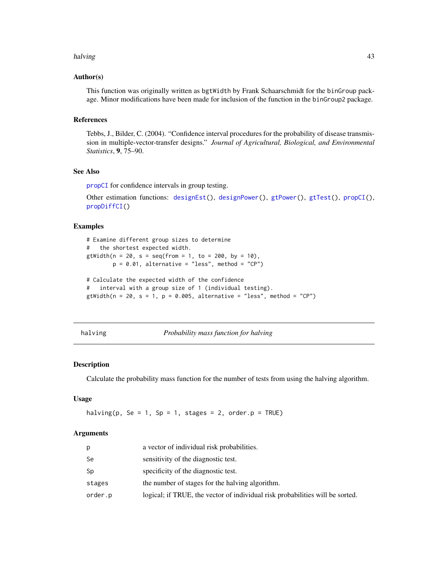#### halving the contract of the contract of the contract of the contract of the contract of the contract of the contract of the contract of the contract of the contract of the contract of the contract of the contract of the co

### Author(s)

This function was originally written as bgtWidth by Frank Schaarschmidt for the binGroup package. Minor modifications have been made for inclusion of the function in the binGroup2 package.

### References

Tebbs, J., Bilder, C. (2004). "Confidence interval procedures for the probability of disease transmission in multiple-vector-transfer designs." *Journal of Agricultural, Biological, and Environmental Statistics*, 9, 75–90.

#### See Also

[propCI](#page-88-0) for confidence intervals in group testing.

```
Other estimation functions: designEst(), designPower(), gtPower(), gtTest(), propCI(),
propDiffCI()
```
### Examples

```
# Examine different group sizes to determine
# the shortest expected width.
gtWidth(n = 20, s = seq(from = 1, to = 200, by = 10),p = 0.01, alternative = "less", method = "CP")
# Calculate the expected width of the confidence
```
# interval with a group size of 1 (individual testing). gtWidth( $n = 20$ ,  $s = 1$ ,  $p = 0.005$ , alternative = "less", method = "CP")

<span id="page-42-0"></span>

| halving |  |
|---------|--|
|         |  |

*Probability mass function for halving* 

#### Description

Calculate the probability mass function for the number of tests from using the halving algorithm.

### Usage

halving(p, Se = 1, Sp = 1, stages = 2, order.p = TRUE)

#### **Arguments**

| p       | a vector of individual risk probabilities.                                    |
|---------|-------------------------------------------------------------------------------|
| Se      | sensitivity of the diagnostic test.                                           |
| Sp      | specificity of the diagnostic test.                                           |
| stages  | the number of stages for the halving algorithm.                               |
| order.p | logical; if TRUE, the vector of individual risk probabilities will be sorted. |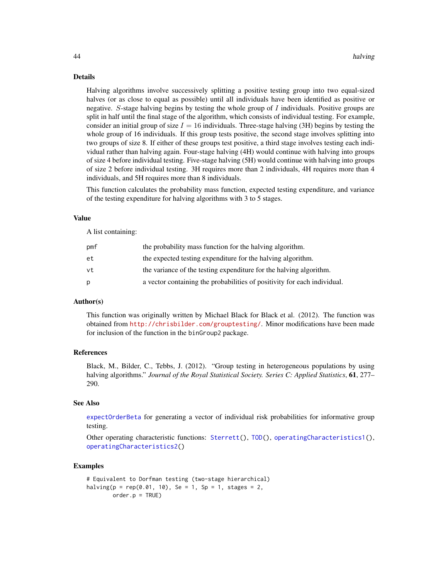### Details

Halving algorithms involve successively splitting a positive testing group into two equal-sized halves (or as close to equal as possible) until all individuals have been identified as positive or negative. S-stage halving begins by testing the whole group of  $I$  individuals. Positive groups are split in half until the final stage of the algorithm, which consists of individual testing. For example, consider an initial group of size  $I = 16$  individuals. Three-stage halving (3H) begins by testing the whole group of 16 individuals. If this group tests positive, the second stage involves splitting into two groups of size 8. If either of these groups test positive, a third stage involves testing each individual rather than halving again. Four-stage halving (4H) would continue with halving into groups of size 4 before individual testing. Five-stage halving (5H) would continue with halving into groups of size 2 before individual testing. 3H requires more than 2 individuals, 4H requires more than 4 individuals, and 5H requires more than 8 individuals.

This function calculates the probability mass function, expected testing expenditure, and variance of the testing expenditure for halving algorithms with 3 to 5 stages.

#### Value

A list containing:

| pmf | the probability mass function for the halving algorithm.                 |
|-----|--------------------------------------------------------------------------|
| et  | the expected testing expenditure for the halving algorithm.              |
| vt  | the variance of the testing expenditure for the halving algorithm.       |
| D   | a vector containing the probabilities of positivity for each individual. |

### Author(s)

This function was originally written by Michael Black for Black et al. (2012). The function was obtained from <http://chrisbilder.com/grouptesting/>. Minor modifications have been made for inclusion of the function in the binGroup2 package.

#### References

Black, M., Bilder, C., Tebbs, J. (2012). "Group testing in heterogeneous populations by using halving algorithms." *Journal of the Royal Statistical Society. Series C: Applied Statistics*, 61, 277– 290.

### See Also

[expectOrderBeta](#page-19-0) for generating a vector of individual risk probabilities for informative group testing.

Other operating characteristic functions: [Sterrett\(](#page-96-0)), [TOD\(](#page-105-0)), [operatingCharacteristics1\(](#page-47-0)), [operatingCharacteristics2\(](#page-53-0))

```
# Equivalent to Dorfman testing (two-stage hierarchical)
halving(p = rep(0.01, 10), Se = 1, Sp = 1, stages = 2,
       order.p = TRUE)
```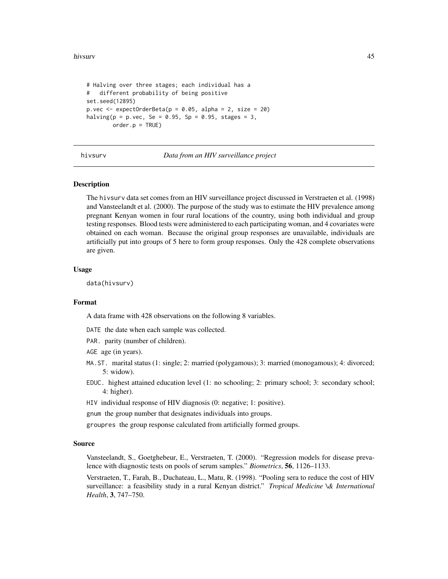#### hivsurv and the contract of the contract of the contract of the contract of the contract of the contract of the contract of the contract of the contract of the contract of the contract of the contract of the contract of th

```
# Halving over three stages; each individual has a
# different probability of being positive
set.seed(12895)
p.vec \leq expectOrderBeta(p = 0.05, alpha = 2, size = 20)
halving(p = p. vec, Se = 0.95, Sp = 0.95, stages = 3,
        order.p = TRUE)
```
hivsurv *Data from an HIV surveillance project*

### Description

The hivsurv data set comes from an HIV surveillance project discussed in Verstraeten et al. (1998) and Vansteelandt et al. (2000). The purpose of the study was to estimate the HIV prevalence among pregnant Kenyan women in four rural locations of the country, using both individual and group testing responses. Blood tests were administered to each participating woman, and 4 covariates were obtained on each woman. Because the original group responses are unavailable, individuals are artificially put into groups of 5 here to form group responses. Only the 428 complete observations are given.

#### Usage

data(hivsurv)

#### Format

A data frame with 428 observations on the following 8 variables.

DATE the date when each sample was collected.

PAR. parity (number of children).

AGE age (in years).

- MA.ST. marital status (1: single; 2: married (polygamous); 3: married (monogamous); 4: divorced; 5: widow).
- EDUC. highest attained education level (1: no schooling; 2: primary school; 3: secondary school; 4: higher).
- HIV individual response of HIV diagnosis (0: negative; 1: positive).

gnum the group number that designates individuals into groups.

groupres the group response calculated from artificially formed groups.

#### Source

Vansteelandt, S., Goetghebeur, E., Verstraeten, T. (2000). "Regression models for disease prevalence with diagnostic tests on pools of serum samples." *Biometrics*, 56, 1126–1133.

Verstraeten, T., Farah, B., Duchateau, L., Matu, R. (1998). "Pooling sera to reduce the cost of HIV surveillance: a feasibility study in a rural Kenyan district." *Tropical Medicine \& International Health*, 3, 747–750.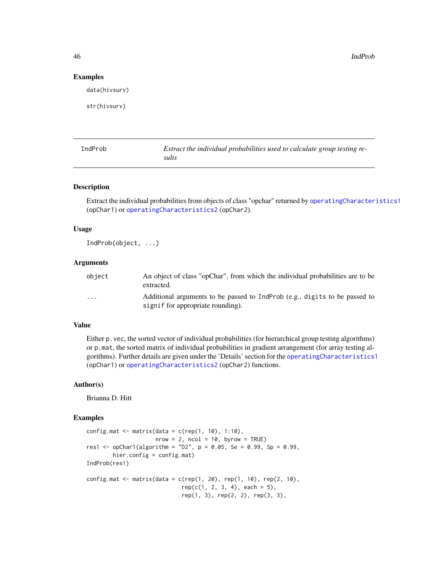46 and the contract of the contract of the contract of the contract of the contract of the contract of the contract of the contract of the contract of the contract of the contract of the contract of the contract of the con

#### Examples

data(hivsurv)

str(hivsurv)

IndProb *Extract the individual probabilities used to calculate group testing results*

#### Description

Extract the individual probabilities from objects of class "opchar" returned by [operatingCharacteristics1](#page-47-0) (opChar1) or [operatingCharacteristics2](#page-53-0) (opChar2).

### Usage

IndProb(object, ...)

#### Arguments

| obiect   | An object of class "opChar", from which the individual probabilities are to be<br>extracted.                    |
|----------|-----------------------------------------------------------------------------------------------------------------|
| $\cdots$ | Additional arguments to be passed to IndProb (e.g., digits to be passed to<br>signif for appropriate rounding). |

# Value

Either p.vec, the sorted vector of individual probabilities (for hierarchical group testing algorithms) or p.mat, the sorted matrix of individual probabilities in gradient arrangement (for array testing algorithms). Further details are given under the 'Details' section for the [operatingCharacteristics1](#page-47-0) (opChar1) or [operatingCharacteristics2](#page-53-0) (opChar2) functions.

### Author(s)

Brianna D. Hitt

```
config.mat \leq matrix(data = c(rep(1, 10), 1:10),
                    nrow = 2, ncol = 10, byrow = TRUE)
res1 <- opChar1(algorithm = "D2", p = 0.05, Se = 0.99, Sp = 0.99,
        hier.config = config.mat)
IndProb(res1)
config.mat <- matrix(data = c(rep(1, 20), rep(1, 10), rep(2, 10),rep(c(1, 2, 3, 4), each = 5),rep(1, 3), rep(2, 2), rep(3, 3),
```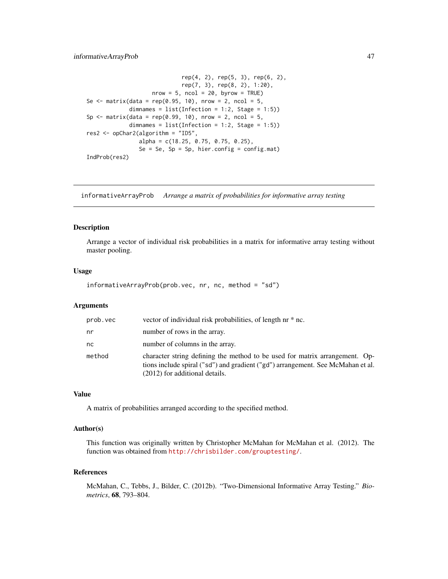```
rep(4, 2), rep(5, 3), rep(6, 2),
                             rep(7, 3), rep(8, 2), 1:20),
                    nrow = 5, ncol = 20, byrow = TRUE)
Se \le matrix(data = rep(0.95, 10), nrow = 2, ncol = 5,
             dimnames = list(Inflection = 1:2, Stage = 1:5))Sp \le matrix(data = rep(0.99, 10), nrow = 2, ncol = 5,
             dimnames = list(Inflection = 1:2, Stage = 1:5))
res2 <- opChar2(algorithm = "ID5",
                alpha = c(18.25, 0.75, 0.75, 0.25),
                Se = Se, Sp = Sp, hier.config = config.mat)
IndProb(res2)
```
informativeArrayProb *Arrange a matrix of probabilities for informative array testing*

#### **Description**

Arrange a vector of individual risk probabilities in a matrix for informative array testing without master pooling.

#### Usage

```
informativeArrayProb(prob.vec, nr, nc, method = "sd")
```
# Arguments

| prob.vec | vector of individual risk probabilities, of length nr * nc.                                                                                                                                      |
|----------|--------------------------------------------------------------------------------------------------------------------------------------------------------------------------------------------------|
| nr       | number of rows in the array.                                                                                                                                                                     |
| nc       | number of columns in the array.                                                                                                                                                                  |
| method   | character string defining the method to be used for matrix arrangement. Op-<br>tions include spiral ("sd") and gradient ("gd") arrangement. See McMahan et al.<br>(2012) for additional details. |

## Value

A matrix of probabilities arranged according to the specified method.

#### Author(s)

This function was originally written by Christopher McMahan for McMahan et al. (2012). The function was obtained from <http://chrisbilder.com/grouptesting/>.

### References

McMahan, C., Tebbs, J., Bilder, C. (2012b). "Two-Dimensional Informative Array Testing." *Biometrics*, 68, 793–804.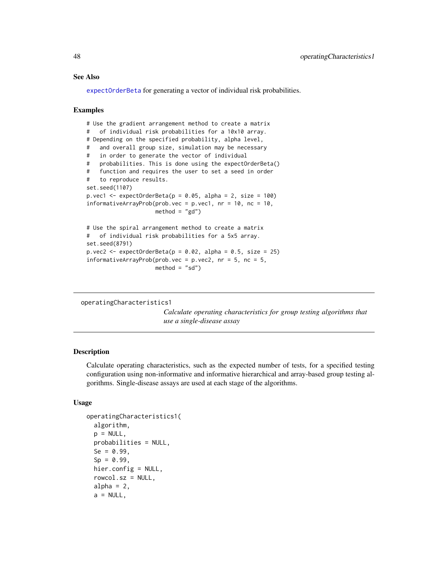### See Also

[expectOrderBeta](#page-19-0) for generating a vector of individual risk probabilities.

#### Examples

```
# Use the gradient arrangement method to create a matrix
# of individual risk probabilities for a 10x10 array.
# Depending on the specified probability, alpha level,
# and overall group size, simulation may be necessary
# in order to generate the vector of individual
# probabilities. This is done using the expectOrderBeta()
# function and requires the user to set a seed in order
# to reproduce results.
set.seed(1107)
p.vec1 <- expectOrderBeta(p = 0.05, alpha = 2, size = 100)
informativeArrayProb(prob.vec = p.vec1, nr = 10, nc = 10,
                    method = "gd")# Use the spiral arrangement method to create a matrix
# of individual risk probabilities for a 5x5 array.
set.seed(8791)
p.vec2 <- expectOrderBeta(p = 0.02, alpha = 0.5, size = 25)
informativeArrayProb(prob.vec = p.vec2, nr = 5, nc = 5,
                    method = "sd")
```

```
operatingCharacteristics1
```
*Calculate operating characteristics for group testing algorithms that use a single-disease assay*

### <span id="page-47-1"></span>Description

Calculate operating characteristics, such as the expected number of tests, for a specified testing configuration using non-informative and informative hierarchical and array-based group testing algorithms. Single-disease assays are used at each stage of the algorithms.

### Usage

```
operatingCharacteristics1(
  algorithm,
 p = NULL,probabilities = NULL,
  Se = 0.99,
  Sp = 0.99,
 hier.config = NULL,
  rowcol.sz = NULL,
  alpha = 2,
  a = NULL,
```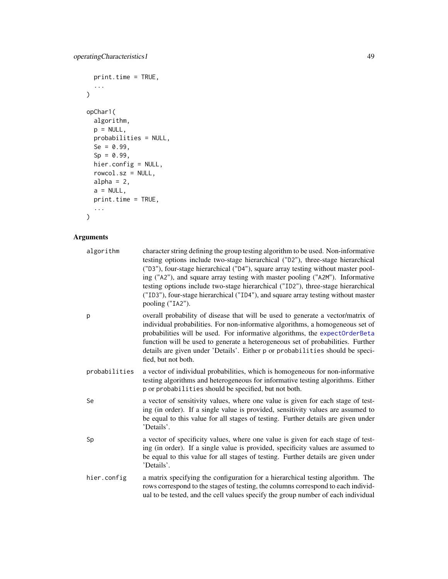```
print.time = TRUE,
  ...
\overline{)}opChar1(
  algorithm,
  p = NULL,probabilities = NULL,
  Se = 0.99,
  Sp = 0.99,
  hier.config = NULL,
  rowcol.sz = NULL,
  alpha = 2,
  a = NULL,print.time = TRUE,
  ...
\overline{)}
```
# Arguments

| algorithm     | character string defining the group testing algorithm to be used. Non-informative<br>testing options include two-stage hierarchical ("D2"), three-stage hierarchical<br>("D3"), four-stage hierarchical ("D4"), square array testing without master pool-<br>ing ("A2"), and square array testing with master pooling ("A2M"). Informative<br>testing options include two-stage hierarchical ("ID2"), three-stage hierarchical<br>("ID3"), four-stage hierarchical ("ID4"), and square array testing without master<br>pooling ("IA2"). |
|---------------|-----------------------------------------------------------------------------------------------------------------------------------------------------------------------------------------------------------------------------------------------------------------------------------------------------------------------------------------------------------------------------------------------------------------------------------------------------------------------------------------------------------------------------------------|
| p             | overall probability of disease that will be used to generate a vector/matrix of<br>individual probabilities. For non-informative algorithms, a homogeneous set of<br>probabilities will be used. For informative algorithms, the expectOrderBeta<br>function will be used to generate a heterogeneous set of probabilities. Further<br>details are given under 'Details'. Either p or probabilities should be speci-<br>fied, but not both.                                                                                             |
| probabilities | a vector of individual probabilities, which is homogeneous for non-informative<br>testing algorithms and heterogeneous for informative testing algorithms. Either<br>p or probabilities should be specified, but not both.                                                                                                                                                                                                                                                                                                              |
| Se            | a vector of sensitivity values, where one value is given for each stage of test-<br>ing (in order). If a single value is provided, sensitivity values are assumed to<br>be equal to this value for all stages of testing. Further details are given under<br>'Details'.                                                                                                                                                                                                                                                                 |
| Sp            | a vector of specificity values, where one value is given for each stage of test-<br>ing (in order). If a single value is provided, specificity values are assumed to<br>be equal to this value for all stages of testing. Further details are given under<br>'Details'.                                                                                                                                                                                                                                                                 |
| hier.config   | a matrix specifying the configuration for a hierarchical testing algorithm. The<br>rows correspond to the stages of testing, the columns correspond to each individ-<br>ual to be tested, and the cell values specify the group number of each individual                                                                                                                                                                                                                                                                               |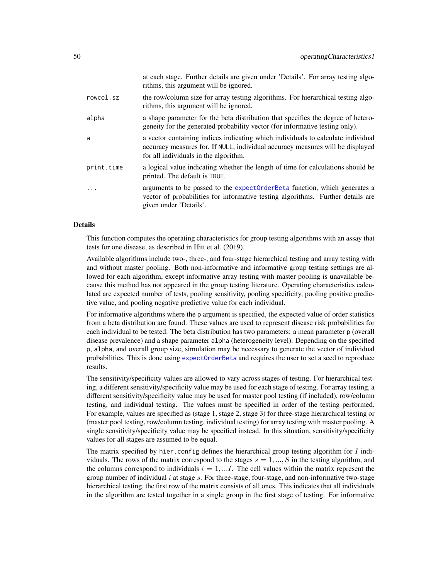|            | at each stage. Further details are given under 'Details'. For array testing algo-<br>rithms, this argument will be ignored.                                                                                 |
|------------|-------------------------------------------------------------------------------------------------------------------------------------------------------------------------------------------------------------|
| rowcol.sz  | the row/column size for array testing algorithms. For hierarchical testing algo-<br>rithms, this argument will be ignored.                                                                                  |
| alpha      | a shape parameter for the beta distribution that specifies the degree of hetero-<br>geneity for the generated probability vector (for informative testing only).                                            |
| a          | a vector containing indices indicating which individuals to calculate individual<br>accuracy measures for. If NULL, individual accuracy measures will be displayed<br>for all individuals in the algorithm. |
| print.time | a logical value indicating whether the length of time for calculations should be<br>printed. The default is TRUE.                                                                                           |
| $\ddotsc$  | arguments to be passed to the expectOrderBeta function, which generates a<br>vector of probabilities for informative testing algorithms. Further details are<br>given under 'Details'.                      |

## Details

This function computes the operating characteristics for group testing algorithms with an assay that tests for one disease, as described in Hitt et al. (2019).

Available algorithms include two-, three-, and four-stage hierarchical testing and array testing with and without master pooling. Both non-informative and informative group testing settings are allowed for each algorithm, except informative array testing with master pooling is unavailable because this method has not appeared in the group testing literature. Operating characteristics calculated are expected number of tests, pooling sensitivity, pooling specificity, pooling positive predictive value, and pooling negative predictive value for each individual.

For informative algorithms where the p argument is specified, the expected value of order statistics from a beta distribution are found. These values are used to represent disease risk probabilities for each individual to be tested. The beta distribution has two parameters: a mean parameter p (overall disease prevalence) and a shape parameter alpha (heterogeneity level). Depending on the specified p, alpha, and overall group size, simulation may be necessary to generate the vector of individual probabilities. This is done using [expectOrderBeta](#page-19-0) and requires the user to set a seed to reproduce results.

The sensitivity/specificity values are allowed to vary across stages of testing. For hierarchical testing, a different sensitivity/specificity value may be used for each stage of testing. For array testing, a different sensitivity/specificity value may be used for master pool testing (if included), row/column testing, and individual testing. The values must be specified in order of the testing performed. For example, values are specified as (stage 1, stage 2, stage 3) for three-stage hierarchical testing or (master pool testing, row/column testing, individual testing) for array testing with master pooling. A single sensitivity/specificity value may be specified instead. In this situation, sensitivity/specificity values for all stages are assumed to be equal.

The matrix specified by hier. config defines the hierarchical group testing algorithm for  $I$  individuals. The rows of the matrix correspond to the stages  $s = 1, ..., S$  in the testing algorithm, and the columns correspond to individuals  $i = 1, \dots, I$ . The cell values within the matrix represent the group number of individual  $i$  at stage  $s$ . For three-stage, four-stage, and non-informative two-stage hierarchical testing, the first row of the matrix consists of all ones. This indicates that all individuals in the algorithm are tested together in a single group in the first stage of testing. For informative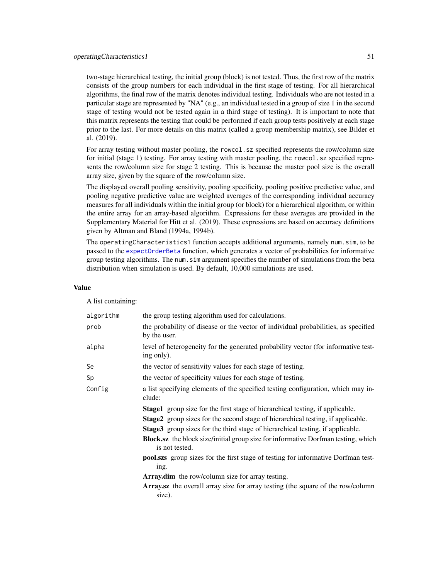two-stage hierarchical testing, the initial group (block) is not tested. Thus, the first row of the matrix consists of the group numbers for each individual in the first stage of testing. For all hierarchical algorithms, the final row of the matrix denotes individual testing. Individuals who are not tested in a particular stage are represented by "NA" (e.g., an individual tested in a group of size 1 in the second stage of testing would not be tested again in a third stage of testing). It is important to note that this matrix represents the testing that could be performed if each group tests positively at each stage prior to the last. For more details on this matrix (called a group membership matrix), see Bilder et al. (2019).

For array testing without master pooling, the rowcol.sz specified represents the row/column size for initial (stage 1) testing. For array testing with master pooling, the rowcol.sz specified represents the row/column size for stage 2 testing. This is because the master pool size is the overall array size, given by the square of the row/column size.

The displayed overall pooling sensitivity, pooling specificity, pooling positive predictive value, and pooling negative predictive value are weighted averages of the corresponding individual accuracy measures for all individuals within the initial group (or block) for a hierarchical algorithm, or within the entire array for an array-based algorithm. Expressions for these averages are provided in the Supplementary Material for Hitt et al. (2019). These expressions are based on accuracy definitions given by Altman and Bland (1994a, 1994b).

The operatingCharacteristics1 function accepts additional arguments, namely num.sim, to be passed to the [expectOrderBeta](#page-19-0) function, which generates a vector of probabilities for informative group testing algorithms. The num.sim argument specifies the number of simulations from the beta distribution when simulation is used. By default, 10,000 simulations are used.

#### Value

A list containing:

| algorithm | the group testing algorithm used for calculations.                                                                                                                                                                                                                                                                                                                                                                                                                                                                                                                                                                                         |
|-----------|--------------------------------------------------------------------------------------------------------------------------------------------------------------------------------------------------------------------------------------------------------------------------------------------------------------------------------------------------------------------------------------------------------------------------------------------------------------------------------------------------------------------------------------------------------------------------------------------------------------------------------------------|
| prob      | the probability of disease or the vector of individual probabilities, as specified<br>by the user.                                                                                                                                                                                                                                                                                                                                                                                                                                                                                                                                         |
| alpha     | level of heterogeneity for the generated probability vector (for informative test-<br>ing only).                                                                                                                                                                                                                                                                                                                                                                                                                                                                                                                                           |
| Se        | the vector of sensitivity values for each stage of testing.                                                                                                                                                                                                                                                                                                                                                                                                                                                                                                                                                                                |
| Sp        | the vector of specificity values for each stage of testing.                                                                                                                                                                                                                                                                                                                                                                                                                                                                                                                                                                                |
| Config    | a list specifying elements of the specified testing configuration, which may in-<br>clude:                                                                                                                                                                                                                                                                                                                                                                                                                                                                                                                                                 |
|           | <b>Stage1</b> group size for the first stage of hierarchical testing, if applicable.<br><b>Stage2</b> group sizes for the second stage of hierarchical testing, if applicable.<br><b>Stage3</b> group sizes for the third stage of hierarchical testing, if applicable.<br><b>Block.sz</b> the block size/initial group size for informative Dorfman testing, which<br>is not tested.<br>pool.szs group sizes for the first stage of testing for informative Dorfman test-<br>ing.<br><b>Array.dim</b> the row/column size for array testing.<br>Array.sz the overall array size for array testing (the square of the row/column<br>size). |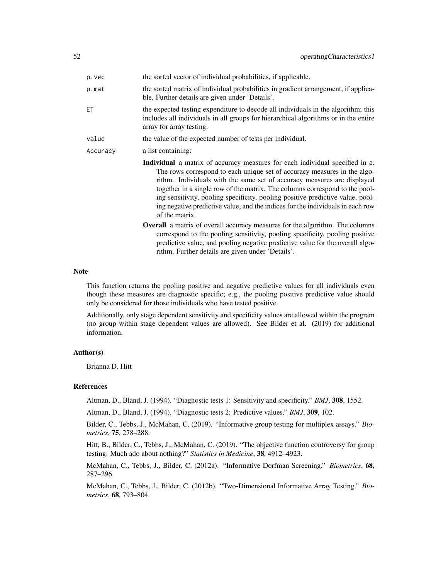| p.vec    | the sorted vector of individual probabilities, if applicable.                                                                                                                                                                                                                                                                                                                                                                                                                                                   |
|----------|-----------------------------------------------------------------------------------------------------------------------------------------------------------------------------------------------------------------------------------------------------------------------------------------------------------------------------------------------------------------------------------------------------------------------------------------------------------------------------------------------------------------|
| p.mat    | the sorted matrix of individual probabilities in gradient arrangement, if applica-<br>ble. Further details are given under 'Details'.                                                                                                                                                                                                                                                                                                                                                                           |
| ЕT       | the expected testing expenditure to decode all individuals in the algorithm; this<br>includes all individuals in all groups for hierarchical algorithms or in the entire<br>array for array testing.                                                                                                                                                                                                                                                                                                            |
| value    | the value of the expected number of tests per individual.                                                                                                                                                                                                                                                                                                                                                                                                                                                       |
| Accuracy | a list containing:                                                                                                                                                                                                                                                                                                                                                                                                                                                                                              |
|          | <b>Individual</b> a matrix of accuracy measures for each individual specified in a.<br>The rows correspond to each unique set of accuracy measures in the algo-<br>rithm. Individuals with the same set of accuracy measures are displayed<br>together in a single row of the matrix. The columns correspond to the pool-<br>ing sensitivity, pooling specificity, pooling positive predictive value, pool-<br>ing negative predictive value, and the indices for the individuals in each row<br>of the matrix. |
|          | <b>Overall</b> a matrix of overall accuracy measures for the algorithm. The columns<br>correspond to the pooling sensitivity, pooling specificity, pooling positive<br>predictive value, and pooling negative predictive value for the overall algo-<br>rithm. Further details are given under 'Details'.                                                                                                                                                                                                       |

#### Note

This function returns the pooling positive and negative predictive values for all individuals even though these measures are diagnostic specific; e.g., the pooling positive predictive value should only be considered for those individuals who have tested positive.

Additionally, only stage dependent sensitivity and specificity values are allowed within the program (no group within stage dependent values are allowed). See Bilder et al. (2019) for additional information.

### Author(s)

Brianna D. Hitt

## References

Altman, D., Bland, J. (1994). "Diagnostic tests 1: Sensitivity and specificity." *BMJ*, 308, 1552.

Altman, D., Bland, J. (1994). "Diagnostic tests 2: Predictive values." *BMJ*, 309, 102.

Bilder, C., Tebbs, J., McMahan, C. (2019). "Informative group testing for multiplex assays." *Biometrics*, 75, 278–288.

Hitt, B., Bilder, C., Tebbs, J., McMahan, C. (2019). "The objective function controversy for group testing: Much ado about nothing?" *Statistics in Medicine*, 38, 4912–4923.

McMahan, C., Tebbs, J., Bilder, C. (2012a). "Informative Dorfman Screening." *Biometrics*, 68, 287–296.

McMahan, C., Tebbs, J., Bilder, C. (2012b). "Two-Dimensional Informative Array Testing." *Biometrics*, 68, 793–804.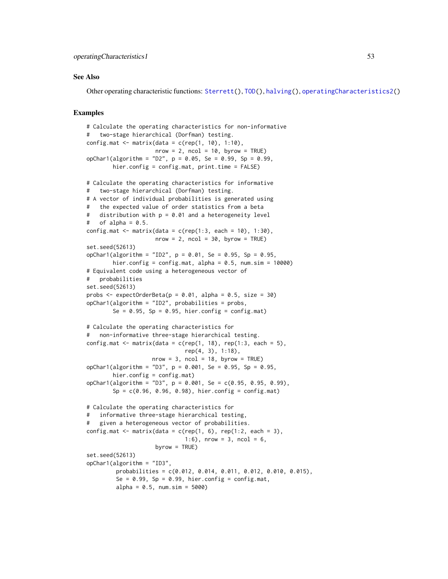#### See Also

Other operating characteristic functions: [Sterrett\(](#page-96-0)), [TOD\(](#page-105-0)), [halving\(](#page-42-0)), [operatingCharacteristics2\(](#page-53-0))

```
# Calculate the operating characteristics for non-informative
# two-stage hierarchical (Dorfman) testing.
config.mat \leq matrix(data = c(rep(1, 10), 1:10),
                     nrow = 2, ncol = 10, byrow = TRUE)
opChar1(algorithm = "D2", p = 0.05, Se = 0.99, Sp = 0.99,
        hier.config = config.mat, print.time = FALSE)
# Calculate the operating characteristics for informative
# two-stage hierarchical (Dorfman) testing.
# A vector of individual probabilities is generated using
# the expected value of order statistics from a beta
# distribution with p = 0.01 and a heterogeneity level
# of alpha = 0.5.
config.mat \leq matrix(data = c(rep(1:3, each = 10), 1:30),
                     nrow = 2, ncol = 30, byrow = TRUE)
set.seed(52613)
opChar1(algorithm = "ID2", p = 0.01, Se = 0.95, Sp = 0.95,
        hier.config = config.mat, alpha = 0.5, num.sim = 10000)
# Equivalent code using a heterogeneous vector of
# probabilities
set.seed(52613)
probs \leq expectOrderBeta(p = 0.01, alpha = 0.5, size = 30)
opChar1(algorithm = "ID2", probabilities = probs,
        Se = 0.95, Sp = 0.95, hier.config = config.mat)
# Calculate the operating characteristics for
# non-informative three-stage hierarchical testing.
config.mat \leq matrix(data = c(rep(1, 18), rep(1:3, each = 5),
                              rep(4, 3), 1:18),
                    nrow = 3, ncol = 18, byrow = TRUE)
opChar1(algorithm = "D3", p = 0.001, Se = 0.95, Sp = 0.95,
        hier.config = config.mat)
opChar1(algorithm = "D3", p = 0.001, Se = c(0.95, 0.95, 0.99),
        Sp = c(0.96, 0.96, 0.98), hier.config = config.mat)
# Calculate the operating characteristics for
# informative three-stage hierarchical testing,
# given a heterogeneous vector of probabilities.
config.mat \leq matrix(data = c(rep(1, 6), rep(1:2, each = 3),
                              1:6), nrow = 3, ncol = 6,
                     byrow = TRUE)
set.seed(52613)
opChar1(algorithm = "ID3",
         probabilities = c(0.012, 0.014, 0.011, 0.012, 0.010, 0.015),
         Se = 0.99, Sp = 0.99, hier.config = config.mat,
         alpha = 0.5, num.sim = 5000)
```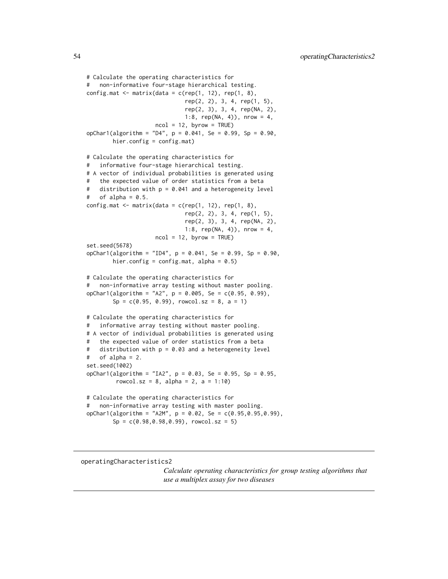```
# Calculate the operating characteristics for
# non-informative four-stage hierarchical testing.
config.mat \leq matrix(data = c(rep(1, 12), rep(1, 8),
                              rep(2, 2), 3, 4, rep(1, 5),
                              rep(2, 3), 3, 4, rep(NA, 2),
                              1:8, rep(NA, 4)), nrow = 4,
                     ncol = 12, byrow = TRUE)
opChar1(algorithm = "D4", p = 0.041, Se = 0.99, Sp = 0.90,
        hier.config = config.mat)
# Calculate the operating characteristics for
# informative four-stage hierarchical testing.
# A vector of individual probabilities is generated using
# the expected value of order statistics from a beta
# distribution with p = 0.041 and a heterogeneity level
# of alpha = 0.5.
config.mat \leq matrix(data = c(rep(1, 12), rep(1, 8),
                              rep(2, 2), 3, 4, rep(1, 5),
                              rep(2, 3), 3, 4, rep(NA, 2),
                              1:8, rep(NA, 4)), nrow = 4,
                     ncol = 12, byrow = TRUE)
set.seed(5678)
opChar1(algorithm = "ID4", p = 0.041, Se = 0.99, Sp = 0.90,
        hier.config = config.mat, alpha = 0.5)
# Calculate the operating characteristics for
# non-informative array testing without master pooling.
opChar1(algorithms = "A2", p = 0.005, Se = c(0.95, 0.99),Sp = c(0.95, 0.99), rowcol.sz = 8, a = 1)
# Calculate the operating characteristics for
# informative array testing without master pooling.
# A vector of individual probabilities is generated using
   the expected value of order statistics from a beta
# distribution with p = 0.03 and a heterogeneity level
# of alpha = 2.
set.seed(1002)
opChar1(algorithm = "IA2", p = 0.03, Se = 0.95, Sp = 0.95,
         rowcol.sz = 8, alpha = 2, a = 1:10)
# Calculate the operating characteristics for
# non-informative array testing with master pooling.
opChar1(algorithm = "A2M", p = 0.02, Se = c(0.95,0.95,0.99),
        Sp = c(0.98, 0.98, 0.99), rowcol.sz = 5)
```
<span id="page-53-1"></span><span id="page-53-0"></span>operatingCharacteristics2

*Calculate operating characteristics for group testing algorithms that use a multiplex assay for two diseases*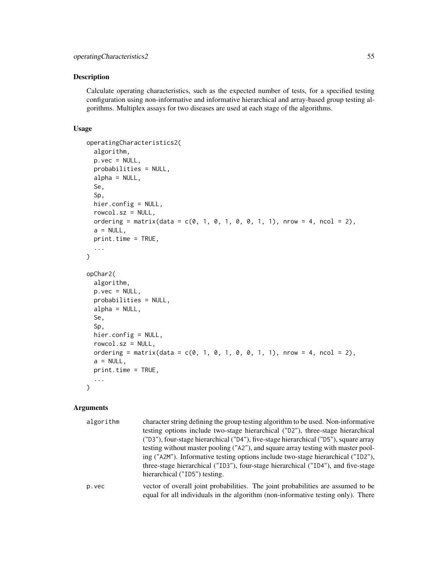#### Description

Calculate operating characteristics, such as the expected number of tests, for a specified testing configuration using non-informative and informative hierarchical and array-based group testing algorithms. Multiplex assays for two diseases are used at each stage of the algorithms.

# Usage

```
operatingCharacteristics2(
  algorithm,
 p.vec = NULL,
 probabilities = NULL,
  alpha = NULL,
  Se,
  Sp,
  hier.config = NULL,
  rowcol.sz = NULL,
  ordering = matrix(data = c(0, 1, 0, 1, 0, 0, 1, 1), nrow = 4, ncol = 2),
  a = NULL,print.time = TRUE,
  ...
\mathcal{L}opChar2(
  algorithm,
 p.vec = NULL,
 probabilities = NULL,
  alpha = NULL,
  Se,
  Sp,
  hier.config = NULL,
  rowcol.sz = NULL,
  ordering = matrix(data = c(0, 1, 0, 1, 0, 0, 1, 1), nrow = 4, ncol = 2),
  a = NULL,print.time = TRUE,
  ...
\lambda
```
#### Arguments

| algorithm | character string defining the group testing algorithm to be used. Non-informative<br>testing options include two-stage hierarchical ("D2"), three-stage hierarchical<br>("D3"), four-stage hierarchical ("D4"), five-stage hierarchical ("D5"), square array<br>testing without master pooling ("A2"), and square array testing with master pool-<br>ing ("A2M"). Informative testing options include two-stage hierarchical ("ID2"),<br>three-stage hierarchical ("ID3"), four-stage hierarchical ("ID4"), and five-stage |
|-----------|----------------------------------------------------------------------------------------------------------------------------------------------------------------------------------------------------------------------------------------------------------------------------------------------------------------------------------------------------------------------------------------------------------------------------------------------------------------------------------------------------------------------------|
|           | hierarchical ("ID5") testing.                                                                                                                                                                                                                                                                                                                                                                                                                                                                                              |
| p.vec     | vector of overall joint probabilities. The joint probabilities are assumed to be<br>equal for all individuals in the algorithm (non-informative testing only). There                                                                                                                                                                                                                                                                                                                                                       |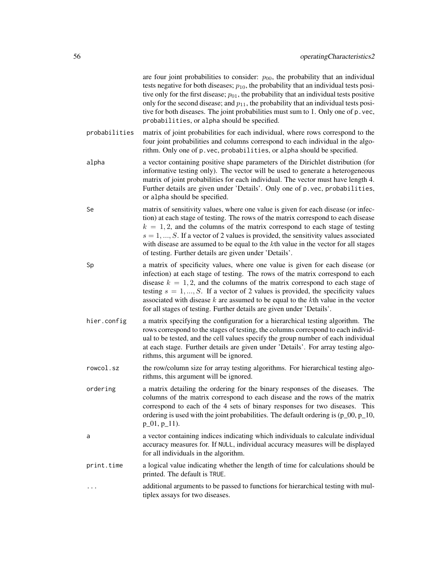|               | are four joint probabilities to consider: $p_{00}$ , the probability that an individual<br>tests negative for both diseases; $p_{10}$ , the probability that an individual tests posi-<br>tive only for the first disease; $p_{01}$ , the probability that an individual tests positive<br>only for the second disease; and $p_{11}$ , the probability that an individual tests posi-<br>tive for both diseases. The joint probabilities must sum to 1. Only one of p. vec,<br>probabilities, or alpha should be specified. |
|---------------|-----------------------------------------------------------------------------------------------------------------------------------------------------------------------------------------------------------------------------------------------------------------------------------------------------------------------------------------------------------------------------------------------------------------------------------------------------------------------------------------------------------------------------|
| probabilities | matrix of joint probabilities for each individual, where rows correspond to the<br>four joint probabilities and columns correspond to each individual in the algo-<br>rithm. Only one of p. vec, probabilities, or alpha should be specified.                                                                                                                                                                                                                                                                               |
| alpha         | a vector containing positive shape parameters of the Dirichlet distribution (for<br>informative testing only). The vector will be used to generate a heterogeneous<br>matrix of joint probabilities for each individual. The vector must have length 4.<br>Further details are given under 'Details'. Only one of p. vec, probabilities,<br>or alpha should be specified.                                                                                                                                                   |
| Se            | matrix of sensitivity values, where one value is given for each disease (or infec-<br>tion) at each stage of testing. The rows of the matrix correspond to each disease<br>$k = 1, 2$ , and the columns of the matrix correspond to each stage of testing<br>$s = 1, , S$ . If a vector of 2 values is provided, the sensitivity values associated<br>with disease are assumed to be equal to the $k$ th value in the vector for all stages<br>of testing. Further details are given under 'Details'.                       |
| Sp            | a matrix of specificity values, where one value is given for each disease (or<br>infection) at each stage of testing. The rows of the matrix correspond to each<br>disease $k = 1, 2$ , and the columns of the matrix correspond to each stage of<br>testing $s = 1, , S$ . If a vector of 2 values is provided, the specificity values<br>associated with disease $k$ are assumed to be equal to the $k$ th value in the vector<br>for all stages of testing. Further details are given under 'Details'.                   |
| hier.config   | a matrix specifying the configuration for a hierarchical testing algorithm. The<br>rows correspond to the stages of testing, the columns correspond to each individ-<br>ual to be tested, and the cell values specify the group number of each individual<br>at each stage. Further details are given under 'Details'. For array testing algo-<br>rithms, this argument will be ignored.                                                                                                                                    |
| rowcol.sz     | the row/column size for array testing algorithms. For hierarchical testing algo-<br>rithms, this argument will be ignored.                                                                                                                                                                                                                                                                                                                                                                                                  |
| ordering      | a matrix detailing the ordering for the binary responses of the diseases. The<br>columns of the matrix correspond to each disease and the rows of the matrix<br>correspond to each of the 4 sets of binary responses for two diseases. This<br>ordering is used with the joint probabilities. The default ordering is $(p_0, p_1, 10)$ ,<br>$p_0, p_1, p_1$ .                                                                                                                                                               |
| a             | a vector containing indices indicating which individuals to calculate individual<br>accuracy measures for. If NULL, individual accuracy measures will be displayed<br>for all individuals in the algorithm.                                                                                                                                                                                                                                                                                                                 |
| print.time    | a logical value indicating whether the length of time for calculations should be<br>printed. The default is TRUE.                                                                                                                                                                                                                                                                                                                                                                                                           |
|               | additional arguments to be passed to functions for hierarchical testing with mul-<br>tiplex assays for two diseases.                                                                                                                                                                                                                                                                                                                                                                                                        |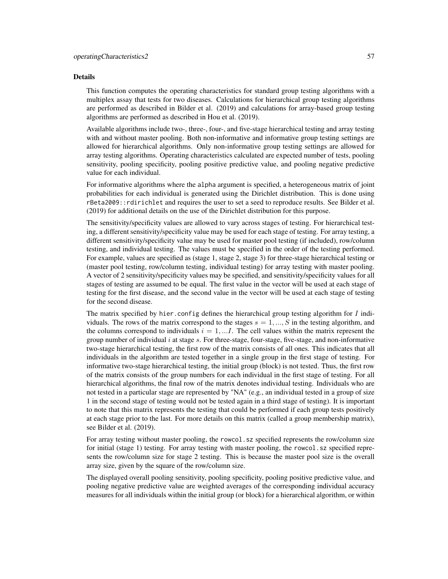#### Details

This function computes the operating characteristics for standard group testing algorithms with a multiplex assay that tests for two diseases. Calculations for hierarchical group testing algorithms are performed as described in Bilder et al. (2019) and calculations for array-based group testing algorithms are performed as described in Hou et al. (2019).

Available algorithms include two-, three-, four-, and five-stage hierarchical testing and array testing with and without master pooling. Both non-informative and informative group testing settings are allowed for hierarchical algorithms. Only non-informative group testing settings are allowed for array testing algorithms. Operating characteristics calculated are expected number of tests, pooling sensitivity, pooling specificity, pooling positive predictive value, and pooling negative predictive value for each individual.

For informative algorithms where the alpha argument is specified, a heterogeneous matrix of joint probabilities for each individual is generated using the Dirichlet distribution. This is done using rBeta2009::rdirichlet and requires the user to set a seed to reproduce results. See Bilder et al. (2019) for additional details on the use of the Dirichlet distribution for this purpose.

The sensitivity/specificity values are allowed to vary across stages of testing. For hierarchical testing, a different sensitivity/specificity value may be used for each stage of testing. For array testing, a different sensitivity/specificity value may be used for master pool testing (if included), row/column testing, and individual testing. The values must be specified in the order of the testing performed. For example, values are specified as (stage 1, stage 2, stage 3) for three-stage hierarchical testing or (master pool testing, row/column testing, individual testing) for array testing with master pooling. A vector of 2 sensitivity/specificity values may be specified, and sensitivity/specificity values for all stages of testing are assumed to be equal. The first value in the vector will be used at each stage of testing for the first disease, and the second value in the vector will be used at each stage of testing for the second disease.

The matrix specified by hier.config defines the hierarchical group testing algorithm for  $I$  individuals. The rows of the matrix correspond to the stages  $s = 1, ..., S$  in the testing algorithm, and the columns correspond to individuals  $i = 1, \dots I$ . The cell values within the matrix represent the group number of individual  $i$  at stage  $s$ . For three-stage, four-stage, five-stage, and non-informative two-stage hierarchical testing, the first row of the matrix consists of all ones. This indicates that all individuals in the algorithm are tested together in a single group in the first stage of testing. For informative two-stage hierarchical testing, the initial group (block) is not tested. Thus, the first row of the matrix consists of the group numbers for each individual in the first stage of testing. For all hierarchical algorithms, the final row of the matrix denotes individual testing. Individuals who are not tested in a particular stage are represented by "NA" (e.g., an individual tested in a group of size 1 in the second stage of testing would not be tested again in a third stage of testing). It is important to note that this matrix represents the testing that could be performed if each group tests positively at each stage prior to the last. For more details on this matrix (called a group membership matrix), see Bilder et al. (2019).

For array testing without master pooling, the rowcol.sz specified represents the row/column size for initial (stage 1) testing. For array testing with master pooling, the rowcol.sz specified represents the row/column size for stage 2 testing. This is because the master pool size is the overall array size, given by the square of the row/column size.

The displayed overall pooling sensitivity, pooling specificity, pooling positive predictive value, and pooling negative predictive value are weighted averages of the corresponding individual accuracy measures for all individuals within the initial group (or block) for a hierarchical algorithm, or within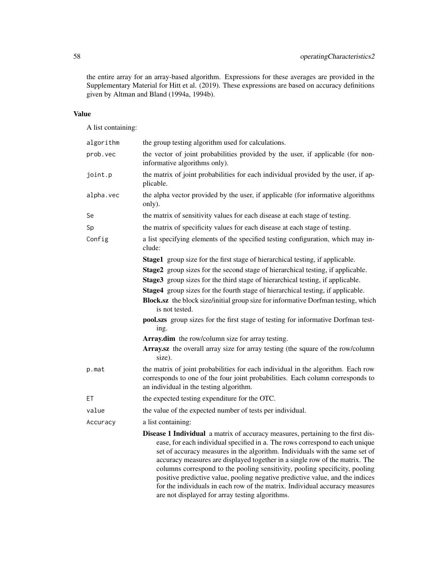the entire array for an array-based algorithm. Expressions for these averages are provided in the Supplementary Material for Hitt et al. (2019). These expressions are based on accuracy definitions given by Altman and Bland (1994a, 1994b).

# Value

A list containing:

| algorithm | the group testing algorithm used for calculations.                                                                                                                                                                                                                                                                                                                                                                                                                                                                                                                                                                                                                                         |
|-----------|--------------------------------------------------------------------------------------------------------------------------------------------------------------------------------------------------------------------------------------------------------------------------------------------------------------------------------------------------------------------------------------------------------------------------------------------------------------------------------------------------------------------------------------------------------------------------------------------------------------------------------------------------------------------------------------------|
| prob.vec  | the vector of joint probabilities provided by the user, if applicable (for non-<br>informative algorithms only).                                                                                                                                                                                                                                                                                                                                                                                                                                                                                                                                                                           |
| joint.p   | the matrix of joint probabilities for each individual provided by the user, if ap-<br>plicable.                                                                                                                                                                                                                                                                                                                                                                                                                                                                                                                                                                                            |
| alpha.vec | the alpha vector provided by the user, if applicable (for informative algorithms<br>only).                                                                                                                                                                                                                                                                                                                                                                                                                                                                                                                                                                                                 |
| Se        | the matrix of sensitivity values for each disease at each stage of testing.                                                                                                                                                                                                                                                                                                                                                                                                                                                                                                                                                                                                                |
| Sp        | the matrix of specificity values for each disease at each stage of testing.                                                                                                                                                                                                                                                                                                                                                                                                                                                                                                                                                                                                                |
| Config    | a list specifying elements of the specified testing configuration, which may in-<br>clude:                                                                                                                                                                                                                                                                                                                                                                                                                                                                                                                                                                                                 |
|           | Stage1 group size for the first stage of hierarchical testing, if applicable.<br>Stage2 group sizes for the second stage of hierarchical testing, if applicable.<br>Stage3 group sizes for the third stage of hierarchical testing, if applicable.<br>Stage4 group sizes for the fourth stage of hierarchical testing, if applicable.<br>Block.sz the block size/initial group size for informative Dorfman testing, which<br>is not tested.<br>pool.szs group sizes for the first stage of testing for informative Dorfman test-<br>ing.<br>Array.dim the row/column size for array testing.<br>Array.sz the overall array size for array testing (the square of the row/column<br>size). |
| p.mat     | the matrix of joint probabilities for each individual in the algorithm. Each row<br>corresponds to one of the four joint probabilities. Each column corresponds to<br>an individual in the testing algorithm.                                                                                                                                                                                                                                                                                                                                                                                                                                                                              |
| EТ        | the expected testing expenditure for the OTC.                                                                                                                                                                                                                                                                                                                                                                                                                                                                                                                                                                                                                                              |
| value     | the value of the expected number of tests per individual.                                                                                                                                                                                                                                                                                                                                                                                                                                                                                                                                                                                                                                  |
| Accuracy  | a list containing:                                                                                                                                                                                                                                                                                                                                                                                                                                                                                                                                                                                                                                                                         |
|           | Disease 1 Individual a matrix of accuracy measures, pertaining to the first dis-<br>ease, for each individual specified in a. The rows correspond to each unique<br>set of accuracy measures in the algorithm. Individuals with the same set of<br>accuracy measures are displayed together in a single row of the matrix. The<br>columns correspond to the pooling sensitivity, pooling specificity, pooling<br>positive predictive value, pooling negative predictive value, and the indices<br>for the individuals in each row of the matrix. Individual accuracy measures<br>are not displayed for array testing algorithms.                                                           |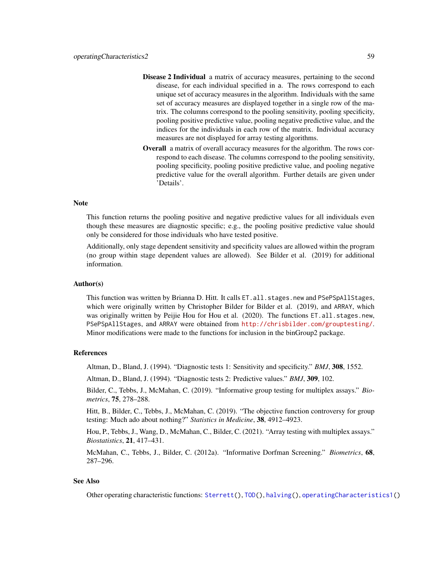- Disease 2 Individual a matrix of accuracy measures, pertaining to the second disease, for each individual specified in a. The rows correspond to each unique set of accuracy measures in the algorithm. Individuals with the same set of accuracy measures are displayed together in a single row of the matrix. The columns correspond to the pooling sensitivity, pooling specificity, pooling positive predictive value, pooling negative predictive value, and the indices for the individuals in each row of the matrix. Individual accuracy measures are not displayed for array testing algorithms.
- Overall a matrix of overall accuracy measures for the algorithm. The rows correspond to each disease. The columns correspond to the pooling sensitivity, pooling specificity, pooling positive predictive value, and pooling negative predictive value for the overall algorithm. Further details are given under 'Details'.

### **Note**

This function returns the pooling positive and negative predictive values for all individuals even though these measures are diagnostic specific; e.g., the pooling positive predictive value should only be considered for those individuals who have tested positive.

Additionally, only stage dependent sensitivity and specificity values are allowed within the program (no group within stage dependent values are allowed). See Bilder et al. (2019) for additional information.

## Author(s)

This function was written by Brianna D. Hitt. It calls ET. all. stages.new and PSePSpAllStages, which were originally written by Christopher Bilder for Bilder et al. (2019), and ARRAY, which was originally written by Peijie Hou for Hou et al. (2020). The functions ET.all.stages.new, PSePSpAllStages, and ARRAY were obtained from <http://chrisbilder.com/grouptesting/>. Minor modifications were made to the functions for inclusion in the binGroup2 package.

#### References

Altman, D., Bland, J. (1994). "Diagnostic tests 1: Sensitivity and specificity." *BMJ*, 308, 1552.

Altman, D., Bland, J. (1994). "Diagnostic tests 2: Predictive values." *BMJ*, 309, 102.

Bilder, C., Tebbs, J., McMahan, C. (2019). "Informative group testing for multiplex assays." *Biometrics*, 75, 278–288.

Hitt, B., Bilder, C., Tebbs, J., McMahan, C. (2019). "The objective function controversy for group testing: Much ado about nothing?" *Statistics in Medicine*, 38, 4912–4923.

Hou, P., Tebbs, J., Wang, D., McMahan, C., Bilder, C. (2021). "Array testing with multiplex assays." *Biostatistics*, 21, 417–431.

McMahan, C., Tebbs, J., Bilder, C. (2012a). "Informative Dorfman Screening." *Biometrics*, 68, 287–296.

### See Also

Other operating characteristic functions: [Sterrett\(](#page-96-0)), [TOD\(](#page-105-0)), [halving\(](#page-42-0)), [operatingCharacteristics1\(](#page-47-0))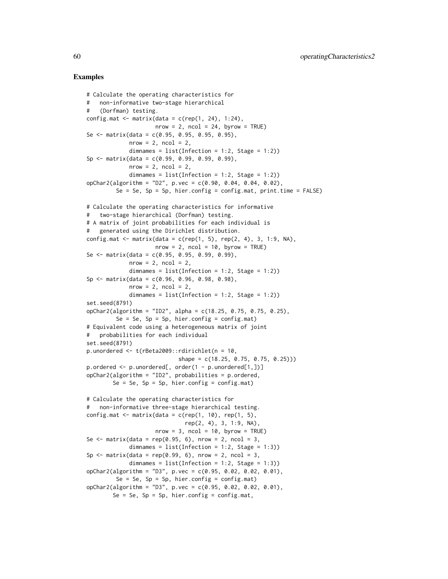```
# Calculate the operating characteristics for
# non-informative two-stage hierarchical
# (Dorfman) testing.
config.mat \leq matrix(data = c(rep(1, 24), 1:24),
                     nrow = 2, ncol = 24, byrow = TRUE)
Se \le matrix(data = c(0.95, 0.95, 0.95, 0.95),
             nrow = 2, ncol = 2,
             dimnames = list(Inflection = 1:2, Stage = 1:2)Sp <- matrix(data = c(0.99, 0.99, 0.99, 0.99),
             nrow = 2, ncol = 2,
             dimnames = list(Inflection = 1:2, Stage = 1:2)opChar2(algorithm = "D2", p.vec = c(0.90, 0.04, 0.04, 0.02),
         Se = Se, Sp = Sp, hier.config = config.mat, print.time = FALSE)
# Calculate the operating characteristics for informative
# two-stage hierarchical (Dorfman) testing.
# A matrix of joint probabilities for each individual is
# generated using the Dirichlet distribution.
config.mat \leq matrix(data = c(rep(1, 5), rep(2, 4), 3, 1:9, NA),
                     nrow = 2, ncol = 10, byrow = TRUE)
Se \le matrix(data = c(0.95, 0.95, 0.99, 0.99),
             nrow = 2, ncol = 2,
             dimnames = list(Inflection = 1:2, Stage = 1:2))Sp \leftarrow matrix(data = c(0.96, 0.96, 0.98, 0.98),nrow = 2, ncol = 2,
             dimnames = list(Inflection = 1:2, Stage = 1:2)set.seed(8791)
opChar2(algorithm = "ID2", alpha = c(18.25, 0.75, 0.75, 0.25),
         Se = Se, Sp = Sp, hier.config = config.mat)
# Equivalent code using a heterogeneous matrix of joint
# probabilities for each individual
set.seed(8791)
p.unordered <- t(rBeta2009::rdirichlet(n = 10,
                            shape = c(18.25, 0.75, 0.75, 0.25))p.ordered <- p.unordered[, order(1 - p.unordered[1,])]
opChar2(algorithm = "ID2", probabilities = p.ordered,
        Se = Se, Sp = Sp, hier.config = config.mat)
# Calculate the operating characteristics for
# non-informative three-stage hierarchical testing.
config.mat \leq matrix(data = c(rep(1, 10), rep(1, 5),
                              rep(2, 4), 3, 1:9, NA),
                     nrow = 3, ncol = 10, byrow = TRUE)
Se \le matrix(data = rep(0.95, 6), nrow = 2, ncol = 3,
             dimnames = list(Inflection = 1:2, Stage = 1:3))Sp \leq matrix(data = rep(0.99, 6), nrow = 2, ncol = 3,
             dimnames = list(Inflection = 1:2, Stage = 1:3))opChar2(algorithm = "D3", p.vec = c(0.95, 0.02, 0.02, 0.01),
        Se = Se, Sp = Sp, hier.config = config.mat)
opChar2(algorithm = "D3", p.vec = c(0.95, 0.02, 0.02, 0.01),Se = Se, Sp = Sp, hier.config = config.mat,
```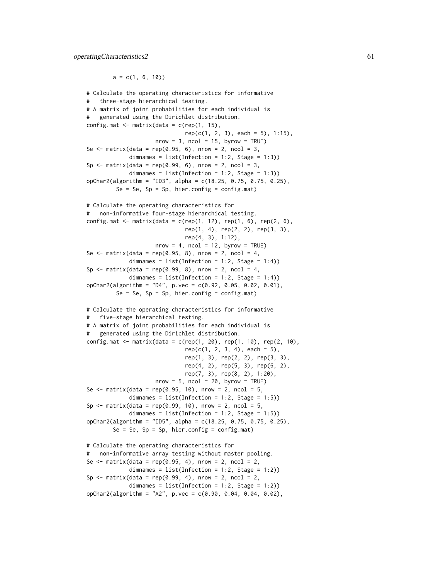$a = c(1, 6, 10)$ 

```
# Calculate the operating characteristics for informative
# three-stage hierarchical testing.
# A matrix of joint probabilities for each individual is
# generated using the Dirichlet distribution.
config.mat \leq matrix(data = c(rep(1, 15),
                              rep(c(1, 2, 3), each = 5), 1:15),nrow = 3, ncol = 15, byrow = TRUE)
Se \le matrix(data = rep(0.95, 6), nrow = 2, ncol = 3,
             dimnames = list(Inflection = 1:2, Stage = 1:3))Sp \leq matrix(data = rep(0.99, 6), nrow = 2, ncol = 3,
             dimnames = list(Inflection = 1:2, Stage = 1:3))opChar2(algorithm = "ID3", alpha = c(18.25, 0.75, 0.75, 0.25),
         Se = Se, Sp = Sp, hier.config = config.mat)
# Calculate the operating characteristics for
# non-informative four-stage hierarchical testing.
config.mat \leq matrix(data = c(rep(1, 12), rep(1, 6), rep(2, 6),
                              rep(1, 4), rep(2, 2), rep(3, 3),
                              rep(4, 3), 1:12),
                     nrow = 4, ncol = 12, byrow = TRUE)
Se \leq matrix(data = rep(0.95, 8), nrow = 2, ncol = 4,
             dimnames = list(Inflection = 1:2, Stage = 1:4))
Sp \leq matrix(data = rep(0.99, 8), nrow = 2, ncol = 4,
             dimnames = list(Inflection = 1:2, Stage = 1:4))opChar2(algorithm = "D4", p.vec = c(0.92, 0.05, 0.02, 0.01),
         Se = Se, Sp = Sp, hier.config = config.mat)
# Calculate the operating characteristics for informative
# five-stage hierarchical testing.
# A matrix of joint probabilities for each individual is
# generated using the Dirichlet distribution.
config.mat <- matrix(data = c(rep(1, 20), rep(1, 10), rep(2, 10),rep(c(1, 2, 3, 4), each = 5),rep(1, 3), rep(2, 2), rep(3, 3),
                              rep(4, 2), rep(5, 3), rep(6, 2),
                              rep(7, 3), rep(8, 2), 1:20),
                     nrow = 5, ncol = 20, byrow = TRUE)
Se \le matrix(data = rep(0.95, 10), nrow = 2, ncol = 5,
             dimnames = list(Inflection = 1:2, Stage = 1:5))Sp \le matrix(data = rep(0.99, 10), nrow = 2, ncol = 5,
             dimnames = list(Infection = 1:2, Stage = 1:5))
opChar2(algorithm = "ID5", alpha = c(18.25, 0.75, 0.75, 0.25),
        Se = Se, Sp = Sp, hier.config = config.mat)
# Calculate the operating characteristics for
# non-informative array testing without master pooling.
Se \le matrix(data = rep(0.95, 4), nrow = 2, ncol = 2,
             dimnames = list(Infection = 1:2, Stage = 1:2))
Sp \leq matrix(data = rep(0.99, 4), nrow = 2, ncol = 2,
             dimnames = list(Inflection = 1:2, Stage = 1:2)opChar2(algorithm = "A2", p.vec = c(0.90, 0.04, 0.04, 0.02),
```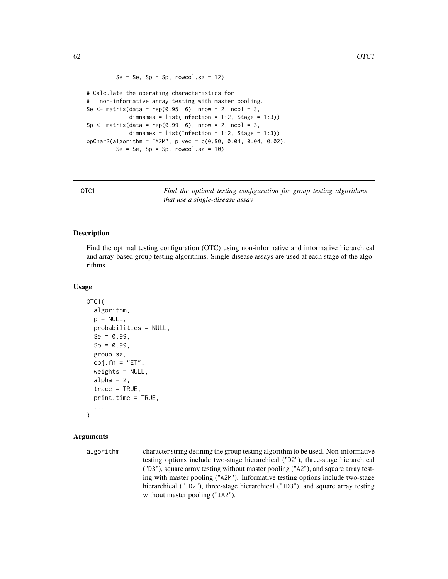```
Se = Se, Sp = Sp, rowcol.sz = 12)
```

```
# Calculate the operating characteristics for
# non-informative array testing with master pooling.
Se \le matrix(data = rep(0.95, 6), nrow = 2, ncol = 3,
             dimnames = list(Infection = 1:2, Stage = 1:3))
Sp \leq matrix(data = rep(0.99, 6), nrow = 2, ncol = 3,
             dimnames = list(Inflection = 1:2, Stage = 1:3))opChar2(algorithm = "A2M", p.vec = c(0.90, 0.04, 0.04, 0.02),Se = Se, Sp = Sp, rowcol.sz = 10)
```
OTC1 *Find the optimal testing configuration for group testing algorithms that use a single-disease assay*

### Description

Find the optimal testing configuration (OTC) using non-informative and informative hierarchical and array-based group testing algorithms. Single-disease assays are used at each stage of the algorithms.

#### Usage

```
OTC1(
  algorithm,
  p = NULL,probabilities = NULL,
  Se = 0.99,
  Sp = 0.99,
  group.sz,
  obj.fn = "ET",weights = NULL,alpha = 2,
  trace = TRUE,
  print.time = TRUE,
  ...
\mathcal{L}
```
### Arguments

```
algorithm character string defining the group testing algorithm to be used. Non-informative
                  testing options include two-stage hierarchical ("D2"), three-stage hierarchical
                  ("D3"), square array testing without master pooling ("A2"), and square array test-
                  ing with master pooling ("A2M"). Informative testing options include two-stage
                  hierarchical ("ID2"), three-stage hierarchical ("ID3"), and square array testing
                  without master pooling ("IA2").
```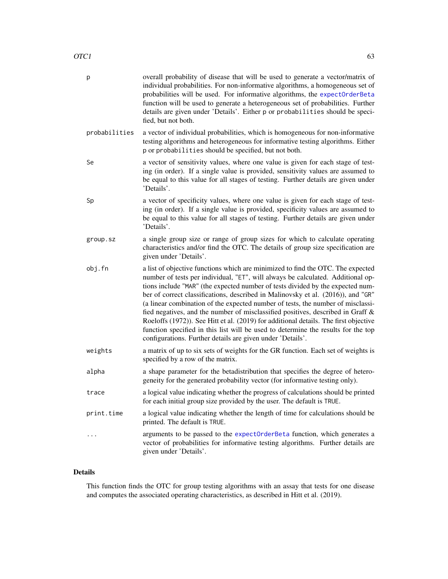| р             | overall probability of disease that will be used to generate a vector/matrix of<br>individual probabilities. For non-informative algorithms, a homogeneous set of<br>probabilities will be used. For informative algorithms, the expectOrderBeta<br>function will be used to generate a heterogeneous set of probabilities. Further<br>details are given under 'Details'. Either p or probabilities should be speci-<br>fied, but not both.                                                                                                                                                                                                                                                                                                               |
|---------------|-----------------------------------------------------------------------------------------------------------------------------------------------------------------------------------------------------------------------------------------------------------------------------------------------------------------------------------------------------------------------------------------------------------------------------------------------------------------------------------------------------------------------------------------------------------------------------------------------------------------------------------------------------------------------------------------------------------------------------------------------------------|
| probabilities | a vector of individual probabilities, which is homogeneous for non-informative<br>testing algorithms and heterogeneous for informative testing algorithms. Either<br>p or probabilities should be specified, but not both.                                                                                                                                                                                                                                                                                                                                                                                                                                                                                                                                |
| Se            | a vector of sensitivity values, where one value is given for each stage of test-<br>ing (in order). If a single value is provided, sensitivity values are assumed to<br>be equal to this value for all stages of testing. Further details are given under<br>'Details'.                                                                                                                                                                                                                                                                                                                                                                                                                                                                                   |
| Sp            | a vector of specificity values, where one value is given for each stage of test-<br>ing (in order). If a single value is provided, specificity values are assumed to<br>be equal to this value for all stages of testing. Further details are given under<br>'Details'.                                                                                                                                                                                                                                                                                                                                                                                                                                                                                   |
| group.sz      | a single group size or range of group sizes for which to calculate operating<br>characteristics and/or find the OTC. The details of group size specification are<br>given under 'Details'.                                                                                                                                                                                                                                                                                                                                                                                                                                                                                                                                                                |
| obj.fn        | a list of objective functions which are minimized to find the OTC. The expected<br>number of tests per individual, "ET", will always be calculated. Additional op-<br>tions include "MAR" (the expected number of tests divided by the expected num-<br>ber of correct classifications, described in Malinovsky et al. (2016)), and "GR"<br>(a linear combination of the expected number of tests, the number of misclassi-<br>fied negatives, and the number of misclassified positives, described in Graff &<br>Roeloffs (1972)). See Hitt et al. (2019) for additional details. The first objective<br>function specified in this list will be used to determine the results for the top<br>configurations. Further details are given under 'Details'. |
| weights       | a matrix of up to six sets of weights for the GR function. Each set of weights is<br>specified by a row of the matrix.                                                                                                                                                                                                                                                                                                                                                                                                                                                                                                                                                                                                                                    |
| alpha         | a shape parameter for the betadistribution that specifies the degree of hetero-<br>geneity for the generated probability vector (for informative testing only).                                                                                                                                                                                                                                                                                                                                                                                                                                                                                                                                                                                           |
| trace         | a logical value indicating whether the progress of calculations should be printed<br>for each initial group size provided by the user. The default is TRUE.                                                                                                                                                                                                                                                                                                                                                                                                                                                                                                                                                                                               |
| print.time    | a logical value indicating whether the length of time for calculations should be<br>printed. The default is TRUE.                                                                                                                                                                                                                                                                                                                                                                                                                                                                                                                                                                                                                                         |
|               | arguments to be passed to the expectOrderBeta function, which generates a<br>vector of probabilities for informative testing algorithms. Further details are<br>given under 'Details'.                                                                                                                                                                                                                                                                                                                                                                                                                                                                                                                                                                    |

# Details

This function finds the OTC for group testing algorithms with an assay that tests for one disease and computes the associated operating characteristics, as described in Hitt et al. (2019).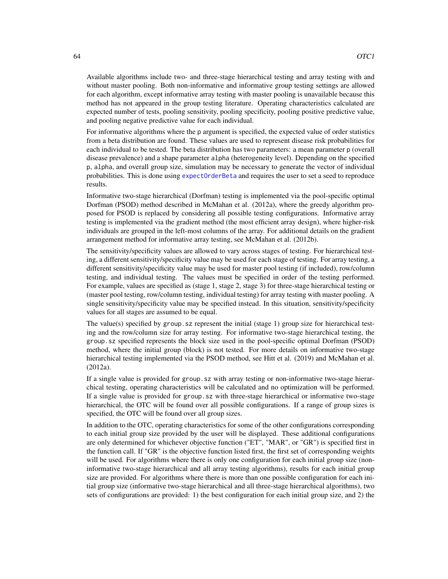Available algorithms include two- and three-stage hierarchical testing and array testing with and without master pooling. Both non-informative and informative group testing settings are allowed for each algorithm, except informative array testing with master pooling is unavailable because this method has not appeared in the group testing literature. Operating characteristics calculated are expected number of tests, pooling sensitivity, pooling specificity, pooling positive predictive value, and pooling negative predictive value for each individual.

For informative algorithms where the p argument is specified, the expected value of order statistics from a beta distribution are found. These values are used to represent disease risk probabilities for each individual to be tested. The beta distribution has two parameters: a mean parameter p (overall disease prevalence) and a shape parameter alpha (heterogeneity level). Depending on the specified p, alpha, and overall group size, simulation may be necessary to generate the vector of individual probabilities. This is done using [expectOrderBeta](#page-19-0) and requires the user to set a seed to reproduce results.

Informative two-stage hierarchical (Dorfman) testing is implemented via the pool-specific optimal Dorfman (PSOD) method described in McMahan et al. (2012a), where the greedy algorithm proposed for PSOD is replaced by considering all possible testing configurations. Informative array testing is implemented via the gradient method (the most efficient array design), where higher-risk individuals are grouped in the left-most columns of the array. For additional details on the gradient arrangement method for informative array testing, see McMahan et al. (2012b).

The sensitivity/specificity values are allowed to vary across stages of testing. For hierarchical testing, a different sensitivity/specificity value may be used for each stage of testing. For array testing, a different sensitivity/specificity value may be used for master pool testing (if included), row/column testing, and individual testing. The values must be specified in order of the testing performed. For example, values are specified as (stage 1, stage 2, stage 3) for three-stage hierarchical testing or (master pool testing, row/column testing, individual testing) for array testing with master pooling. A single sensitivity/specificity value may be specified instead. In this situation, sensitivity/specificity values for all stages are assumed to be equal.

The value(s) specified by group. sz represent the initial (stage 1) group size for hierarchical testing and the row/column size for array testing. For informative two-stage hierarchical testing, the group.sz specified represents the block size used in the pool-specific optimal Dorfman (PSOD) method, where the initial group (block) is not tested. For more details on informative two-stage hierarchical testing implemented via the PSOD method, see Hitt et al. (2019) and McMahan et al. (2012a).

If a single value is provided for group.sz with array testing or non-informative two-stage hierarchical testing, operating characteristics will be calculated and no optimization will be performed. If a single value is provided for group.sz with three-stage hierarchical or informative two-stage hierarchical, the OTC will be found over all possible configurations. If a range of group sizes is specified, the OTC will be found over all group sizes.

In addition to the OTC, operating characteristics for some of the other configurations corresponding to each initial group size provided by the user will be displayed. These additional configurations are only determined for whichever objective function ("ET", "MAR", or "GR") is specified first in the function call. If "GR" is the objective function listed first, the first set of corresponding weights will be used. For algorithms where there is only one configuration for each initial group size (noninformative two-stage hierarchical and all array testing algorithms), results for each initial group size are provided. For algorithms where there is more than one possible configuration for each initial group size (informative two-stage hierarchical and all three-stage hierarchical algorithms), two sets of configurations are provided: 1) the best configuration for each initial group size, and 2) the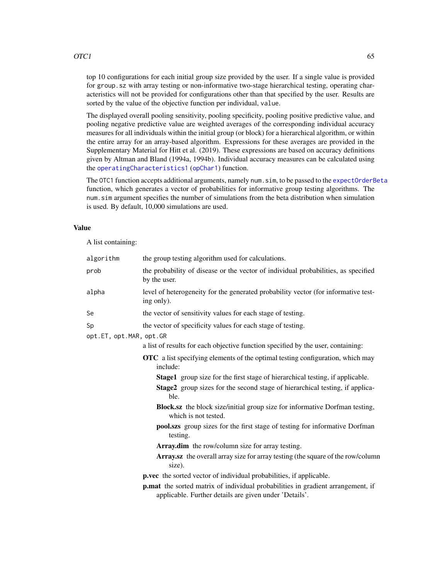top 10 configurations for each initial group size provided by the user. If a single value is provided for group.sz with array testing or non-informative two-stage hierarchical testing, operating characteristics will not be provided for configurations other than that specified by the user. Results are sorted by the value of the objective function per individual, value.

The displayed overall pooling sensitivity, pooling specificity, pooling positive predictive value, and pooling negative predictive value are weighted averages of the corresponding individual accuracy measures for all individuals within the initial group (or block) for a hierarchical algorithm, or within the entire array for an array-based algorithm. Expressions for these averages are provided in the Supplementary Material for Hitt et al. (2019). These expressions are based on accuracy definitions given by Altman and Bland (1994a, 1994b). Individual accuracy measures can be calculated using the [operatingCharacteristics1](#page-47-0) ([opChar1](#page-47-1)) function.

The OTC1 function accepts additional arguments, namely num. sim, to be passed to the [expectOrderBeta](#page-19-0) function, which generates a vector of probabilities for informative group testing algorithms. The num.sim argument specifies the number of simulations from the beta distribution when simulation is used. By default, 10,000 simulations are used.

#### Value

A list containing:

| algorithm                     | the group testing algorithm used for calculations.                                                                                        |
|-------------------------------|-------------------------------------------------------------------------------------------------------------------------------------------|
| prob                          | the probability of disease or the vector of individual probabilities, as specified<br>by the user.                                        |
| alpha                         | level of heterogeneity for the generated probability vector (for informative test-<br>ing only).                                          |
| Se                            | the vector of sensitivity values for each stage of testing.                                                                               |
| Sp<br>opt.ET, opt.MAR, opt.GR | the vector of specificity values for each stage of testing.                                                                               |
|                               | a list of results for each objective function specified by the user, containing:                                                          |
|                               | <b>OTC</b> a list specifying elements of the optimal testing configuration, which may<br>include:                                         |
|                               | <b>Stage1</b> group size for the first stage of hierarchical testing, if applicable.                                                      |
|                               | <b>Stage2</b> group sizes for the second stage of hierarchical testing, if applica-<br>ble.                                               |
|                               | <b>Block.sz</b> the block size/initial group size for informative Dorfman testing,<br>which is not tested.                                |
|                               | pool.szs group sizes for the first stage of testing for informative Dorfman<br>testing.                                                   |
|                               | Array.dim the row/column size for array testing.                                                                                          |
|                               | Array.sz the overall array size for array testing (the square of the row/column<br>size).                                                 |
|                               | p.vec the sorted vector of individual probabilities, if applicable.                                                                       |
|                               | p.mat the sorted matrix of individual probabilities in gradient arrangement, if<br>applicable. Further details are given under 'Details'. |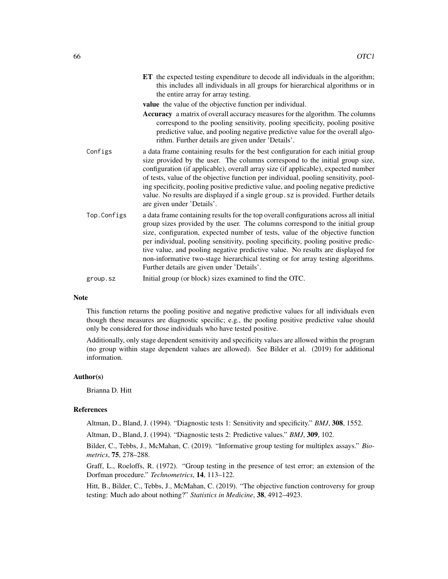|             | ET the expected testing expenditure to decode all individuals in the algorithm;<br>this includes all individuals in all groups for hierarchical algorithms or in<br>the entire array for array testing.                                                                                                                                                                                                                                                                                                                                                            |
|-------------|--------------------------------------------------------------------------------------------------------------------------------------------------------------------------------------------------------------------------------------------------------------------------------------------------------------------------------------------------------------------------------------------------------------------------------------------------------------------------------------------------------------------------------------------------------------------|
|             | value the value of the objective function per individual.                                                                                                                                                                                                                                                                                                                                                                                                                                                                                                          |
|             | Accuracy a matrix of overall accuracy measures for the algorithm. The columns<br>correspond to the pooling sensitivity, pooling specificity, pooling positive<br>predictive value, and pooling negative predictive value for the overall algo-<br>rithm. Further details are given under 'Details'.                                                                                                                                                                                                                                                                |
| Configs     | a data frame containing results for the best configuration for each initial group<br>size provided by the user. The columns correspond to the initial group size,<br>configuration (if applicable), overall array size (if applicable), expected number<br>of tests, value of the objective function per individual, pooling sensitivity, pool-<br>ing specificity, pooling positive predictive value, and pooling negative predictive<br>value. No results are displayed if a single group. sz is provided. Further details<br>are given under 'Details'.         |
| Top.Configs | a data frame containing results for the top overall configurations across all initial<br>group sizes provided by the user. The columns correspond to the initial group<br>size, configuration, expected number of tests, value of the objective function<br>per individual, pooling sensitivity, pooling specificity, pooling positive predic-<br>tive value, and pooling negative predictive value. No results are displayed for<br>non-informative two-stage hierarchical testing or for array testing algorithms.<br>Further details are given under 'Details'. |
| group.sz    | Initial group (or block) sizes examined to find the OTC.                                                                                                                                                                                                                                                                                                                                                                                                                                                                                                           |
|             |                                                                                                                                                                                                                                                                                                                                                                                                                                                                                                                                                                    |

### Note

This function returns the pooling positive and negative predictive values for all individuals even though these measures are diagnostic specific; e.g., the pooling positive predictive value should only be considered for those individuals who have tested positive.

Additionally, only stage dependent sensitivity and specificity values are allowed within the program (no group within stage dependent values are allowed). See Bilder et al. (2019) for additional information.

#### Author(s)

Brianna D. Hitt

### References

Altman, D., Bland, J. (1994). "Diagnostic tests 1: Sensitivity and specificity." *BMJ*, 308, 1552.

Altman, D., Bland, J. (1994). "Diagnostic tests 2: Predictive values." *BMJ*, 309, 102.

Bilder, C., Tebbs, J., McMahan, C. (2019). "Informative group testing for multiplex assays." *Biometrics*, 75, 278–288.

Graff, L., Roeloffs, R. (1972). "Group testing in the presence of test error; an extension of the Dorfman procedure." *Technometrics*, 14, 113–122.

Hitt, B., Bilder, C., Tebbs, J., McMahan, C. (2019). "The objective function controversy for group testing: Much ado about nothing?" *Statistics in Medicine*, 38, 4912–4923.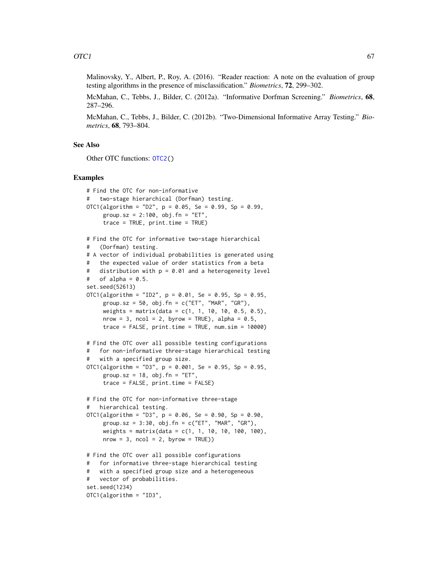Malinovsky, Y., Albert, P., Roy, A. (2016). "Reader reaction: A note on the evaluation of group testing algorithms in the presence of misclassification." *Biometrics*, 72, 299–302.

McMahan, C., Tebbs, J., Bilder, C. (2012a). "Informative Dorfman Screening." *Biometrics*, 68, 287–296.

McMahan, C., Tebbs, J., Bilder, C. (2012b). "Two-Dimensional Informative Array Testing." *Biometrics*, 68, 793–804.

### See Also

Other OTC functions: [OTC2\(](#page-67-0))

```
# Find the OTC for non-informative
# two-stage hierarchical (Dorfman) testing.
OTC1(algorithm = "D2", p = 0.05, Se = 0.99, Sp = 0.99,
     group.sz = 2:100, obj.fn = "ET",
     trace = TRUE, print.time = TRUE)
# Find the OTC for informative two-stage hierarchical
# (Dorfman) testing.
# A vector of individual probabilities is generated using
# the expected value of order statistics from a beta
# distribution with p = 0.01 and a heterogeneity level
# of alpha = 0.5.
set.seed(52613)
OTC1(algorithm = "ID2", p = 0.01, Se = 0.95, Sp = 0.95,
     group.sz = 50, obj.fn = c("ET", "MAR", "GR"),
     weights = matrix(data = c(1, 1, 10, 10, 0.5, 0.5),
     nrow = 3, ncol = 2, byrow = TRUE), alpha = 0.5,
     trace = FALSE, print.time = TRUE, numname = 10000)# Find the OTC over all possible testing configurations
# for non-informative three-stage hierarchical testing
# with a specified group size.
OTC1(algorithm = "D3", p = 0.001, Se = 0.95, Sp = 0.95,
     group.sz = 18, obj.fn = "ET",
     trace = FALSE, print.time = FALSE)
# Find the OTC for non-informative three-stage
# hierarchical testing.
OTC1(algorithm = "D3", p = 0.06, Se = 0.90, Sp = 0.90,
     group.sz = 3:30, obj.fn = c("ET", "MAR", "GR"),
     weights = matrix(data = c(1, 1, 10, 10, 100, 100),
     nrow = 3, ncol = 2, byrow = TRUE)
# Find the OTC over all possible configurations
# for informative three-stage hierarchical testing
# with a specified group size and a heterogeneous
# vector of probabilities.
set.seed(1234)
OTC1(algorithm = "ID3",
```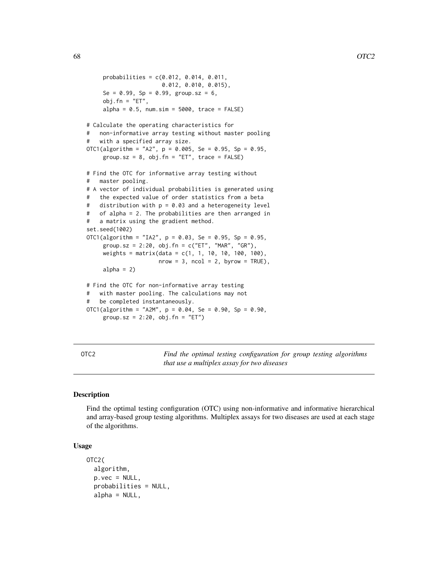```
probabilities = c(0.012, 0.014, 0.011,
                      0.012, 0.010, 0.015),
     Se = 0.99, Sp = 0.99, group.sz = 6,
     obj.fn = "ET",alpha = 0.5, num.sim = 5000, trace = FALSE)
# Calculate the operating characteristics for
# non-informative array testing without master pooling
# with a specified array size.
OTC1(algorithm = "A2", p = 0.005, Se = 0.95, Sp = 0.95,
     group.sz = 8, obj.fn = "ET", trace = FALSE)# Find the OTC for informative array testing without
# master pooling.
# A vector of individual probabilities is generated using
# the expected value of order statistics from a beta
# distribution with p = 0.03 and a heterogeneity level
# of alpha = 2. The probabilities are then arranged in
# a matrix using the gradient method.
set.seed(1002)
OTC1(algorithm = "IA2", p = 0.03, Se = 0.95, Sp = 0.95,
     group.sz = 2:20, obj.fn = c("ET", "MAR", "GR"),
     weights = matrix(data = c(1, 1, 10, 10, 100, 100),
                     nrow = 3, ncol = 2, byrow = TRUE),
     alpha = 2)
# Find the OTC for non-informative array testing
# with master pooling. The calculations may not
# be completed instantaneously.
OTC1(algorithm = "A2M", p = 0.04, Se = 0.90, Sp = 0.90,
     group.sz = 2:20, obj.fn = "ET")
```
<span id="page-67-0"></span>OTC2 *Find the optimal testing configuration for group testing algorithms that use a multiplex assay for two diseases*

## Description

Find the optimal testing configuration (OTC) using non-informative and informative hierarchical and array-based group testing algorithms. Multiplex assays for two diseases are used at each stage of the algorithms.

### Usage

```
OTC2(
  algorithm,
  p.vec = NULL,probabilities = NULL,
  alpha = NULL,
```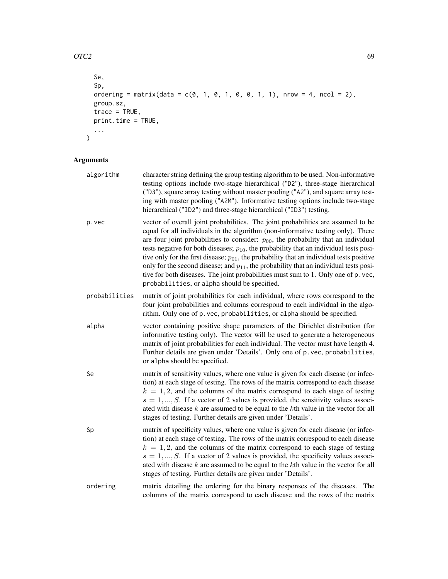## $\overline{OTC2}$  69

```
Se,
Sp,
ordering = matrix(data = c(\emptyset, 1, \emptyset, 1, \emptyset, 0, 1, 1), nrow = 4, ncol = 2),
group.sz,
trace = TRUE,
print.time = TRUE,
...
```
# Arguments

 $\mathcal{L}$ 

| algorithm     | character string defining the group testing algorithm to be used. Non-informative<br>testing options include two-stage hierarchical ("D2"), three-stage hierarchical<br>("D3"), square array testing without master pooling ("A2"), and square array test-<br>ing with master pooling ("A2M"). Informative testing options include two-stage<br>hierarchical ("ID2") and three-stage hierarchical ("ID3") testing.                                                                                                                                                                                                                                                                                  |
|---------------|-----------------------------------------------------------------------------------------------------------------------------------------------------------------------------------------------------------------------------------------------------------------------------------------------------------------------------------------------------------------------------------------------------------------------------------------------------------------------------------------------------------------------------------------------------------------------------------------------------------------------------------------------------------------------------------------------------|
| p.vec         | vector of overall joint probabilities. The joint probabilities are assumed to be<br>equal for all individuals in the algorithm (non-informative testing only). There<br>are four joint probabilities to consider: $p_{00}$ , the probability that an individual<br>tests negative for both diseases; $p_{10}$ , the probability that an individual tests posi-<br>tive only for the first disease; $p_{01}$ , the probability that an individual tests positive<br>only for the second disease; and $p_{11}$ , the probability that an individual tests posi-<br>tive for both diseases. The joint probabilities must sum to 1. Only one of p. vec,<br>probabilities, or alpha should be specified. |
| probabilities | matrix of joint probabilities for each individual, where rows correspond to the<br>four joint probabilities and columns correspond to each individual in the algo-<br>rithm. Only one of p. vec, probabilities, or alpha should be specified.                                                                                                                                                                                                                                                                                                                                                                                                                                                       |
| alpha         | vector containing positive shape parameters of the Dirichlet distribution (for<br>informative testing only). The vector will be used to generate a heterogeneous<br>matrix of joint probabilities for each individual. The vector must have length 4.<br>Further details are given under 'Details'. Only one of p. vec, probabilities,<br>or alpha should be specified.                                                                                                                                                                                                                                                                                                                             |
| Se            | matrix of sensitivity values, where one value is given for each disease (or infec-<br>tion) at each stage of testing. The rows of the matrix correspond to each disease<br>$k = 1, 2$ , and the columns of the matrix correspond to each stage of testing<br>$s = 1, , S$ . If a vector of 2 values is provided, the sensitivity values associ-<br>ated with disease $k$ are assumed to be equal to the $k$ th value in the vector for all<br>stages of testing. Further details are given under 'Details'.                                                                                                                                                                                         |
| Sp            | matrix of specificity values, where one value is given for each disease (or infec-<br>tion) at each stage of testing. The rows of the matrix correspond to each disease<br>$k = 1, 2$ , and the columns of the matrix correspond to each stage of testing<br>$s = 1, , S$ . If a vector of 2 values is provided, the specificity values associ-<br>ated with disease $k$ are assumed to be equal to the $k$ th value in the vector for all<br>stages of testing. Further details are given under 'Details'.                                                                                                                                                                                         |
| ordering      | matrix detailing the ordering for the binary responses of the diseases.<br>The<br>columns of the matrix correspond to each disease and the rows of the matrix                                                                                                                                                                                                                                                                                                                                                                                                                                                                                                                                       |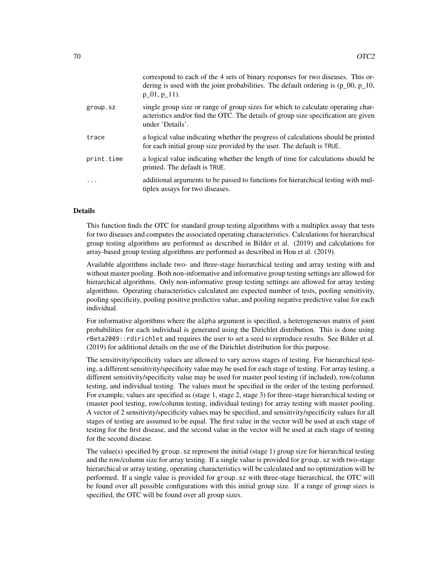| correspond to each of the 4 sets of binary responses for two diseases. This or-<br>dering is used with the joint probabilities. The default ordering is $(p_0, p_1, 0, p_2, \ldots, p_n)$<br>$p_0, p_1, p_1$ . |
|----------------------------------------------------------------------------------------------------------------------------------------------------------------------------------------------------------------|
| single group size or range of group sizes for which to calculate operating char-<br>acteristics and/or find the OTC. The details of group size specification are given<br>under 'Details'.                     |
| a logical value indicating whether the progress of calculations should be printed<br>for each initial group size provided by the user. The default is TRUE.                                                    |
| a logical value indicating whether the length of time for calculations should be<br>printed. The default is TRUE.                                                                                              |
| additional arguments to be passed to functions for hierarchical testing with mul-<br>tiplex assays for two diseases.                                                                                           |
|                                                                                                                                                                                                                |

### Details

This function finds the OTC for standard group testing algorithms with a multiplex assay that tests for two diseases and computes the associated operating characteristics. Calculations for hierarchical group testing algorithms are performed as described in Bilder et al. (2019) and calculations for array-based group testing algorithms are performed as described in Hou et al. (2019).

Available algorithms include two- and three-stage hierarchical testing and array testing with and without master pooling. Both non-informative and informative group testing settings are allowed for hierarchical algorithms. Only non-informative group testing settings are allowed for array testing algorithms. Operating characteristics calculated are expected number of tests, pooling sensitivity, pooling specificity, pooling positive predictive value, and pooling negative predictive value for each individual.

For informative algorithms where the alpha argument is specified, a heterogeneous matrix of joint probabilities for each individual is generated using the Dirichlet distribution. This is done using rBeta2009::rdirichlet and requires the user to set a seed to reproduce results. See Bilder et al. (2019) for additional details on the use of the Dirichlet distribution for this purpose.

The sensitivity/specificity values are allowed to vary across stages of testing. For hierarchical testing, a different sensitivity/specificity value may be used for each stage of testing. For array testing, a different sensitivity/specificity value may be used for master pool testing (if included), row/column testing, and individual testing. The values must be specified in the order of the testing performed. For example, values are specified as (stage 1, stage 2, stage 3) for three-stage hierarchical testing or (master pool testing, row/column testing, individual testing) for array testing with master pooling. A vector of 2 sensitivity/specificity values may be specified, and sensitivity/specificity values for all stages of testing are assumed to be equal. The first value in the vector will be used at each stage of testing for the first disease, and the second value in the vector will be used at each stage of testing for the second disease.

The value(s) specified by group.  $sz$  represent the initial (stage 1) group size for hierarchical testing and the row/column size for array testing. If a single value is provided for group.sz with two-stage hierarchical or array testing, operating characteristics will be calculated and no optimization will be performed. If a single value is provided for group.sz with three-stage hierarchical, the OTC will be found over all possible configurations with this initial group size. If a range of group sizes is specified, the OTC will be found over all group sizes.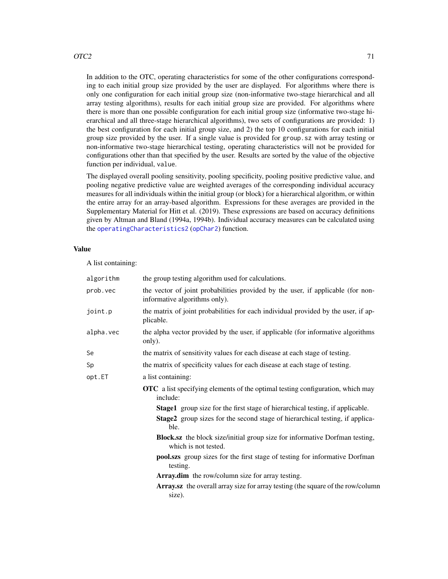### $\overline{OTC2}$  and  $\overline{OTC2}$  and  $\overline{OTC2}$  and  $\overline{OTC2}$  and  $\overline{OTC2}$  and  $\overline{OTC2}$  and  $\overline{OTC2}$  and  $\overline{OTC2}$  and  $\overline{OTC2}$  and  $\overline{OTC2}$  and  $\overline{OTC2}$  and  $\overline{OTC2}$  and  $\overline{OTC2}$  and  $\overline{OTC2}$  and  $\overline{OTC2}$

In addition to the OTC, operating characteristics for some of the other configurations corresponding to each initial group size provided by the user are displayed. For algorithms where there is only one configuration for each initial group size (non-informative two-stage hierarchical and all array testing algorithms), results for each initial group size are provided. For algorithms where there is more than one possible configuration for each initial group size (informative two-stage hierarchical and all three-stage hierarchical algorithms), two sets of configurations are provided: 1) the best configuration for each initial group size, and 2) the top 10 configurations for each initial group size provided by the user. If a single value is provided for group.sz with array testing or non-informative two-stage hierarchical testing, operating characteristics will not be provided for configurations other than that specified by the user. Results are sorted by the value of the objective function per individual, value.

The displayed overall pooling sensitivity, pooling specificity, pooling positive predictive value, and pooling negative predictive value are weighted averages of the corresponding individual accuracy measures for all individuals within the initial group (or block) for a hierarchical algorithm, or within the entire array for an array-based algorithm. Expressions for these averages are provided in the Supplementary Material for Hitt et al. (2019). These expressions are based on accuracy definitions given by Altman and Bland (1994a, 1994b). Individual accuracy measures can be calculated using the [operatingCharacteristics2](#page-53-0) ([opChar2](#page-53-1)) function.

## Value

A list containing:

| algorithm | the group testing algorithm used for calculations.                                                               |
|-----------|------------------------------------------------------------------------------------------------------------------|
| prob.vec  | the vector of joint probabilities provided by the user, if applicable (for non-<br>informative algorithms only). |
| joint.p   | the matrix of joint probabilities for each individual provided by the user, if ap-<br>plicable.                  |
| alpha.vec | the alpha vector provided by the user, if applicable (for informative algorithms<br>only).                       |
| Se        | the matrix of sensitivity values for each disease at each stage of testing.                                      |
| Sp        | the matrix of specificity values for each disease at each stage of testing.                                      |
| opt.ET    | a list containing:                                                                                               |
|           | <b>OTC</b> a list specifying elements of the optimal testing configuration, which may<br>include:                |
|           | <b>Stage1</b> group size for the first stage of hierarchical testing, if applicable.                             |
|           | Stage2 group sizes for the second stage of hierarchical testing, if applica-<br>ble.                             |
|           | <b>Block.sz</b> the block size/initial group size for informative Dorfman testing,<br>which is not tested.       |
|           | pool.szs group sizes for the first stage of testing for informative Dorfman<br>testing.                          |
|           | Array.dim the row/column size for array testing.                                                                 |
|           | Array.sz the overall array size for array testing (the square of the row/column<br>size).                        |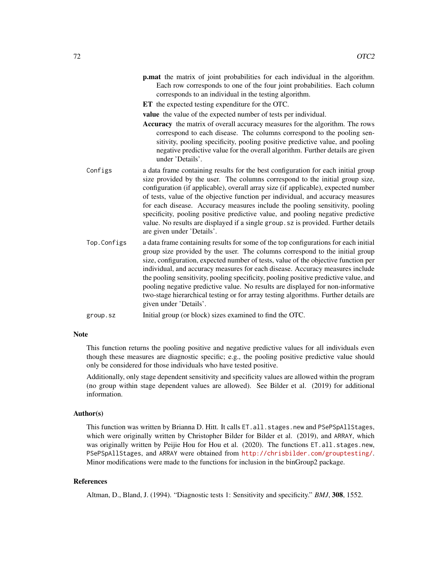p.mat the matrix of joint probabilities for each individual in the algorithm. Each row corresponds to one of the four joint probabilities. Each column corresponds to an individual in the testing algorithm.

ET the expected testing expenditure for the OTC.

value the value of the expected number of tests per individual.

- Accuracy the matrix of overall accuracy measures for the algorithm. The rows correspond to each disease. The columns correspond to the pooling sensitivity, pooling specificity, pooling positive predictive value, and pooling negative predictive value for the overall algorithm. Further details are given under 'Details'.
- Configs a data frame containing results for the best configuration for each initial group size provided by the user. The columns correspond to the initial group size, configuration (if applicable), overall array size (if applicable), expected number of tests, value of the objective function per individual, and accuracy measures for each disease. Accuracy measures include the pooling sensitivity, pooling specificity, pooling positive predictive value, and pooling negative predictive value. No results are displayed if a single group.sz is provided. Further details are given under 'Details'.
- Top.Configs a data frame containing results for some of the top configurations for each initial group size provided by the user. The columns correspond to the initial group size, configuration, expected number of tests, value of the objective function per individual, and accuracy measures for each disease. Accuracy measures include the pooling sensitivity, pooling specificity, pooling positive predictive value, and pooling negative predictive value. No results are displayed for non-informative two-stage hierarchical testing or for array testing algorithms. Further details are given under 'Details'.

### **Note**

This function returns the pooling positive and negative predictive values for all individuals even though these measures are diagnostic specific; e.g., the pooling positive predictive value should only be considered for those individuals who have tested positive.

Additionally, only stage dependent sensitivity and specificity values are allowed within the program (no group within stage dependent values are allowed). See Bilder et al. (2019) for additional information.

#### Author(s)

This function was written by Brianna D. Hitt. It calls ET. all. stages.new and PSePSpAllStages, which were originally written by Christopher Bilder for Bilder et al. (2019), and ARRAY, which was originally written by Peijie Hou for Hou et al. (2020). The functions ET.all.stages.new, PSePSpAllStages, and ARRAY were obtained from <http://chrisbilder.com/grouptesting/>. Minor modifications were made to the functions for inclusion in the binGroup2 package.

### References

Altman, D., Bland, J. (1994). "Diagnostic tests 1: Sensitivity and specificity." *BMJ*, 308, 1552.

group.sz Initial group (or block) sizes examined to find the OTC.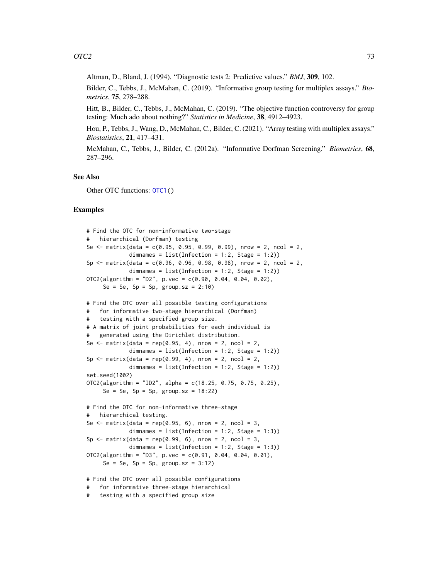Altman, D., Bland, J. (1994). "Diagnostic tests 2: Predictive values." *BMJ*, 309, 102.

Bilder, C., Tebbs, J., McMahan, C. (2019). "Informative group testing for multiplex assays." *Biometrics*, 75, 278–288.

Hitt, B., Bilder, C., Tebbs, J., McMahan, C. (2019). "The objective function controversy for group testing: Much ado about nothing?" *Statistics in Medicine*, 38, 4912–4923.

Hou, P., Tebbs, J., Wang, D., McMahan, C., Bilder, C. (2021). "Array testing with multiplex assays." *Biostatistics*, 21, 417–431.

McMahan, C., Tebbs, J., Bilder, C. (2012a). "Informative Dorfman Screening." *Biometrics*, 68, 287–296.

#### See Also

Other OTC functions: [OTC1\(](#page-61-0))

```
# Find the OTC for non-informative two-stage
# hierarchical (Dorfman) testing
Se \le matrix(data = c(0.95, 0.95, 0.99, 0.99), nrow = 2, ncol = 2,
             dimnames = list(Inflection = 1:2, Stage = 1:2)Sp \le matrix(data = c(0.96, 0.96, 0.98, 0.98), nrow = 2, ncol = 2,
             dimnames = list(Inflection = 1:2, Stage = 1:2))OTC2(algorithm = "D2", p.vec = c(0.90, 0.04, 0.04, 0.02),
     Se = Se, Sp = Sp, group.sz = 2:10# Find the OTC over all possible testing configurations
# for informative two-stage hierarchical (Dorfman)
# testing with a specified group size.
# A matrix of joint probabilities for each individual is
    generated using the Dirichlet distribution.
Se \le matrix(data = rep(0.95, 4), nrow = 2, ncol = 2,
             dimnames = list(Inflection = 1:2, Stage = 1:2)Sp \leq matrix(data = rep(0.99, 4), nrow = 2, ncol = 2,
             dimnames = list(Infection = 1:2, Stage = 1:2))set.seed(1002)
OTC2(algorithm = "ID2", alpha = c(18.25, 0.75, 0.75, 0.25),
     Se = Se, Sp = Sp, group.sz = 18:22)
# Find the OTC for non-informative three-stage
  hierarchical testing.
Se \le matrix(data = rep(0.95, 6), nrow = 2, ncol = 3,
             dimnames = list(Inflection = 1:2, Stage = 1:3))Sp \leq matrix(data = rep(0.99, 6), nrow = 2, ncol = 3,
             dimnames = list(Inflection = 1:2, Stage = 1:3))OTC2(algorithms = "D3", p.vec = c(0.91, 0.04, 0.04, 0.01),Se = Se, Sp = Sp, group.sz = 3:12)
# Find the OTC over all possible configurations
# for informative three-stage hierarchical
```

```
# testing with a specified group size
```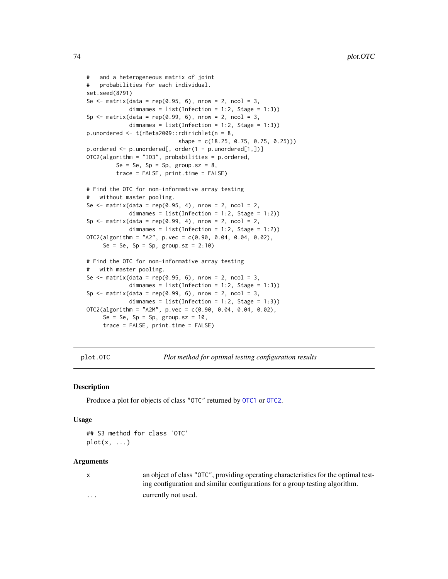```
# and a heterogeneous matrix of joint
# probabilities for each individual.
set.seed(8791)
Se \le matrix(data = rep(0.95, 6), nrow = 2, ncol = 3,
             dimnames = list(Inflection = 1:2, Stage = 1:3))Sp \leq matrix(data = rep(0.99, 6), nrow = 2, ncol = 3,
             dimnames = list(Inflection = 1:2, Stage = 1:3))p.unordered <- t(rBeta2009::rdirichlet(n = 8,
                            shape = c(18.25, 0.75, 0.75, 0.25))p.ordered <- p.unordered[, order(1 - p.unordered[1,])]
OTC2(algorithm = "ID3", probabilities = p.ordered,
         Se = Se, Sp = Sp, group.sz = 8,
         trace = FALSE, print.time = FALSE)
# Find the OTC for non-informative array testing
   without master pooling.
Se \leq matrix(data = rep(0.95, 4), nrow = 2, ncol = 2,
             dimnames = list(Infection = 1:2, Stage = 1:2))
Sp \leq matrix(data = rep(0.99, 4), nrow = 2, ncol = 2,
             dimnames = list(Inflection = 1:2, Stage = 1:2))OTC2(algorithm = "A2", p.vec = c(0.90, 0.04, 0.04, 0.02),
     Se = Se, Sp = Sp, group.sz = 2:10# Find the OTC for non-informative array testing
# with master pooling.
Se \le matrix(data = rep(0.95, 6), nrow = 2, ncol = 3,
             dimnames = list(Infection = 1:2, Stage = 1:3))Sp \leq matrix(data = rep(0.99, 6), nrow = 2, ncol = 3,
             dimnames = list(Infection = 1:2, Stage = 1:3))
OTC2(algorithm = "A2M", p.vec = c(0.90, 0.04, 0.04, 0.02),
     Se = Se, Sp = Sp, group.sz = 10,
     trace = FALSE, print.time = FALSE)
```
plot.OTC *Plot method for optimal testing configuration results*

#### Description

Produce a plot for objects of class "OTC" returned by [OTC1](#page-61-0) or [OTC2](#page-67-0).

#### Usage

## S3 method for class 'OTC'  $plot(x, \ldots)$ 

| $\mathsf{X}$ | an object of class "OTC", providing operating characteristics for the optimal test- |
|--------------|-------------------------------------------------------------------------------------|
|              | ing configuration and similar configurations for a group testing algorithm.         |
| $\cdots$     | currently not used.                                                                 |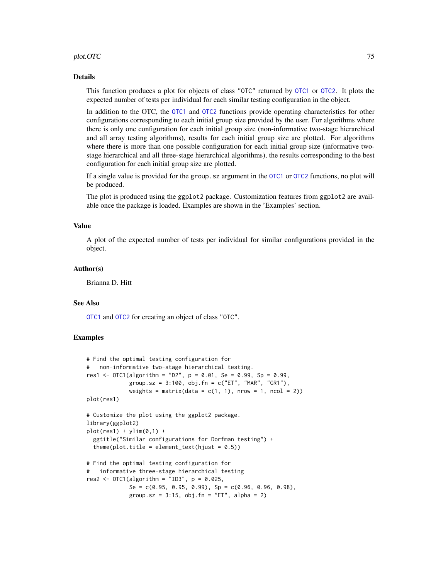#### plot.OTC 75

#### Details

This function produces a plot for objects of class "OTC" returned by [OTC1](#page-61-0) or [OTC2](#page-67-0). It plots the expected number of tests per individual for each similar testing configuration in the object.

In addition to the OTC, the [OTC1](#page-61-0) and [OTC2](#page-67-0) functions provide operating characteristics for other configurations corresponding to each initial group size provided by the user. For algorithms where there is only one configuration for each initial group size (non-informative two-stage hierarchical and all array testing algorithms), results for each initial group size are plotted. For algorithms where there is more than one possible configuration for each initial group size (informative twostage hierarchical and all three-stage hierarchical algorithms), the results corresponding to the best configuration for each initial group size are plotted.

If a single value is provided for the group.sz argument in the [OTC1](#page-61-0) or [OTC2](#page-67-0) functions, no plot will be produced.

The plot is produced using the ggplot2 package. Customization features from ggplot2 are available once the package is loaded. Examples are shown in the 'Examples' section.

#### Value

A plot of the expected number of tests per individual for similar configurations provided in the object.

#### Author(s)

Brianna D. Hitt

#### See Also

[OTC1](#page-61-0) and [OTC2](#page-67-0) for creating an object of class "OTC".

```
# Find the optimal testing configuration for
# non-informative two-stage hierarchical testing.
res1 <- OTC1(algorithm = "D2", p = 0.01, Se = 0.99, Sp = 0.99,group.sz = 3:100, obj.fn = c("ET", "MAR", "GR1"),
             weights = matrix(data = c(1, 1), nrow = 1, ncol = 2))
plot(res1)
# Customize the plot using the ggplot2 package.
library(ggplot2)
plot(res1) + ylim(0,1) +ggtitle("Similar configurations for Dorfman testing") +
  theme(plot.title = element_text(hjust = 0.5))
# Find the optimal testing configuration for
# informative three-stage hierarchical testing
res2 <- OTC1(algorithm = "ID3", p = 0.025,
             Se = c(0.95, 0.95, 0.99), Sp = c(0.96, 0.96, 0.98),
             group.sz = 3:15, obj.fn = "ET", alpha = 2)
```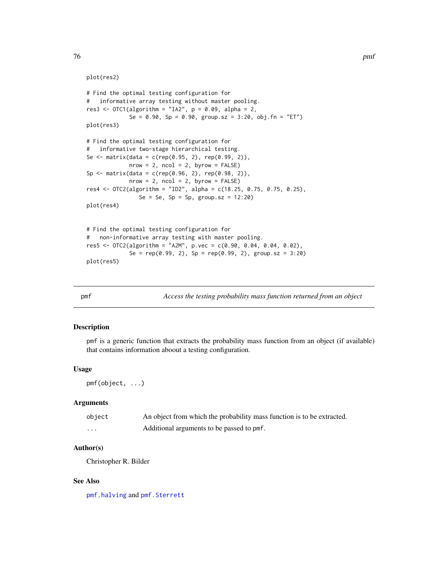#### plot(res2)

```
# Find the optimal testing configuration for
# informative array testing without master pooling.
res3 <- OTC1(algorithms = "IA2", p = 0.09, alpha = 2,Se = 0.90, Sp = 0.90, group.sz = 3:20, obj.fn = "ET")
plot(res3)
# Find the optimal testing configuration for
# informative two-stage hierarchical testing.
Se <- matrix(data = c(rep(0.95, 2), rep(0.99, 2)),nrow = 2, ncol = 2, byrow = FALSE)
Sp <- matrix(data = c(rep(0.96, 2), rep(0.98, 2)),nrow = 2, ncol = 2, byrow = FALSE)
res4 <- OTC2(algorithm = "ID2", alpha = c(18.25, 0.75, 0.75, 0.25),
                Se = Se, Sp = Sp, group.sz = 12:20)
plot(res4)
# Find the optimal testing configuration for
# non-informative array testing with master pooling.
res5 <- OTC2(algorithm = "A2M", p.vec = c(0.90, 0.04, 0.04, 0.02),
             Se = rep(0.99, 2), Sp = rep(0.99, 2), group.sz = 3:20)
plot(res5)
```
pmf *Access the testing probability mass function returned from an object*

#### Description

pmf is a generic function that extracts the probability mass function from an object (if available) that contains information aboout a testing configuration.

## Usage

pmf(object, ...)

#### Arguments

| object | An object from which the probability mass function is to be extracted. |
|--------|------------------------------------------------------------------------|
| .      | Additional arguments to be passed to pmf.                              |

#### Author(s)

Christopher R. Bilder

#### See Also

[pmf.halving](#page-76-0) and [pmf.Sterrett](#page-77-0)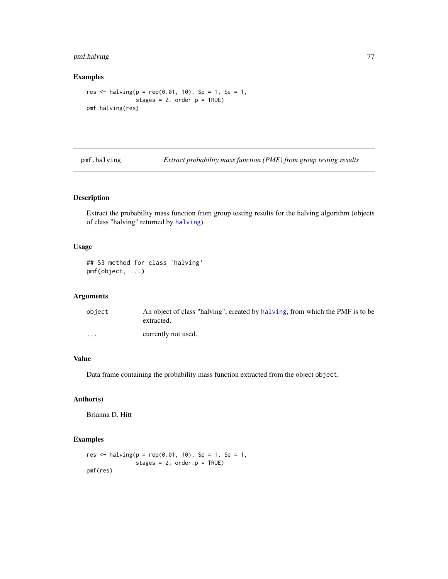# pmf.halving 77

# Examples

```
res <- halving(p = rep(0.01, 10), Sp = 1, Se = 1,
               stages = 2, order.p = TRUE)
pmf.halving(res)
```
<span id="page-76-0"></span>pmf.halving *Extract probability mass function (PMF) from group testing results*

# Description

Extract the probability mass function from group testing results for the halving algorithm (objects of class "halving" returned by [halving](#page-42-0)).

#### Usage

```
## S3 method for class 'halving'
pmf(object, ...)
```
# Arguments

| object  | An object of class "halving", created by halving, from which the PMF is to be<br>extracted. |
|---------|---------------------------------------------------------------------------------------------|
| $\cdot$ | currently not used.                                                                         |

# Value

Data frame containing the probability mass function extracted from the object object.

# Author(s)

Brianna D. Hitt

```
res <- halving(p = rep(0.01, 10), Sp = 1, Se = 1,
              stages = 2, order.p = TRUE)
pmf(res)
```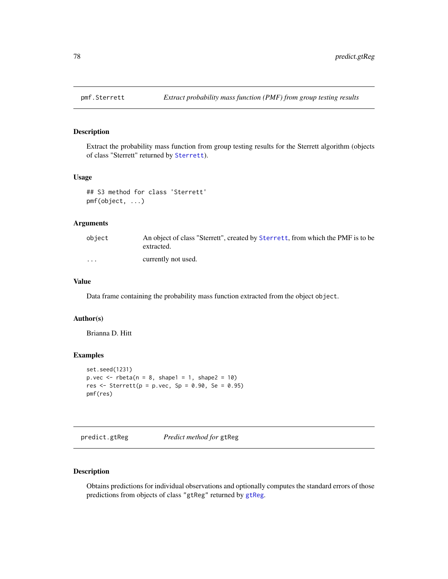<span id="page-77-0"></span>

Extract the probability mass function from group testing results for the Sterrett algorithm (objects of class "Sterrett" returned by [Sterrett](#page-96-0)).

# Usage

```
## S3 method for class 'Sterrett'
pmf(object, ...)
```
# Arguments

| object                  | An object of class "Sterrett", created by Sterrett, from which the PMF is to be<br>extracted. |
|-------------------------|-----------------------------------------------------------------------------------------------|
| $\cdot$ $\cdot$ $\cdot$ | currently not used.                                                                           |

# Value

Data frame containing the probability mass function extracted from the object object.

# Author(s)

Brianna D. Hitt

# Examples

```
set.seed(1231)
p.vec \leq rbeta(n = 8, shape1 = 1, shape2 = 10)
res \le- Sterrett(p = p.vec, Sp = 0.90, Se = 0.95)
pmf(res)
```
<span id="page-77-1"></span>predict.gtReg *Predict method for* gtReg

# Description

Obtains predictions for individual observations and optionally computes the standard errors of those predictions from objects of class "gtReg" returned by [gtReg](#page-30-0).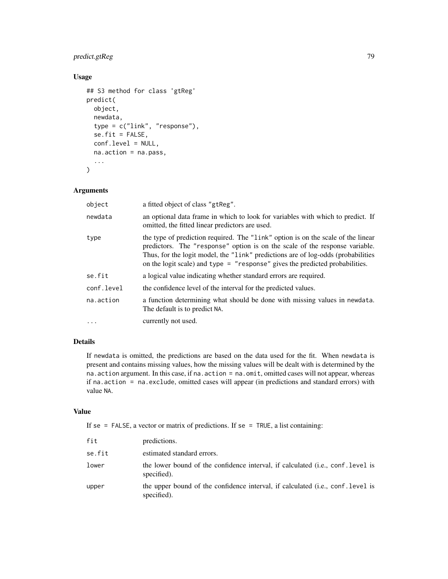# predict.gtReg 79

# Usage

```
## S3 method for class 'gtReg'
predict(
 object,
  newdata,
  type = c("link", "response"),
  se.fit = FALSE,conf.level = NULL,
  na.action = na.pass,
  ...
)
```
# Arguments

| object     | a fitted object of class "gtReg".                                                                                                                                                                                                                                                                                                     |
|------------|---------------------------------------------------------------------------------------------------------------------------------------------------------------------------------------------------------------------------------------------------------------------------------------------------------------------------------------|
| newdata    | an optional data frame in which to look for variables with which to predict. If<br>omitted, the fitted linear predictors are used.                                                                                                                                                                                                    |
| type       | the type of prediction required. The "link" option is on the scale of the linear<br>predictors. The "response" option is on the scale of the response variable.<br>Thus, for the logit model, the "link" predictions are of log-odds (probabilities<br>on the logit scale) and type $=$ "response" gives the predicted probabilities. |
| se.fit     | a logical value indicating whether standard errors are required.                                                                                                                                                                                                                                                                      |
| conf.level | the confidence level of the interval for the predicted values.                                                                                                                                                                                                                                                                        |
| na.action  | a function determining what should be done with missing values in newdata.<br>The default is to predict NA.                                                                                                                                                                                                                           |
| $\cdots$   | currently not used.                                                                                                                                                                                                                                                                                                                   |
|            |                                                                                                                                                                                                                                                                                                                                       |

# Details

If newdata is omitted, the predictions are based on the data used for the fit. When newdata is present and contains missing values, how the missing values will be dealt with is determined by the na.action argument. In this case, if na.action = na.omit, omitted cases will not appear, whereas if na.action = na.exclude, omitted cases will appear (in predictions and standard errors) with value NA.

# Value

If se = FALSE, a vector or matrix of predictions. If se = TRUE, a list containing:

| fit    | predictions.                                                                                            |
|--------|---------------------------------------------------------------------------------------------------------|
| se.fit | estimated standard errors.                                                                              |
| lower  | the lower bound of the confidence interval, if calculated (i.e., conf. level is<br>specified).          |
| upper  | the upper bound of the confidence interval, if calculated ( <i>i.e.</i> , conf. level is<br>specified). |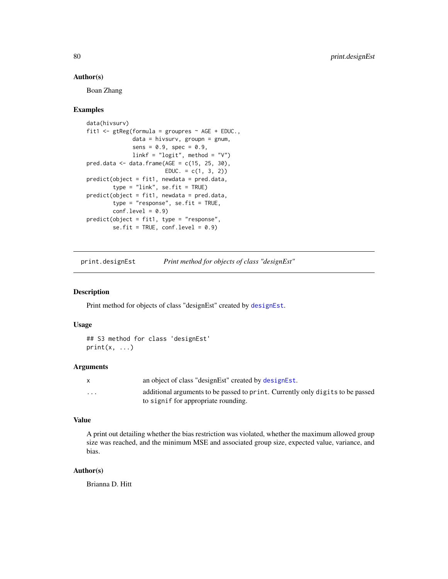#### Author(s)

Boan Zhang

#### Examples

```
data(hivsurv)
fit1 <- gtReg(formula = groupres \sim AGE + EDUC.,
              data = hivsurv, groupn = gnum,
              sens = 0.9, spec = 0.9,
              linkf = "logit", method = "V")
pred.data \leq data.frame(AGE = c(15, 25, 30),
                        EDUC. = c(1, 3, 2)predict(object = fit1, newdata = pred.data,type = "link", se.fit = TRUE)predict(object = fit1, newdata = pred.data,
        type = "response", se.fit = TRUE,
        conf. level = 0.9predict(object = fit1, type = "response",
        se.fit = TRUE, conf. level = 0.9)
```
print.designEst *Print method for objects of class "designEst"*

#### Description

Print method for objects of class "designEst" created by [designEst](#page-14-0).

# Usage

```
## S3 method for class 'designEst'
print(x, \ldots)
```
#### **Arguments**

|                         | an object of class "designEst" created by designEst.                           |
|-------------------------|--------------------------------------------------------------------------------|
| $\cdot$ $\cdot$ $\cdot$ | additional arguments to be passed to print. Currently only digits to be passed |
|                         | to signif for appropriate rounding.                                            |

#### Value

A print out detailing whether the bias restriction was violated, whether the maximum allowed group size was reached, and the minimum MSE and associated group size, expected value, variance, and bias.

# Author(s)

Brianna D. Hitt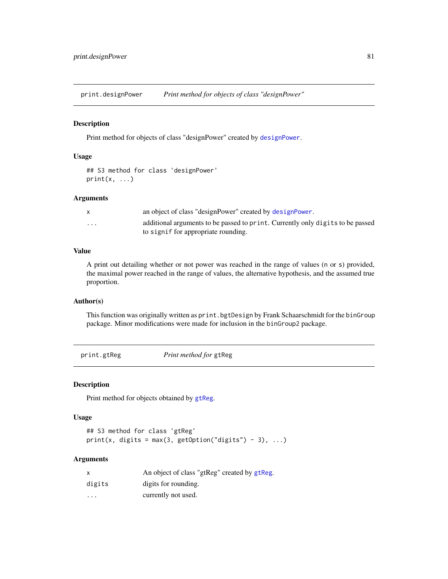print.designPower *Print method for objects of class "designPower"*

#### Description

Print method for objects of class "designPower" created by [designPower](#page-16-0).

# Usage

```
## S3 method for class 'designPower'
print(x, \ldots)
```
#### Arguments

|          | an object of class "designPower" created by designPower.                       |
|----------|--------------------------------------------------------------------------------|
| $\cdots$ | additional arguments to be passed to print. Currently only digits to be passed |
|          | to signif for appropriate rounding.                                            |

#### Value

A print out detailing whether or not power was reached in the range of values (n or s) provided, the maximal power reached in the range of values, the alternative hypothesis, and the assumed true proportion.

# Author(s)

This function was originally written as print.bgtDesign by Frank Schaarschmidt for the binGroup package. Minor modifications were made for inclusion in the binGroup2 package.

print.gtReg *Print method for* gtReg

#### Description

Print method for objects obtained by [gtReg](#page-30-0).

#### Usage

```
## S3 method for class 'gtReg'
print(x, digits = max(3, getOption("digits") - 3), ...)
```

| $\mathsf{x}$ | An object of class "gtReg" created by gtReg. |
|--------------|----------------------------------------------|
| digits       | digits for rounding.                         |
| $\cdot$      | currently not used.                          |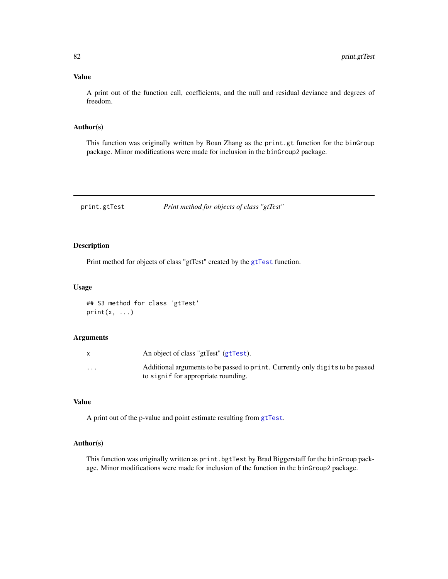# Value

A print out of the function call, coefficients, and the null and residual deviance and degrees of freedom.

#### Author(s)

This function was originally written by Boan Zhang as the print.gt function for the binGroup package. Minor modifications were made for inclusion in the binGroup2 package.

print.gtTest *Print method for objects of class "gtTest"*

# Description

Print method for objects of class "gtTest" created by the [gtTest](#page-39-0) function.

#### Usage

```
## S3 method for class 'gtTest'
print(x, \ldots)
```
# Arguments

|          | An object of class "gtTest" (gtTest).                                          |
|----------|--------------------------------------------------------------------------------|
| $\cdots$ | Additional arguments to be passed to print. Currently only digits to be passed |
|          | to signif for appropriate rounding.                                            |

# Value

A print out of the p-value and point estimate resulting from [gtTest](#page-39-0).

#### Author(s)

This function was originally written as print.bgtTest by Brad Biggerstaff for the binGroup package. Minor modifications were made for inclusion of the function in the binGroup2 package.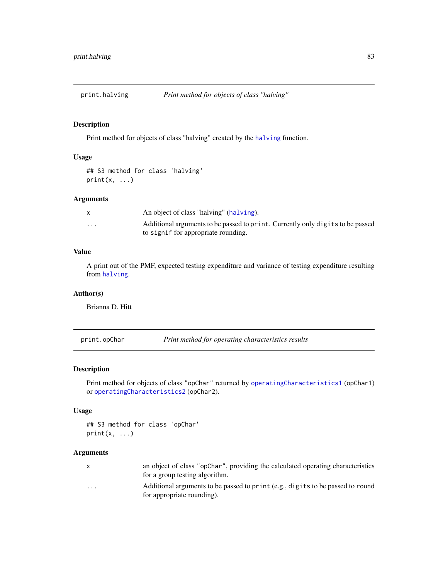Print method for objects of class "halving" created by the [halving](#page-42-0) function.

# Usage

```
## S3 method for class 'halving'
print(x, \ldots)
```
#### Arguments

|                         | An object of class "halving" (halving).                                        |
|-------------------------|--------------------------------------------------------------------------------|
| $\cdot$ $\cdot$ $\cdot$ | Additional arguments to be passed to print. Currently only digits to be passed |
|                         | to signif for appropriate rounding.                                            |

# Value

A print out of the PMF, expected testing expenditure and variance of testing expenditure resulting from [halving](#page-42-0).

# Author(s)

Brianna D. Hitt

print.opChar *Print method for operating characteristics results*

# Description

Print method for objects of class "opChar" returned by [operatingCharacteristics1](#page-47-0) (opChar1) or [operatingCharacteristics2](#page-53-0) (opChar2).

# Usage

```
## S3 method for class 'opChar'
print(x, \ldots)
```
- x an object of class "opChar", providing the calculated operating characteristics for a group testing algorithm.
- ... Additional arguments to be passed to print (e.g., digits to be passed to round for appropriate rounding).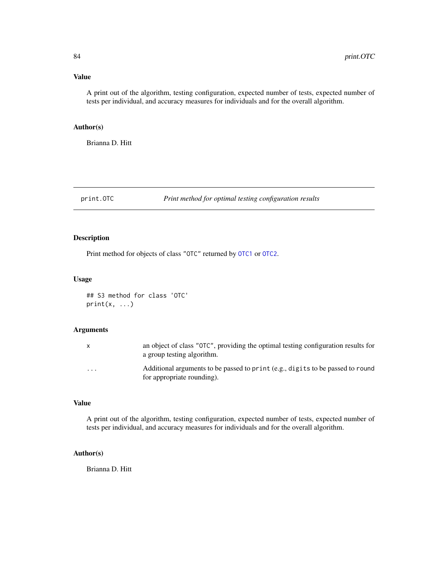# Value

A print out of the algorithm, testing configuration, expected number of tests, expected number of tests per individual, and accuracy measures for individuals and for the overall algorithm.

#### Author(s)

Brianna D. Hitt

print.OTC *Print method for optimal testing configuration results*

# Description

Print method for objects of class "OTC" returned by [OTC1](#page-61-0) or [OTC2](#page-67-0).

#### Usage

## S3 method for class 'OTC'  $print(x, \ldots)$ 

# Arguments

| X        | an object of class "OTC", providing the optimal testing configuration results for<br>a group testing algorithm. |
|----------|-----------------------------------------------------------------------------------------------------------------|
| $\cdots$ | Additional arguments to be passed to print (e.g., digits to be passed to round<br>for appropriate rounding).    |

# Value

A print out of the algorithm, testing configuration, expected number of tests, expected number of tests per individual, and accuracy measures for individuals and for the overall algorithm.

#### Author(s)

Brianna D. Hitt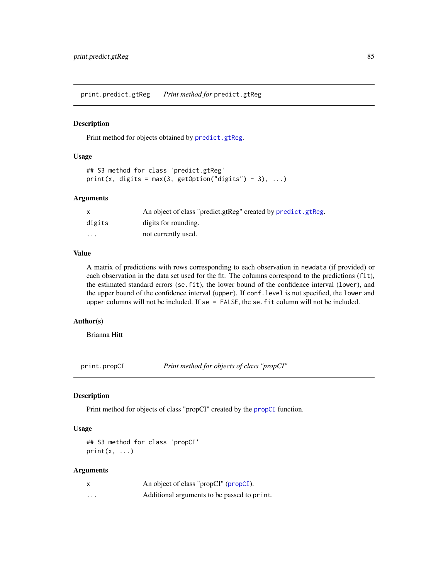print.predict.gtReg *Print method for* predict.gtReg

#### Description

Print method for objects obtained by [predict.gtReg](#page-77-1).

# Usage

```
## S3 method for class 'predict.gtReg'
print(x, digits = max(3, getOption("digits") - 3), ...)
```
#### Arguments

| X       | An object of class "predict.gtReg" created by predict.gtReg. |
|---------|--------------------------------------------------------------|
| digits  | digits for rounding.                                         |
| $\cdot$ | not currently used.                                          |

# Value

A matrix of predictions with rows corresponding to each observation in newdata (if provided) or each observation in the data set used for the fit. The columns correspond to the predictions (fit), the estimated standard errors (se.fit), the lower bound of the confidence interval (lower), and the upper bound of the confidence interval (upper). If conf.level is not specified, the lower and upper columns will not be included. If se = FALSE, the se.fit column will not be included.

# Author(s)

Brianna Hitt

print.propCI *Print method for objects of class "propCI"*

#### Description

Print method for objects of class "propCI" created by the [propCI](#page-88-0) function.

#### Usage

## S3 method for class 'propCI'  $print(x, \ldots)$ 

| X        | An object of class "propCI" (propCI).       |
|----------|---------------------------------------------|
| $\cdots$ | Additional arguments to be passed to print. |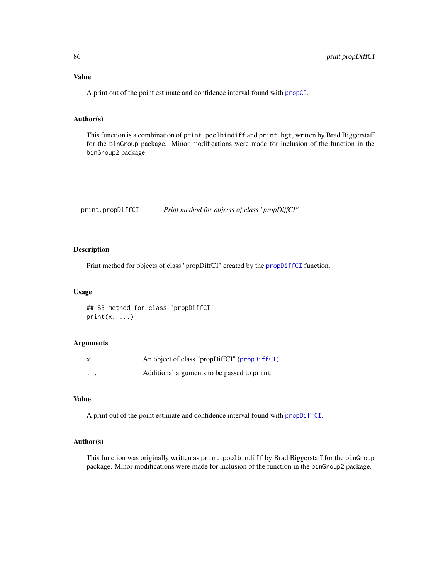A print out of the point estimate and confidence interval found with [propCI](#page-88-0).

### Author(s)

This function is a combination of print.poolbindiff and print.bgt, written by Brad Biggerstaff for the binGroup package. Minor modifications were made for inclusion of the function in the binGroup2 package.

print.propDiffCI *Print method for objects of class "propDiffCI"*

# Description

Print method for objects of class "propDiffCI" created by the [propDiffCI](#page-92-0) function.

#### Usage

```
## S3 method for class 'propDiffCI'
print(x, \ldots)
```
#### Arguments

| $\times$ | An object of class "propDiffCI" (propDiffCI). |
|----------|-----------------------------------------------|
| $\cdots$ | Additional arguments to be passed to print.   |

#### Value

A print out of the point estimate and confidence interval found with [propDiffCI](#page-92-0).

## Author(s)

This function was originally written as print.poolbindiff by Brad Biggerstaff for the binGroup package. Minor modifications were made for inclusion of the function in the binGroup2 package.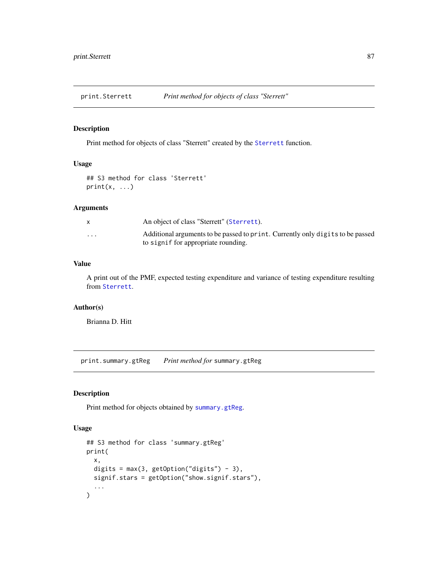print.Sterrett *Print method for objects of class "Sterrett"*

# Description

Print method for objects of class "Sterrett" created by the [Sterrett](#page-96-0) function.

#### Usage

```
## S3 method for class 'Sterrett'
print(x, \ldots)
```
#### Arguments

|          | An object of class "Sterrett" (Sterrett).                                                                             |
|----------|-----------------------------------------------------------------------------------------------------------------------|
| $\cdots$ | Additional arguments to be passed to print. Currently only digits to be passed<br>to signif for appropriate rounding. |

# Value

A print out of the PMF, expected testing expenditure and variance of testing expenditure resulting from [Sterrett](#page-96-0).

# Author(s)

Brianna D. Hitt

print.summary.gtReg *Print method for* summary.gtReg

# Description

Print method for objects obtained by [summary.gtReg](#page-98-0).

#### Usage

```
## S3 method for class 'summary.gtReg'
print(
 x,
  digits = max(3, getOption("digits") - 3),signif.stars = getOption("show.signif.stars"),
  ...
\mathcal{E}
```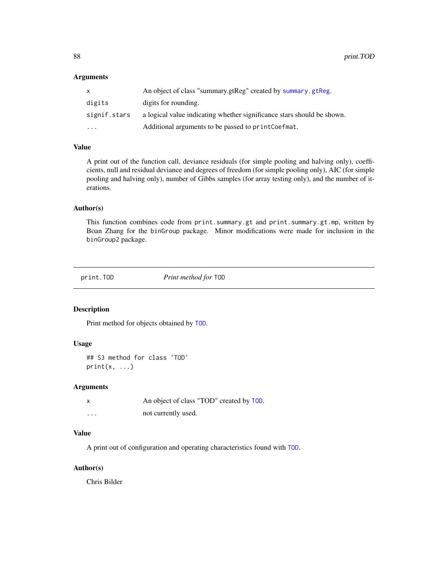88 print.TOD

#### Arguments

| X            | An object of class "summary.gtReg" created by summary.gtReg.           |
|--------------|------------------------------------------------------------------------|
| digits       | digits for rounding.                                                   |
| signif.stars | a logical value indicating whether significance stars should be shown. |
| $\cdot$      | Additional arguments to be passed to printCoefmat.                     |

# Value

A print out of the function call, deviance residuals (for simple pooling and halving only), coefficients, null and residual deviance and degrees of freedom (for simple pooling only), AIC (for simple pooling and halving only), number of Gibbs samples (for array testing only), and the number of iterations.

#### Author(s)

This function combines code from print.summary.gt and print.summary.gt.mp, written by Boan Zhang for the binGroup package. Minor modifications were made for inclusion in the binGroup2 package.

print.TOD *Print method for* TOD

# Description

Print method for objects obtained by [TOD](#page-105-0).

#### Usage

```
## S3 method for class 'TOD'
print(x, \ldots)
```
### Arguments

| X | An object of class "TOD" created by TOD. |
|---|------------------------------------------|
| . | not currently used.                      |

# Value

A print out of configuration and operating characteristics found with [TOD](#page-105-0).

# Author(s)

Chris Bilder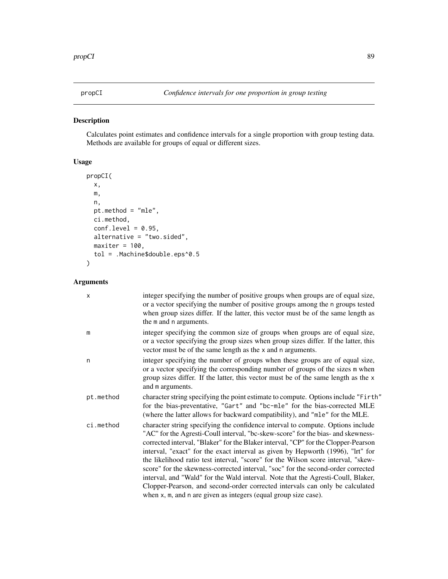<span id="page-88-0"></span>

Calculates point estimates and confidence intervals for a single proportion with group testing data. Methods are available for groups of equal or different sizes.

# Usage

```
propCI(
 x,
 m,
 n,
 pt.method = "mle",
 ci.method,
 conf. level = 0.95,alternative = "two.sided",
 maxiter = 100,
  tol = .Machine$double.eps^0.5
)
```

| X         | integer specifying the number of positive groups when groups are of equal size,<br>or a vector specifying the number of positive groups among the n groups tested<br>when group sizes differ. If the latter, this vector must be of the same length as<br>the m and n arguments.                                                                                                                                                                                                                                                                                                                                                                                                                                                                             |
|-----------|--------------------------------------------------------------------------------------------------------------------------------------------------------------------------------------------------------------------------------------------------------------------------------------------------------------------------------------------------------------------------------------------------------------------------------------------------------------------------------------------------------------------------------------------------------------------------------------------------------------------------------------------------------------------------------------------------------------------------------------------------------------|
| m         | integer specifying the common size of groups when groups are of equal size,<br>or a vector specifying the group sizes when group sizes differ. If the latter, this<br>vector must be of the same length as the x and n arguments.                                                                                                                                                                                                                                                                                                                                                                                                                                                                                                                            |
| n         | integer specifying the number of groups when these groups are of equal size,<br>or a vector specifying the corresponding number of groups of the sizes m when<br>group sizes differ. If the latter, this vector must be of the same length as the x<br>and m arguments.                                                                                                                                                                                                                                                                                                                                                                                                                                                                                      |
| pt.method | character string specifying the point estimate to compute. Options include "Firth"<br>for the bias-preventative, "Gart" and "bc-mle" for the bias-corrected MLE<br>(where the latter allows for backward compatibility), and "mle" for the MLE.                                                                                                                                                                                                                                                                                                                                                                                                                                                                                                              |
| ci.method | character string specifying the confidence interval to compute. Options include<br>"AC" for the Agresti-Coull interval, "bc-skew-score" for the bias- and skewness-<br>corrected interval, "Blaker" for the Blaker interval, "CP" for the Clopper-Pearson<br>interval, "exact" for the exact interval as given by Hepworth (1996), "lrt" for<br>the likelihood ratio test interval, "score" for the Wilson score interval, "skew-<br>score" for the skewness-corrected interval, "soc" for the second-order corrected<br>interval, and "Wald" for the Wald interval. Note that the Agresti-Coull, Blaker,<br>Clopper-Pearson, and second-order corrected intervals can only be calculated<br>when x, m, and n are given as integers (equal group size case). |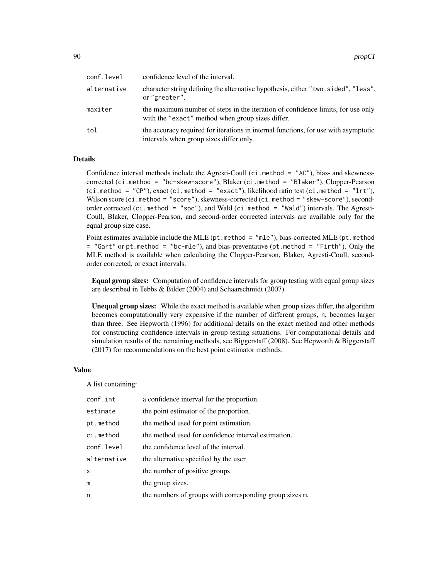| conf.level  | confidence level of the interval.                                                                                                   |
|-------------|-------------------------------------------------------------------------------------------------------------------------------------|
| alternative | character string defining the alternative hypothesis, either "two.sided", "less",<br>or "greater".                                  |
| maxiter     | the maximum number of steps in the iteration of confidence limits, for use only<br>with the "exact" method when group sizes differ. |
| tol         | the accuracy required for iterations in internal functions, for use with asymptotic<br>intervals when group sizes differ only.      |

### Details

Confidence interval methods include the Agresti-Coull (ci.method =  $"AC"$ ), bias- and skewnesscorrected (ci.method = "bc-skew-score"), Blaker (ci.method = "Blaker"), Clopper-Pearson (ci.method = "CP"), exact (ci.method = "exact"), likelihood ratio test (ci.method = "lrt"), Wilson score (ci.method = "score"), skewness-corrected (ci.method = "skew-score"), secondorder corrected (ci.method = "soc"), and Wald (ci.method = "Wald") intervals. The Agresti-Coull, Blaker, Clopper-Pearson, and second-order corrected intervals are available only for the equal group size case.

Point estimates available include the MLE ( $pt$  method = "mle"), bias-corrected MLE ( $pt$  method  $=$  "Gart" or pt.method  $=$  "bc-mle"), and bias-preventative (pt.method  $=$  "Firth"). Only the MLE method is available when calculating the Clopper-Pearson, Blaker, Agresti-Coull, secondorder corrected, or exact intervals.

Equal group sizes: Computation of confidence intervals for group testing with equal group sizes are described in Tebbs & Bilder (2004) and Schaarschmidt (2007).

Unequal group sizes: While the exact method is available when group sizes differ, the algorithm becomes computationally very expensive if the number of different groups, n, becomes larger than three. See Hepworth (1996) for additional details on the exact method and other methods for constructing confidence intervals in group testing situations. For computational details and simulation results of the remaining methods, see Biggerstaff (2008). See Hepworth & Biggerstaff (2017) for recommendations on the best point estimator methods.

## Value

A list containing:

| conf.int    | a confidence interval for the proportion.               |
|-------------|---------------------------------------------------------|
| estimate    | the point estimator of the proportion.                  |
| pt.method   | the method used for point estimation.                   |
| ci.method   | the method used for confidence interval estimation.     |
| conf.level  | the confidence level of the interval.                   |
| alternative | the alternative specified by the user.                  |
| X           | the number of positive groups.                          |
| m           | the group sizes.                                        |
| n           | the numbers of groups with corresponding group sizes m. |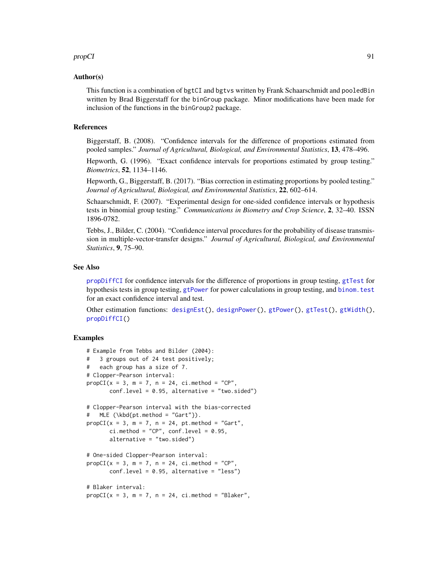#### propCI 91

#### Author(s)

This function is a combination of bgtCI and bgtvs written by Frank Schaarschmidt and pooledBin written by Brad Biggerstaff for the binGroup package. Minor modifications have been made for inclusion of the functions in the binGroup2 package.

#### References

Biggerstaff, B. (2008). "Confidence intervals for the difference of proportions estimated from pooled samples." *Journal of Agricultural, Biological, and Environmental Statistics*, 13, 478–496.

Hepworth, G. (1996). "Exact confidence intervals for proportions estimated by group testing." *Biometrics*, 52, 1134–1146.

Hepworth, G., Biggerstaff, B. (2017). "Bias correction in estimating proportions by pooled testing." *Journal of Agricultural, Biological, and Environmental Statistics*, 22, 602–614.

Schaarschmidt, F. (2007). "Experimental design for one-sided confidence intervals or hypothesis tests in binomial group testing." *Communications in Biometry and Crop Science*, 2, 32–40. ISSN 1896-0782.

Tebbs, J., Bilder, C. (2004). "Confidence interval procedures for the probability of disease transmission in multiple-vector-transfer designs." *Journal of Agricultural, Biological, and Environmental Statistics*, 9, 75–90.

### See Also

[propDiffCI](#page-92-0) for confidence intervals for the difference of proportions in group testing, [gtTest](#page-39-0) for hypothesis tests in group testing, [gtPower](#page-28-0) for power calculations in group testing, and [binom.test](#page-0-0) for an exact confidence interval and test.

Other estimation functions: [designEst\(](#page-14-0)), [designPower\(](#page-16-0)), [gtPower\(](#page-28-0)), [gtTest\(](#page-39-0)), [gtWidth\(](#page-41-0)), [propDiffCI\(](#page-92-0))

```
# Example from Tebbs and Bilder (2004):
# 3 groups out of 24 test positively;
# each group has a size of 7.
# Clopper-Pearson interval:
propCI(x = 3, m = 7, n = 24, ci.method = "CP",conf.level = 0.95, alternative = "two.sided")
# Clopper-Pearson interval with the bias-corrected
# MLE (\kbd{pt.method = "Gart"}).
propCI(x = 3, m = 7, n = 24, pt. method = "Gart",ci.method = "CP", conf.level = 0.95,
      alternative = "two.sided")
# One-sided Clopper-Pearson interval:
propCI(x = 3, m = 7, n = 24, ci.method = "CP",conf. level = 0.95, alternative = "less")# Blaker interval:
propCI(x = 3, m = 7, n = 24, ci.method = "Blacker",
```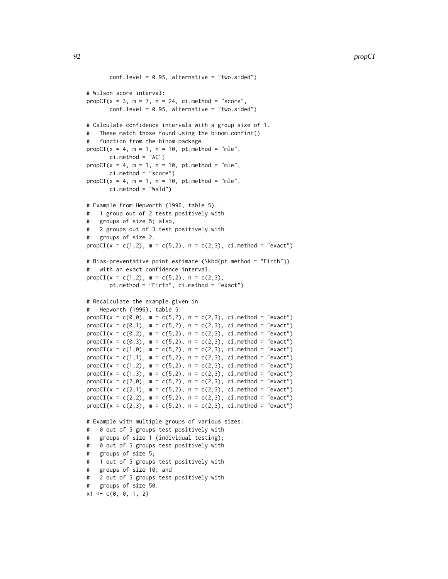```
conf.level = 0.95, alternative = "two.sided")
# Wilson score interval:
propCI(x = 3, m = 7, n = 24, ci.method = "score",conf.level = 0.95, alternative = "two.sided")
# Calculate confidence intervals with a group size of 1.
   These match those found using the binom.confint()
    function from the binom package.
propCI(x = 4, m = 1, n = 10, pt. method = "mle",ci.method = "AC")
propCI(x = 4, m = 1, n = 10, pt. method = "mle",ci.method = "score")
propCI(x = 4, m = 1, n = 10, pt. method = "mle",ci.method = "Wald")
# Example from Hepworth (1996, table 5):
# 1 group out of 2 tests positively with
# groups of size 5; also,
# 2 groups out of 3 test positively with
# groups of size 2.
propCI(x = c(1,2), m = c(5,2), n = c(2,3), ci.method = "exact")# Bias-preventative point estimate (\kbd{pt.method = "Firth"})
# with an exact confidence interval.
propCI(x = c(1,2), m = c(5,2), n = c(2,3),
       pt.method = "Firth", ci.method = "exact")
# Recalculate the example given in
# Hepworth (1996), table 5:
propCI(x = c(0,0), m = c(5,2), n = c(2,3), ci.method = "exact")propCI(x = c(0,1), m = c(5,2), n = c(2,3), ci.method = "exact")propCI(x = c(0, 2), m = c(5, 2), n = c(2, 3), ci.method = "exact")propCI(x = c(0,3), m = c(5,2), n = c(2,3), ci.method = "exact")propCI(x = c(1, \emptyset), m = c(5, 2), n = c(2, 3), ci.method = "exact")propCI(x = c(1,1), m = c(5,2), n = c(2,3), ci.method = "exact")propCI(x = c(1,2), m = c(5,2), n = c(2,3), ci.method = "exact")propCI(x = c(1,3), m = c(5,2), n = c(2,3), ci.method = "exact")propCI(x = c(2, 0), m = c(5, 2), n = c(2, 3), ci.method = "exact")propCI(x = c(2,1), m = c(5,2), n = c(2,3), ci.method = "exact")propCI(x = c(2,2), m = c(5,2), n = c(2,3), ci.method = "exact")propCI(x = c(2,3), m = c(5,2), n = c(2,3), ci.method = "exact")# Example with multiple groups of various sizes:
# 0 out of 5 groups test positively with
# groups of size 1 (individual testing);
# 0 out of 5 groups test positively with
# groups of size 5;
# 1 out of 5 groups test positively with
# groups of size 10; and
# 2 out of 5 groups test positively with
   groups of size 50.
x1 \leftarrow c(0, 0, 1, 2)
```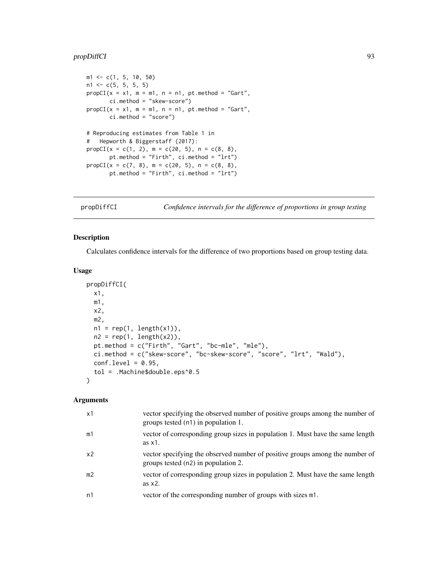# propDiffCI 93

```
m1 \leq -c(1, 5, 10, 50)n1 \leftarrow c(5, 5, 5, 5)propCI(x = x1, m = m1, n = n1, pt. method = "Gart",ci.method = "skew-score")
propCI(x = x1, m = m1, n = n1, pt. method = "Gart",ci.method = "score")
# Reproducing estimates from Table 1 in
# Hepworth & Biggerstaff (2017):
propCI(x = c(1, 2), m = c(20, 5), n = c(8, 8),
       pt.method = "Firth", ci.method = "lrt")
propCI(x = c(7, 8), m = c(20, 5), n = c(8, 8),
       pt.method = "Firth", ci.method = "lrt")
```
<span id="page-92-0"></span>propDiffCI *Confidence intervals for the difference of proportions in group testing*

# Description

Calculates confidence intervals for the difference of two proportions based on group testing data.

# Usage

```
propDiffCI(
  x1,
  m1,
 x2,
 m2,
 n1 = rep(1, length(x1)),n2 = rep(1, length(x2)),pt.method = c("Firth", "Gart", "bc-mle", "mle"),
  ci.method = c("skew-score", "bc-skew-score", "score", "lrt", "Wald"),
  conf. level = 0.95,
  tol = .Machine$double.eps^0.5
\lambda
```

| $\times$ 1     | vector specifying the observed number of positive groups among the number of<br>groups tested (n1) in population 1. |
|----------------|---------------------------------------------------------------------------------------------------------------------|
| m1             | vector of corresponding group sizes in population 1. Must have the same length<br>as x1.                            |
| x2             | vector specifying the observed number of positive groups among the number of<br>groups tested (n2) in population 2. |
| m <sub>2</sub> | vector of corresponding group sizes in population 2. Must have the same length<br>as $x2$ .                         |
| n1             | vector of the corresponding number of groups with sizes m1.                                                         |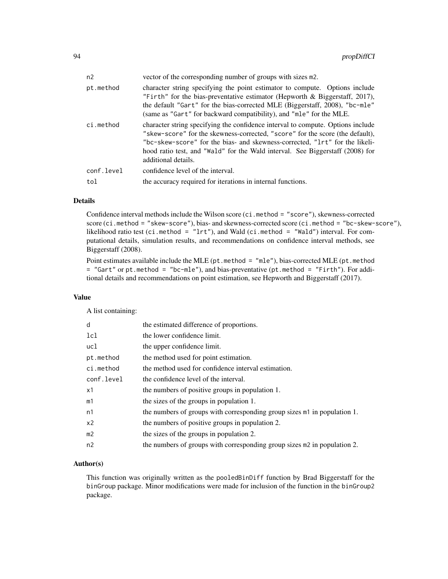| n <sub>2</sub>    | vector of the corresponding number of groups with sizes m2.                                                                                                                                                                                                                                                                                             |
|-------------------|---------------------------------------------------------------------------------------------------------------------------------------------------------------------------------------------------------------------------------------------------------------------------------------------------------------------------------------------------------|
| pt.method         | character string specifying the point estimator to compute. Options include<br>"Firth" for the bias-preventative estimator (Hepworth $\&$ Biggerstaff, 2017),<br>the default "Gart" for the bias-corrected MLE (Biggerstaff, 2008), "bc-mle"<br>(same as "Gart" for backward compatibility), and "mle" for the MLE.                                     |
| ci.method         | character string specifying the confidence interval to compute. Options include<br>"skew-score" for the skewness-corrected, "score" for the score (the default),<br>"bc-skew-score" for the bias- and skewness-corrected, "1rt" for the likeli-<br>hood ratio test, and "Wald" for the Wald interval. See Biggerstaff (2008) for<br>additional details. |
| conf.level<br>tol | confidence level of the interval.<br>the accuracy required for iterations in internal functions.                                                                                                                                                                                                                                                        |

# Details

Confidence interval methods include the Wilson score (ci.method = "score"), skewness-corrected score (ci.method = "skew-score"), bias- and skewness-corrected score (ci.method = "bc-skew-score"), likelihood ratio test (ci.method = "lrt"), and Wald (ci.method = "Wald") interval. For computational details, simulation results, and recommendations on confidence interval methods, see Biggerstaff (2008).

Point estimates available include the MLE ( $pt$  method = "mle"), bias-corrected MLE ( $pt$  method = "Gart" or pt.method = "bc-mle"), and bias-preventative (pt.method = "Firth"). For additional details and recommendations on point estimation, see Hepworth and Biggerstaff (2017).

## Value

A list containing:

| d              | the estimated difference of proportions.                                 |
|----------------|--------------------------------------------------------------------------|
| 1c1            | the lower confidence limit.                                              |
| ucl            | the upper confidence limit.                                              |
| pt.method      | the method used for point estimation.                                    |
| ci.method      | the method used for confidence interval estimation.                      |
| conf.level     | the confidence level of the interval.                                    |
| x1             | the numbers of positive groups in population 1.                          |
| m1             | the sizes of the groups in population 1.                                 |
| n1             | the numbers of groups with corresponding group sizes m1 in population 1. |
| x <sub>2</sub> | the numbers of positive groups in population 2.                          |
| m <sub>2</sub> | the sizes of the groups in population 2.                                 |
| n2             | the numbers of groups with corresponding group sizes m2 in population 2. |

# Author(s)

This function was originally written as the pooledBinDiff function by Brad Biggerstaff for the binGroup package. Minor modifications were made for inclusion of the function in the binGroup2 package.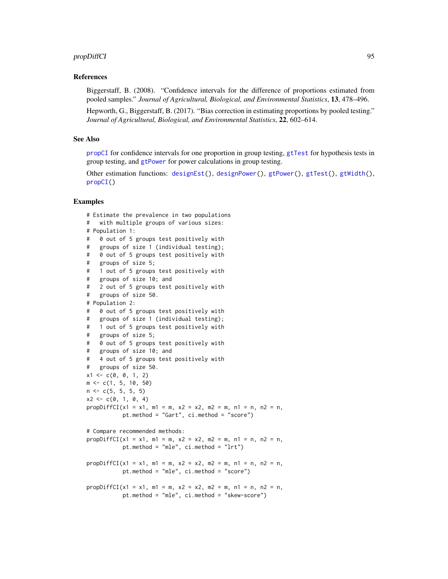# propDiffCI 95

# References

Biggerstaff, B. (2008). "Confidence intervals for the difference of proportions estimated from pooled samples." *Journal of Agricultural, Biological, and Environmental Statistics*, 13, 478–496.

Hepworth, G., Biggerstaff, B. (2017). "Bias correction in estimating proportions by pooled testing." *Journal of Agricultural, Biological, and Environmental Statistics*, 22, 602–614.

# See Also

[propCI](#page-88-0) for confidence intervals for one proportion in group testing, [gtTest](#page-39-0) for hypothesis tests in group testing, and [gtPower](#page-28-0) for power calculations in group testing.

Other estimation functions: [designEst\(](#page-14-0)), [designPower\(](#page-16-0)), [gtPower\(](#page-28-0)), [gtTest\(](#page-39-0)), [gtWidth\(](#page-41-0)), [propCI\(](#page-88-0))

```
# Estimate the prevalence in two populations
# with multiple groups of various sizes:
# Population 1:
# 0 out of 5 groups test positively with
# groups of size 1 (individual testing);
# 0 out of 5 groups test positively with
# groups of size 5;
# 1 out of 5 groups test positively with
# groups of size 10; and
# 2 out of 5 groups test positively with
# groups of size 50.
# Population 2:
# 0 out of 5 groups test positively with
# groups of size 1 (individual testing);
# 1 out of 5 groups test positively with
# groups of size 5;
# 0 out of 5 groups test positively with
# groups of size 10; and
# 4 out of 5 groups test positively with
# groups of size 50.
x1 \leftarrow c(0, 0, 1, 2)m \leq c(1, 5, 10, 50)n \leq -c(5, 5, 5, 5)x2 \leq -c(0, 1, 0, 4)propDiffCI(x1 = x1, m1 = m, x2 = x2, m2 = m, n1 = n, n2 = n,
           pt.method = "Gart", ci.method = "score")
# Compare recommended methods:
propDiffCI(x1 = x1, m1 = m, x2 = x2, m2 = m, n1 = n, n2 = n,
           pt.method = "mle", ci.method = "lrt")
propDiffCI(x1 = x1, m1 = m, x2 = x2, m2 = m, n1 = n, n2 = n,
           pt.method = "mle", ci.method = "score")
propDiffCI(x1 = x1, m1 = m, x2 = x2, m2 = m, n1 = n, n2 = n,
           pt.method = "mle", ci.method = "skew-score")
```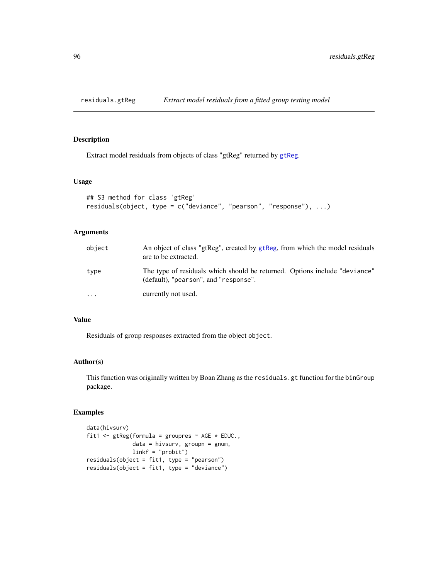Extract model residuals from objects of class "gtReg" returned by [gtReg](#page-30-0).

# Usage

```
## S3 method for class 'gtReg'
residuals(object, type = c("deviance", "pearson", "response"), ...)
```
# Arguments

| object    | An object of class "gtReg", created by gtReg, from which the model residuals<br>are to be extracted.                |
|-----------|---------------------------------------------------------------------------------------------------------------------|
| type      | The type of residuals which should be returned. Options include "deviance"<br>(default), "pearson", and "response". |
| $\ddotsc$ | currently not used.                                                                                                 |

# Value

Residuals of group responses extracted from the object object.

# Author(s)

This function was originally written by Boan Zhang as the residuals.gt function for the binGroup package.

```
data(hivsurv)
fit1 <- gtReg(formula = groupres \sim AGE \star EDUC.,
              data = hivsurv, groupn = gnum,
              linkf = "probit")
residuals(object = fit1, type = "pearson")
residuals(object = fit1, type = "deviance")
```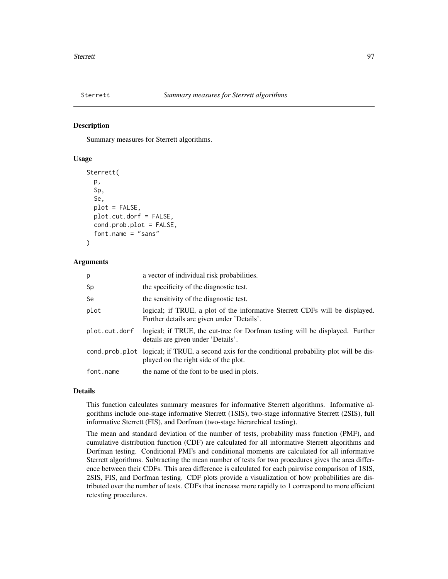<span id="page-96-0"></span>

Summary measures for Sterrett algorithms.

### Usage

```
Sterrett(
  p,
  Sp,
  Se,
  plot = FALSE,
  plot.cut.dorf = FALSE,
  cond.prob.plot = FALSE,
  font.name = "sans"
)
```
#### Arguments

| p             | a vector of individual risk probabilities.                                                                                                |
|---------------|-------------------------------------------------------------------------------------------------------------------------------------------|
| Sp            | the specificity of the diagnostic test.                                                                                                   |
| Se            | the sensitivity of the diagnostic test.                                                                                                   |
| plot          | logical; if TRUE, a plot of the informative Sterrett CDFs will be displayed.<br>Further details are given under 'Details'.                |
| plot.cut.dorf | logical; if TRUE, the cut-tree for Dorfman testing will be displayed. Further<br>details are given under 'Details'.                       |
|               | cond.prob.plot logical; if TRUE, a second axis for the conditional probability plot will be dis-<br>played on the right side of the plot. |
| font.name     | the name of the font to be used in plots.                                                                                                 |

# Details

This function calculates summary measures for informative Sterrett algorithms. Informative algorithms include one-stage informative Sterrett (1SIS), two-stage informative Sterrett (2SIS), full informative Sterrett (FIS), and Dorfman (two-stage hierarchical testing).

The mean and standard deviation of the number of tests, probability mass function (PMF), and cumulative distribution function (CDF) are calculated for all informative Sterrett algorithms and Dorfman testing. Conditional PMFs and conditional moments are calculated for all informative Sterrett algorithms. Subtracting the mean number of tests for two procedures gives the area difference between their CDFs. This area difference is calculated for each pairwise comparison of 1SIS, 2SIS, FIS, and Dorfman testing. CDF plots provide a visualization of how probabilities are distributed over the number of tests. CDFs that increase more rapidly to 1 correspond to more efficient retesting procedures.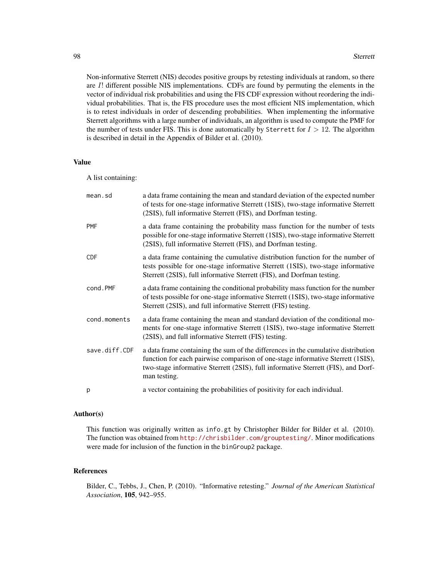Non-informative Sterrett (NIS) decodes positive groups by retesting individuals at random, so there are I! different possible NIS implementations. CDFs are found by permuting the elements in the vector of individual risk probabilities and using the FIS CDF expression without reordering the individual probabilities. That is, the FIS procedure uses the most efficient NIS implementation, which is to retest individuals in order of descending probabilities. When implementing the informative Sterrett algorithms with a large number of individuals, an algorithm is used to compute the PMF for the number of tests under FIS. This is done automatically by Sterrett for  $I > 12$ . The algorithm is described in detail in the Appendix of Bilder et al. (2010).

#### Value

A list containing:

| mean.sd       | a data frame containing the mean and standard deviation of the expected number<br>of tests for one-stage informative Sterrett (1SIS), two-stage informative Sterrett<br>(2SIS), full informative Sterrett (FIS), and Dorfman testing.                                     |
|---------------|---------------------------------------------------------------------------------------------------------------------------------------------------------------------------------------------------------------------------------------------------------------------------|
| <b>PMF</b>    | a data frame containing the probability mass function for the number of tests<br>possible for one-stage informative Sterrett (1SIS), two-stage informative Sterrett<br>(2SIS), full informative Sterrett (FIS), and Dorfman testing.                                      |
| <b>CDF</b>    | a data frame containing the cumulative distribution function for the number of<br>tests possible for one-stage informative Sterrett (1SIS), two-stage informative<br>Sterrett (2SIS), full informative Sterrett (FIS), and Dorfman testing.                               |
| cond.PMF      | a data frame containing the conditional probability mass function for the number<br>of tests possible for one-stage informative Sterrett (1SIS), two-stage informative<br>Sterrett (2SIS), and full informative Sterrett (FIS) testing.                                   |
| cond.moments  | a data frame containing the mean and standard deviation of the conditional mo-<br>ments for one-stage informative Sterrett (1SIS), two-stage informative Sterrett<br>(2SIS), and full informative Sterrett (FIS) testing.                                                 |
| save.diff.CDF | a data frame containing the sum of the differences in the cumulative distribution<br>function for each pairwise comparison of one-stage informative Sterrett (1SIS),<br>two-stage informative Sterrett (2SIS), full informative Sterrett (FIS), and Dorf-<br>man testing. |
| p             | a vector containing the probabilities of positivity for each individual.                                                                                                                                                                                                  |

# Author(s)

This function was originally written as info.gt by Christopher Bilder for Bilder et al. (2010). The function was obtained from <http://chrisbilder.com/grouptesting/>. Minor modifications were made for inclusion of the function in the binGroup2 package.

#### References

Bilder, C., Tebbs, J., Chen, P. (2010). "Informative retesting." *Journal of the American Statistical Association*, 105, 942–955.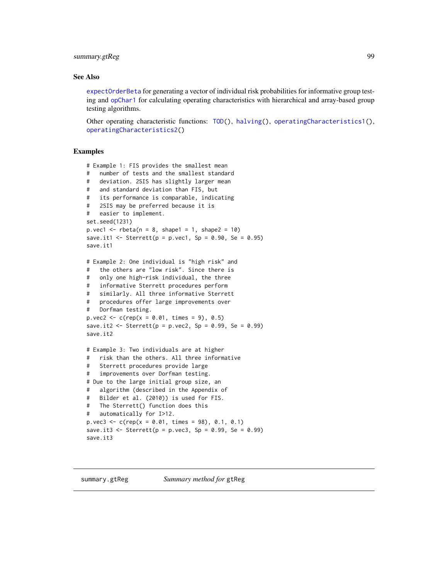# summary.gtReg 99

#### See Also

[expectOrderBeta](#page-19-0) for generating a vector of individual risk probabilities for informative group testing and [opChar1](#page-47-1) for calculating operating characteristics with hierarchical and array-based group testing algorithms.

Other operating characteristic functions: [TOD\(](#page-105-0)), [halving\(](#page-42-0)), [operatingCharacteristics1\(](#page-47-0)), [operatingCharacteristics2\(](#page-53-0))

```
# Example 1: FIS provides the smallest mean
# number of tests and the smallest standard
# deviation. 2SIS has slightly larger mean
# and standard deviation than FIS, but
# its performance is comparable, indicating
# 2SIS may be preferred because it is
# easier to implement.
set.seed(1231)
p. vec1 <- rbeta(n = 8, shape1 = 1, shape2 = 10)
save.it1 <- Sterrett(p = p.vec1, Sp = 0.90, Se = 0.95)
save.it1
# Example 2: One individual is "high risk" and
# the others are "low risk". Since there is
# only one high-risk individual, the three
# informative Sterrett procedures perform
# similarly. All three informative Sterrett
# procedures offer large improvements over
# Dorfman testing.
p. \text{vec2} < -c(\text{rep}(x = 0.01, \text{ times} = 9), 0.5)save.it2 <- Sterrett(p = p.vec2, Sp = 0.99, Se = 0.99)
save.it2
# Example 3: Two individuals are at higher
# risk than the others. All three informative
# Sterrett procedures provide large
# improvements over Dorfman testing.
# Due to the large initial group size, an
# algorithm (described in the Appendix of
# Bilder et al. (2010)) is used for FIS.
# The Sterrett() function does this
# automatically for I>12.
p. vec3 <- c(rep(x = 0.01, times = 98), 0.1, 0.1)
save.it3 <- Sterrett(p = p.vec3, Sp = 0.99, Se = 0.99)
save.it3
```
<span id="page-98-0"></span>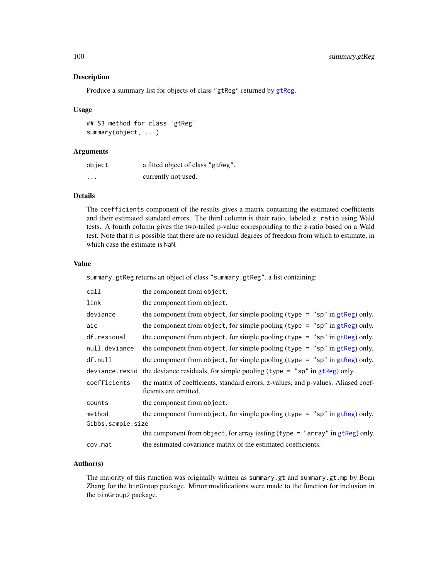Produce a summary list for objects of class "[gtReg](#page-30-0)" returned by gtReg.

#### Usage

## S3 method for class 'gtReg' summary(object, ...)

### Arguments

| object   | a fitted object of class "gtReg". |
|----------|-----------------------------------|
| $\cdots$ | currently not used.               |

# Details

The coefficients component of the results gives a matrix containing the estimated coefficients and their estimated standard errors. The third column is their ratio, labeled z ratio using Wald tests. A fourth column gives the two-tailed p-value corresponding to the z-ratio based on a Wald test. Note that it is possible that there are no residual degrees of freedom from which to estimate, in which case the estimate is NaN.

# Value

summary.gtReg returns an object of class "summary.gtReg", a list containing:

| call              | the component from object.                                                                                  |
|-------------------|-------------------------------------------------------------------------------------------------------------|
| link              | the component from object.                                                                                  |
| deviance          | the component from object, for simple pooling (type $=$ "sp" in gtReg) only.                                |
| aic               | the component from object, for simple pooling (type = $"sp"$ in gtReg) only.                                |
| df.residual       | the component from object, for simple pooling (type = " $sp$ " in gtReg) only.                              |
| null.deviance     | the component from object, for simple pooling (type = " $sp$ " in gtReg) only.                              |
| df.null           | the component from object, for simple pooling (type = " $sp$ " in gtReg) only.                              |
| deviance.resid    | the deviance residuals, for simple pooling (type $=$ "sp" in gtReg) only.                                   |
| coefficients      | the matrix of coefficients, standard errors, z-values, and p-values. Aliased coef-<br>ficients are omitted. |
| counts            | the component from object.                                                                                  |
| method            | the component from object, for simple pooling (type $=$ "sp" in gtReg) only.                                |
| Gibbs.sample.size |                                                                                                             |
|                   | the component from object, for array testing (type = "array" in $g$ tReg) only.                             |
| cov.mat           | the estimated covariance matrix of the estimated coefficients.                                              |

# Author(s)

The majority of this function was originally written as summary.gt and summary.gt.mp by Boan Zhang for the binGroup package. Minor modifications were made to the function for inclusion in the binGroup2 package.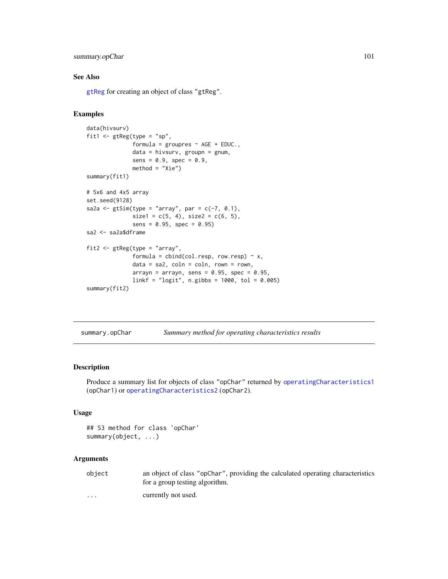# summary.opChar 101

# See Also

[gtReg](#page-30-0) for creating an object of class "gtReg".

#### Examples

```
data(hivsurv)
fit1 <- gtReg(type = "sp",
              formula = groupres \sim AGE + EDUC.,
              data = hivsurv, groupn = gnum,
              sens = 0.9, spec = 0.9,
              method = "Xie")
summary(fit1)
# 5x6 and 4x5 array
set.seed(9128)
sa2a \leq gtSim(type = "array", par = c(-7, 0.1),
              size1 = c(5, 4), size2 = c(6, 5),sens = 0.95, spec = 0.95)
sa2 <- sa2a$dframe
fit2 <- gtReg(type = "array",
              formula = cbind(col.resp, row.resp) ~ x,data = sa2, coln = coln, rown = rown,
              arrayn = arrayn, sens = 0.95, spec = 0.95,
              linkf = "logit", n.gibbs = 1000, tol = 0.005)
summary(fit2)
```
summary.opChar *Summary method for operating characteristics results*

### Description

Produce a summary list for objects of class "opChar" returned by [operatingCharacteristics1](#page-47-0) (opChar1) or [operatingCharacteristics2](#page-53-0) (opChar2).

#### Usage

```
## S3 method for class 'opChar'
summary(object, ...)
```

| object               | an object of class "opChar", providing the calculated operating characteristics |
|----------------------|---------------------------------------------------------------------------------|
|                      | for a group testing algorithm.                                                  |
| $\ddot{\phantom{0}}$ | currently not used.                                                             |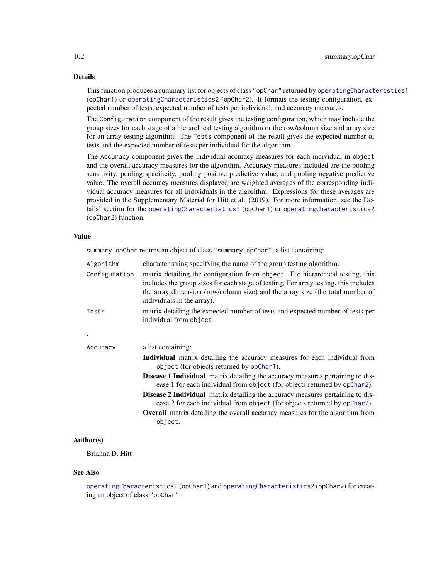# Details

This function produces a summary list for objects of class "opChar" returned by [operatingCharacteristics1](#page-47-0) (opChar1) or [operatingCharacteristics2](#page-53-0) (opChar2). It formats the testing configuration, expected number of tests, expected number of tests per individual, and accuracy measures.

The Configuration component of the result gives the testing configuration, which may include the group sizes for each stage of a hierarchical testing algorithm or the row/column size and array size for an array testing algorithm. The Tests component of the result gives the expected number of tests and the expected number of tests per individual for the algorithm.

The Accuracy component gives the individual accuracy measures for each individual in object and the overall accuracy measures for the algorithm. Accuracy measures included are the pooling sensitivity, pooling specificity, pooling positive predictive value, and pooling negative predictive value. The overall accuracy measures displayed are weighted averages of the corresponding individual accuracy measures for all individuals in the algorithm. Expressions for these averages are provided in the Supplementary Material for Hitt et al. (2019). For more information, see the Details' section for the [operatingCharacteristics1](#page-47-0) (opChar1) or [operatingCharacteristics2](#page-53-0) (opChar2) function.

# Value

summary.opChar returns an object of class "summary.opChar", a list containing:

| Algorithm<br>Configuration | character string specifying the name of the group testing algorithm.<br>matrix detailing the configuration from object. For hierarchical testing, this<br>includes the group sizes for each stage of testing. For array testing, this includes<br>the array dimension (row/column size) and the array size (the total number of<br>individuals in the array). |
|----------------------------|---------------------------------------------------------------------------------------------------------------------------------------------------------------------------------------------------------------------------------------------------------------------------------------------------------------------------------------------------------------|
| Tests                      | matrix detailing the expected number of tests and expected number of tests per<br>individual from object                                                                                                                                                                                                                                                      |
|                            |                                                                                                                                                                                                                                                                                                                                                               |
| Accuracy                   | a list containing:                                                                                                                                                                                                                                                                                                                                            |
|                            | <b>Individual</b> matrix detailing the accuracy measures for each individual from<br>object (for objects returned by opChar1).                                                                                                                                                                                                                                |
|                            | <b>Disease 1 Individual</b> matrix detailing the accuracy measures pertaining to dis-<br>ease 1 for each individual from object (for objects returned by opChar2).                                                                                                                                                                                            |
|                            | Disease 2 Individual matrix detailing the accuracy measures pertaining to dis-<br>ease 2 for each individual from object (for objects returned by opChar2).                                                                                                                                                                                                   |
|                            | <b>Overall</b> matrix detailing the overall accuracy measures for the algorithm from<br>object.                                                                                                                                                                                                                                                               |

### Author(s)

Brianna D. Hitt

#### See Also

[operatingCharacteristics1](#page-47-0) (opChar1) and [operatingCharacteristics2](#page-53-0) (opChar2) for creating an object of class "opChar".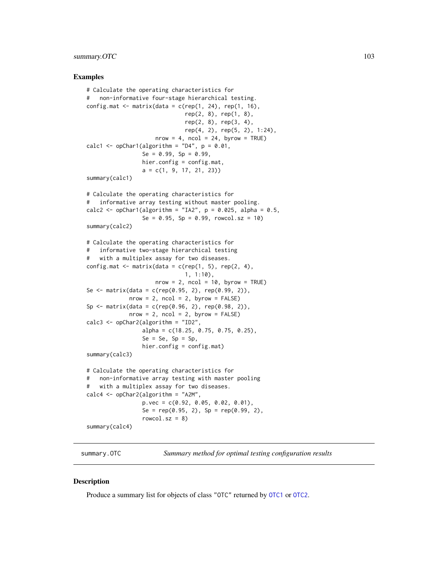# summary.OTC 103

#### Examples

```
# Calculate the operating characteristics for
# non-informative four-stage hierarchical testing.
config.mat \leq matrix(data = c(rep(1, 24), rep(1, 16),
                              rep(2, 8), rep(1, 8),rep(2, 8), rep(3, 4),
                              rep(4, 2), rep(5, 2), 1:24),
                     nrow = 4, ncol = 24, byrow = TRUE)
calc1 <- opChar1(algorithm = "D4", p = 0.01,
                 Se = 0.99, Sp = 0.99,
                 hier.config = config.mat,
                 a = c(1, 9, 17, 21, 23)summary(calc1)
# Calculate the operating characteristics for
# informative array testing without master pooling.
calc2 \leq opChar1(algorithm = "IA2", p = 0.025, alpha = 0.5,
                 Se = 0.95, Sp = 0.99, rowcol.sz = 10)
summary(calc2)
# Calculate the operating characteristics for
# informative two-stage hierarchical testing
# with a multiplex assay for two diseases.
config.mat \leq matrix(data = c(rep(1, 5), rep(2, 4),
                              1, 1:10),
                     nrow = 2, ncol = 10, byrow = TRUE)
Se <- matrix(data = c(rep(0.95, 2), rep(0.99, 2)),nrow = 2, ncol = 2, byrow = FALSE)
Sp <- matrix(data = c(rep(0.96, 2), rep(0.98, 2)),nrow = 2, ncol = 2, byrow = FALSE)
calc3 <- opChar2(algorithm = "ID2",
                 alpha = c(18.25, 0.75, 0.75, 0.25),
                 Se = Se, Sp = Sp,
                 hier.config = config.mat)
summary(calc3)
# Calculate the operating characteristics for
# non-informative array testing with master pooling
# with a multiplex assay for two diseases.
calc4 <- opChar2(algorithm = "A2M",
                 p.vec = c(0.92, 0.05, 0.02, 0.01),
                 Se = rep(0.95, 2), Sp = rep(0.99, 2),
                 rowcol.sz = 8)
summary(calc4)
```
summary.OTC *Summary method for optimal testing configuration results*

#### **Description**

Produce a summary list for objects of class "OTC" returned by [OTC1](#page-61-0) or [OTC2](#page-67-0).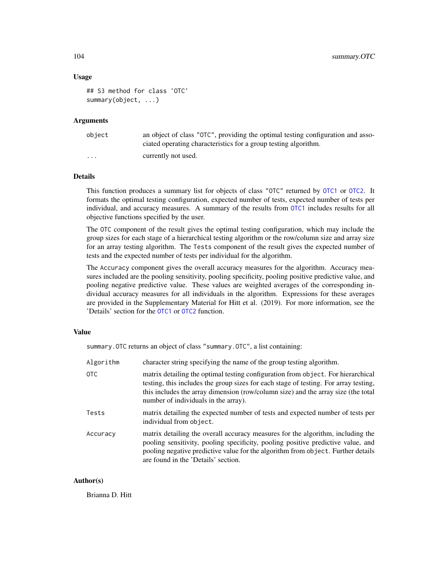### Usage

```
## S3 method for class 'OTC'
summary(object, ...)
```
# Arguments

| object               | an object of class "OTC", providing the optimal testing configuration and asso-<br>ciated operating characteristics for a group testing algorithm. |
|----------------------|----------------------------------------------------------------------------------------------------------------------------------------------------|
| $\ddot{\phantom{0}}$ | currently not used.                                                                                                                                |

# Details

This function produces a summary list for objects of class "OTC" returned by [OTC1](#page-61-0) or [OTC2](#page-67-0). It formats the optimal testing configuration, expected number of tests, expected number of tests per individual, and accuracy measures. A summary of the results from [OTC1](#page-61-0) includes results for all objective functions specified by the user.

The OTC component of the result gives the optimal testing configuration, which may include the group sizes for each stage of a hierarchical testing algorithm or the row/column size and array size for an array testing algorithm. The Tests component of the result gives the expected number of tests and the expected number of tests per individual for the algorithm.

The Accuracy component gives the overall accuracy measures for the algorithm. Accuracy measures included are the pooling sensitivity, pooling specificity, pooling positive predictive value, and pooling negative predictive value. These values are weighted averages of the corresponding individual accuracy measures for all individuals in the algorithm. Expressions for these averages are provided in the Supplementary Material for Hitt et al. (2019). For more information, see the 'Details' section for the [OTC1](#page-61-0) or [OTC2](#page-67-0) function.

### Value

summary.OTC returns an object of class "summary.OTC", a list containing:

| Algorithm | character string specifying the name of the group testing algorithm.                                                                                                                                                                                                                                  |
|-----------|-------------------------------------------------------------------------------------------------------------------------------------------------------------------------------------------------------------------------------------------------------------------------------------------------------|
| 0TC       | matrix detailing the optimal testing configuration from object. For hierarchical<br>testing, this includes the group sizes for each stage of testing. For array testing,<br>this includes the array dimension (row/column size) and the array size (the total<br>number of individuals in the array). |
| Tests     | matrix detailing the expected number of tests and expected number of tests per<br>individual from object.                                                                                                                                                                                             |
| Accuracy  | matrix detailing the overall accuracy measures for the algorithm, including the<br>pooling sensitivity, pooling specificity, pooling positive predictive value, and<br>pooling negative predictive value for the algorithm from object. Further details<br>are found in the 'Details' section.        |

# Author(s)

Brianna D. Hitt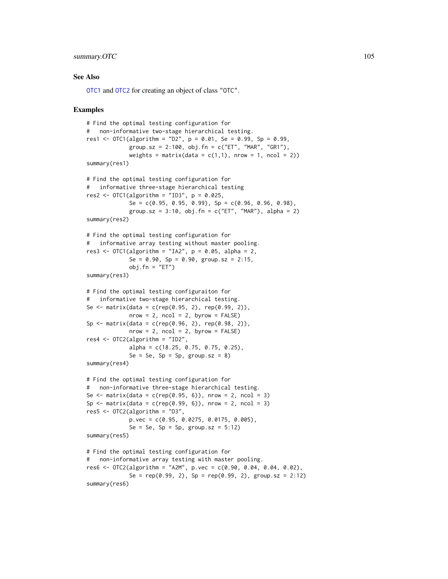# summary.OTC 105

### See Also

[OTC1](#page-61-0) and [OTC2](#page-67-0) for creating an object of class "OTC".

```
# Find the optimal testing configuration for
# non-informative two-stage hierarchical testing.
res1 <- OTC1(algorithm = "D2", p = 0.01, Se = 0.99, Sp = 0.99,
             group.sz = 2:100, obj.fn = c("ET", "MAR", "GR1"),
             weights = matrix(data = c(1,1), nrow = 1, ncol = 2))
summary(res1)
# Find the optimal testing configuration for
# informative three-stage hierarchical testing
res2 \leq OTC1(algorithm = "ID3", p = 0.025,
             Se = c(0.95, 0.95, 0.99), Sp = c(0.96, 0.96, 0.98),
             group.sz = 3:10, obj.fn = c("ET", "MAR"), alpha = 2)summary(res2)
# Find the optimal testing configuration for
# informative array testing without master pooling.
res3 <- OTC1(algorithm = "IA2", p = 0.05, alpha = 2,
             Se = 0.90, Sp = 0.90, group.sz = 2:15,
             obj.fn = "ET")summary(res3)
# Find the optimal testing configuraiton for
# informative two-stage hierarchical testing.
Se <- matrix(data = c(rep(0.95, 2), rep(0.99, 2)),nrow = 2, ncol = 2, byrow = FALSE)
Sp <- matrix(data = c(rep(0.96, 2), rep(0.98, 2)),nrow = 2, ncol = 2, byrow = FALSE)
res4 \leq - OTC2(algorithm = "ID2",
             alpha = c(18.25, 0.75, 0.75, 0.25),
             Se = Se, Sp = Sp, group.sz = 8)
summary(res4)
# Find the optimal testing configuration for
# non-informative three-stage hierarchical testing.
Se \le matrix(data = c(rep(0.95, 6)), nrow = 2, ncol = 3)
Sp \le matrix(data = c(rep(0.99, 6)), nrow = 2, ncol = 3)
res5 \leq 0TC2(algorithm = "D3",
             p.vec = c(0.95, 0.0275, 0.0175, 0.005),
             Se = Se, Sp = Sp, group.sz = 5:12)
summary(res5)
# Find the optimal testing configuration for
# non-informative array testing with master pooling.
res6 <- OTC2(algorithm = "A2M", p.vec = c(0.90, 0.04, 0.04, 0.02),
             Se = rep(0.99, 2), Sp = rep(0.99, 2), group.sz = 2:12)
summary(res6)
```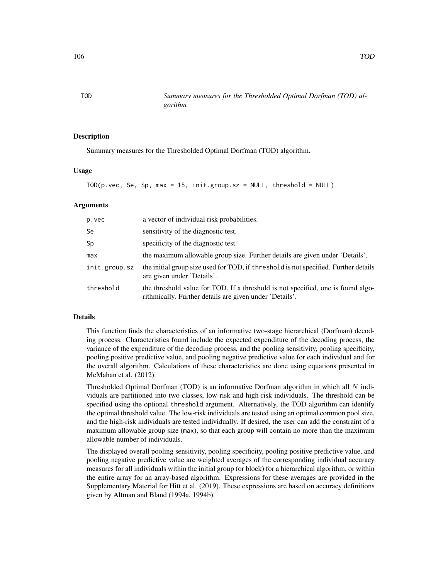Summary measures for the Thresholded Optimal Dorfman (TOD) algorithm.

*gorithm*

#### Usage

```
TOD(p,vec, Se, Sp, max = 15, init.group.sz = NULL, threshold = NULL)
```
### Arguments

| p.vec         | a vector of individual risk probabilities.                                                                                                  |
|---------------|---------------------------------------------------------------------------------------------------------------------------------------------|
| Se            | sensitivity of the diagnostic test.                                                                                                         |
| Sp            | specificity of the diagnostic test.                                                                                                         |
| max           | the maximum allowable group size. Further details are given under 'Details'.                                                                |
| init.group.sz | the initial group size used for TOD, if threshold is not specified. Further details<br>are given under 'Details'.                           |
| threshold     | the threshold value for TOD. If a threshold is not specified, one is found algo-<br>rithmically. Further details are given under 'Details'. |

# Details

This function finds the characteristics of an informative two-stage hierarchical (Dorfman) decoding process. Characteristics found include the expected expenditure of the decoding process, the variance of the expenditure of the decoding process, and the pooling sensitivity, pooling specificity, pooling positive predictive value, and pooling negative predictive value for each individual and for the overall algorithm. Calculations of these characteristics are done using equations presented in McMahan et al. (2012).

Thresholded Optimal Dorfman (TOD) is an informative Dorfman algorithm in which all  $N$  individuals are partitioned into two classes, low-risk and high-risk individuals. The threshold can be specified using the optional threshold argument. Alternatively, the TOD algorithm can identify the optimal threshold value. The low-risk individuals are tested using an optimal common pool size, and the high-risk individuals are tested individually. If desired, the user can add the constraint of a maximum allowable group size (max), so that each group will contain no more than the maximum allowable number of individuals.

The displayed overall pooling sensitivity, pooling specificity, pooling positive predictive value, and pooling negative predictive value are weighted averages of the corresponding individual accuracy measures for all individuals within the initial group (or block) for a hierarchical algorithm, or within the entire array for an array-based algorithm. Expressions for these averages are provided in the Supplementary Material for Hitt et al. (2019). These expressions are based on accuracy definitions given by Altman and Bland (1994a, 1994b).

<span id="page-105-0"></span>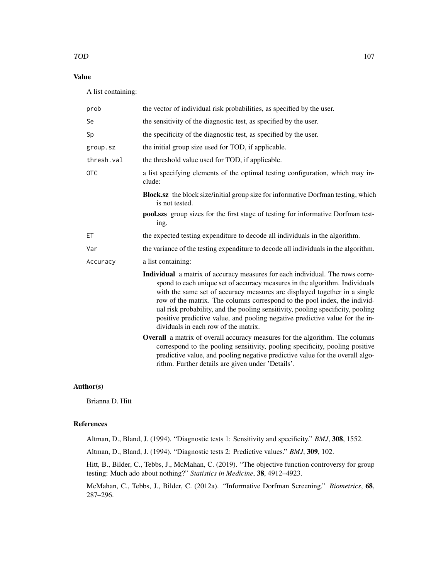# Value

A list containing:

| prob       | the vector of individual risk probabilities, as specified by the user.                                                                                                                                                                                                                                                                                                                                                                                                                                                            |
|------------|-----------------------------------------------------------------------------------------------------------------------------------------------------------------------------------------------------------------------------------------------------------------------------------------------------------------------------------------------------------------------------------------------------------------------------------------------------------------------------------------------------------------------------------|
| Se         | the sensitivity of the diagnostic test, as specified by the user.                                                                                                                                                                                                                                                                                                                                                                                                                                                                 |
| Sp         | the specificity of the diagnostic test, as specified by the user.                                                                                                                                                                                                                                                                                                                                                                                                                                                                 |
| group.sz   | the initial group size used for TOD, if applicable.                                                                                                                                                                                                                                                                                                                                                                                                                                                                               |
| thresh.val | the threshold value used for TOD, if applicable.                                                                                                                                                                                                                                                                                                                                                                                                                                                                                  |
| <b>OTC</b> | a list specifying elements of the optimal testing configuration, which may in-<br>clude:                                                                                                                                                                                                                                                                                                                                                                                                                                          |
|            | <b>Block.sz</b> the block size/initial group size for informative Dorfman testing, which<br>is not tested.                                                                                                                                                                                                                                                                                                                                                                                                                        |
|            | <b>pool.szs</b> group sizes for the first stage of testing for informative Dorfman test-<br>ing.                                                                                                                                                                                                                                                                                                                                                                                                                                  |
| ЕT         | the expected testing expenditure to decode all individuals in the algorithm.                                                                                                                                                                                                                                                                                                                                                                                                                                                      |
| Var        | the variance of the testing expenditure to decode all individuals in the algorithm.                                                                                                                                                                                                                                                                                                                                                                                                                                               |
| Accuracy   | a list containing:                                                                                                                                                                                                                                                                                                                                                                                                                                                                                                                |
|            | Individual a matrix of accuracy measures for each individual. The rows corre-<br>spond to each unique set of accuracy measures in the algorithm. Individuals<br>with the same set of accuracy measures are displayed together in a single<br>row of the matrix. The columns correspond to the pool index, the individ-<br>ual risk probability, and the pooling sensitivity, pooling specificity, pooling<br>positive predictive value, and pooling negative predictive value for the in-<br>dividuals in each row of the matrix. |
|            | Overall a matrix of overall accuracy measures for the algorithm. The columns<br>correspond to the pooling sensitivity, pooling specificity, pooling positive<br>predictive value, and pooling negative predictive value for the overall algo-<br>rithm. Further details are given under 'Details'.                                                                                                                                                                                                                                |

# Author(s)

Brianna D. Hitt

# References

Altman, D., Bland, J. (1994). "Diagnostic tests 1: Sensitivity and specificity." *BMJ*, 308, 1552.

Altman, D., Bland, J. (1994). "Diagnostic tests 2: Predictive values." *BMJ*, 309, 102.

Hitt, B., Bilder, C., Tebbs, J., McMahan, C. (2019). "The objective function controversy for group testing: Much ado about nothing?" *Statistics in Medicine*, 38, 4912–4923.

McMahan, C., Tebbs, J., Bilder, C. (2012a). "Informative Dorfman Screening." *Biometrics*, 68, 287–296.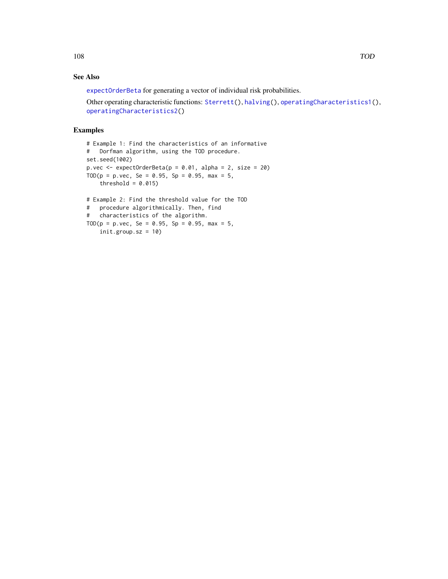# See Also

[expectOrderBeta](#page-19-0) for generating a vector of individual risk probabilities.

Other operating characteristic functions: [Sterrett\(](#page-96-0)), [halving\(](#page-42-0)), [operatingCharacteristics1\(](#page-47-0)), [operatingCharacteristics2\(](#page-53-0))

```
# Example 1: Find the characteristics of an informative
# Dorfman algorithm, using the TOD procedure.
set.seed(1002)
p.vec \leq expectOrderBeta(p = 0.01, alpha = 2, size = 20)
TOD(p = p. vec, Se = 0.95, Sp = 0.95, max = 5,
    threshold = 0.015)
# Example 2: Find the threshold value for the TOD
# procedure algorithmically. Then, find
# characteristics of the algorithm.
TOD(p = p. vec, Se = 0.95, Sp = 0.95, max = 5,
    init.group.sz = 10)
```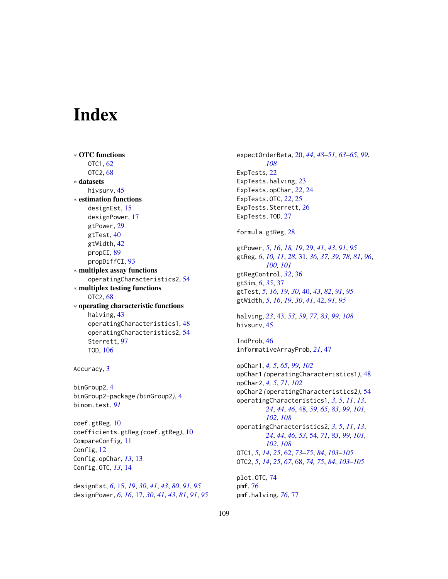## **Index**

∗ OTC functions OTC1, [62](#page-61-0) OTC2, [68](#page-67-0) ∗ datasets hivsurv, [45](#page-44-0) ∗ estimation functions designEst, [15](#page-14-0) designPower, [17](#page-16-0) gtPower, [29](#page-28-0) gtTest, [40](#page-39-0) gtWidth, [42](#page-41-0) propCI, [89](#page-88-0) propDiffCI, [93](#page-92-0) ∗ multiplex assay functions operatingCharacteristics2, [54](#page-53-0) ∗ multiplex testing functions OTC2, [68](#page-67-0) ∗ operating characteristic functions halving, [43](#page-42-0) operatingCharacteristics1, [48](#page-47-0) operatingCharacteristics2, [54](#page-53-0) Sterrett, [97](#page-96-0) TOD, [106](#page-105-0) Accuracy, [3](#page-2-0) binGroup2, [4](#page-3-0) binGroup2-package *(*binGroup2*)*, [4](#page-3-0)

binom.test, *[91](#page-90-0)*

coef.gtReg, [10](#page-9-0) coefficients.gtReg *(*coef.gtReg*)*, [10](#page-9-0) CompareConfig, [11](#page-10-0) Config, [12](#page-11-0) Config.opChar, *[13](#page-12-0)*, [13](#page-12-0) Config.OTC, *[13](#page-12-0)*, [14](#page-13-0)

designEst, *[6](#page-5-0)*, [15,](#page-14-0) *[19](#page-18-0)*, *[30](#page-29-0)*, *[41](#page-40-0)*, *[43](#page-42-0)*, *[80](#page-79-0)*, *[91](#page-90-0)*, *[95](#page-94-0)* designPower, *[6](#page-5-0)*, *[16](#page-15-0)*, [17,](#page-16-0) *[30](#page-29-0)*, *[41](#page-40-0)*, *[43](#page-42-0)*, *[81](#page-80-0)*, *[91](#page-90-0)*, *[95](#page-94-0)* expectOrderBeta, [20,](#page-19-0) *[44](#page-43-0)*, *[48](#page-47-0)[–51](#page-50-0)*, *[63](#page-62-0)[–65](#page-64-0)*, *[99](#page-98-0)*, *[108](#page-107-0)* ExpTests, [22](#page-21-0) ExpTests.halving, [23](#page-22-0) ExpTests.opChar, *[22](#page-21-0)*, [24](#page-23-0) ExpTests.OTC, *[22](#page-21-0)*, [25](#page-24-0) ExpTests.Sterrett, [26](#page-25-0) ExpTests.TOD, [27](#page-26-0) formula.gtReg, [28](#page-27-0) gtPower, *[5](#page-4-0)*, *[16](#page-15-0)*, *[18,](#page-17-0) [19](#page-18-0)*, [29,](#page-28-0) *[41](#page-40-0)*, *[43](#page-42-0)*, *[91](#page-90-0)*, *[95](#page-94-0)* gtReg, *[6](#page-5-0)*, *[10,](#page-9-0) [11](#page-10-0)*, *[28](#page-27-0)*, [31,](#page-30-0) *[36,](#page-35-0) [37](#page-36-0)*, *[39](#page-38-0)*, *[78](#page-77-0)*, *[81](#page-80-0)*, *[96](#page-95-0)*, *[100,](#page-99-0) [101](#page-100-0)* gtRegControl, *[32](#page-31-0)*, [36](#page-35-0) gtSim, *[6](#page-5-0)*, *[35](#page-34-0)*, [37](#page-36-0) gtTest, *[5](#page-4-0)*, *[16](#page-15-0)*, *[19](#page-18-0)*, *[30](#page-29-0)*, [40,](#page-39-0) *[43](#page-42-0)*, *[82](#page-81-0)*, *[91](#page-90-0)*, *[95](#page-94-0)* gtWidth, *[5](#page-4-0)*, *[16](#page-15-0)*, *[19](#page-18-0)*, *[30](#page-29-0)*, *[41](#page-40-0)*, [42,](#page-41-0) *[91](#page-90-0)*, *[95](#page-94-0)* halving, *[23](#page-22-0)*, [43,](#page-42-0) *[53](#page-52-0)*, *[59](#page-58-0)*, *[77](#page-76-0)*, *[83](#page-82-0)*, *[99](#page-98-0)*, *[108](#page-107-0)* hivsurv, [45](#page-44-0) IndProb, [46](#page-45-0) informativeArrayProb, *[21](#page-20-0)*, [47](#page-46-0) opChar1, *[4,](#page-3-0) [5](#page-4-0)*, *[65](#page-64-0)*, *[99](#page-98-0)*, *[102](#page-101-0)* opChar1 *(*operatingCharacteristics1*)*, [48](#page-47-0) opChar2, *[4,](#page-3-0) [5](#page-4-0)*, *[71](#page-70-0)*, *[102](#page-101-0)* opChar2 *(*operatingCharacteristics2*)*, [54](#page-53-0) operatingCharacteristics1, *[3](#page-2-0)*, *[5](#page-4-0)*, *[11](#page-10-0)*, *[13](#page-12-0)*, *[24](#page-23-0)*, *[44](#page-43-0)*, *[46](#page-45-0)*, [48,](#page-47-0) *[59](#page-58-0)*, *[65](#page-64-0)*, *[83](#page-82-0)*, *[99](#page-98-0)*, *[101,](#page-100-0) [102](#page-101-0)*, *[108](#page-107-0)* operatingCharacteristics2, *[3](#page-2-0)*, *[5](#page-4-0)*, *[11](#page-10-0)*, *[13](#page-12-0)*, *[24](#page-23-0)*, *[44](#page-43-0)*, *[46](#page-45-0)*, *[53](#page-52-0)*, [54,](#page-53-0) *[71](#page-70-0)*, *[83](#page-82-0)*, *[99](#page-98-0)*, *[101,](#page-100-0) [102](#page-101-0)*, *[108](#page-107-0)* OTC1, *[5](#page-4-0)*, *[14](#page-13-0)*, *[25](#page-24-0)*, [62,](#page-61-0) *[73](#page-72-0)[–75](#page-74-0)*, *[84](#page-83-0)*, *[103](#page-102-0)[–105](#page-104-0)* OTC2, *[5](#page-4-0)*, *[14](#page-13-0)*, *[25](#page-24-0)*, *[67](#page-66-0)*, [68,](#page-67-0) *[74,](#page-73-0) [75](#page-74-0)*, *[84](#page-83-0)*, *[103](#page-102-0)[–105](#page-104-0)* plot.OTC, [74](#page-73-0) pmf, [76](#page-75-0)

pmf.halving, *[76](#page-75-0)*, [77](#page-76-0)